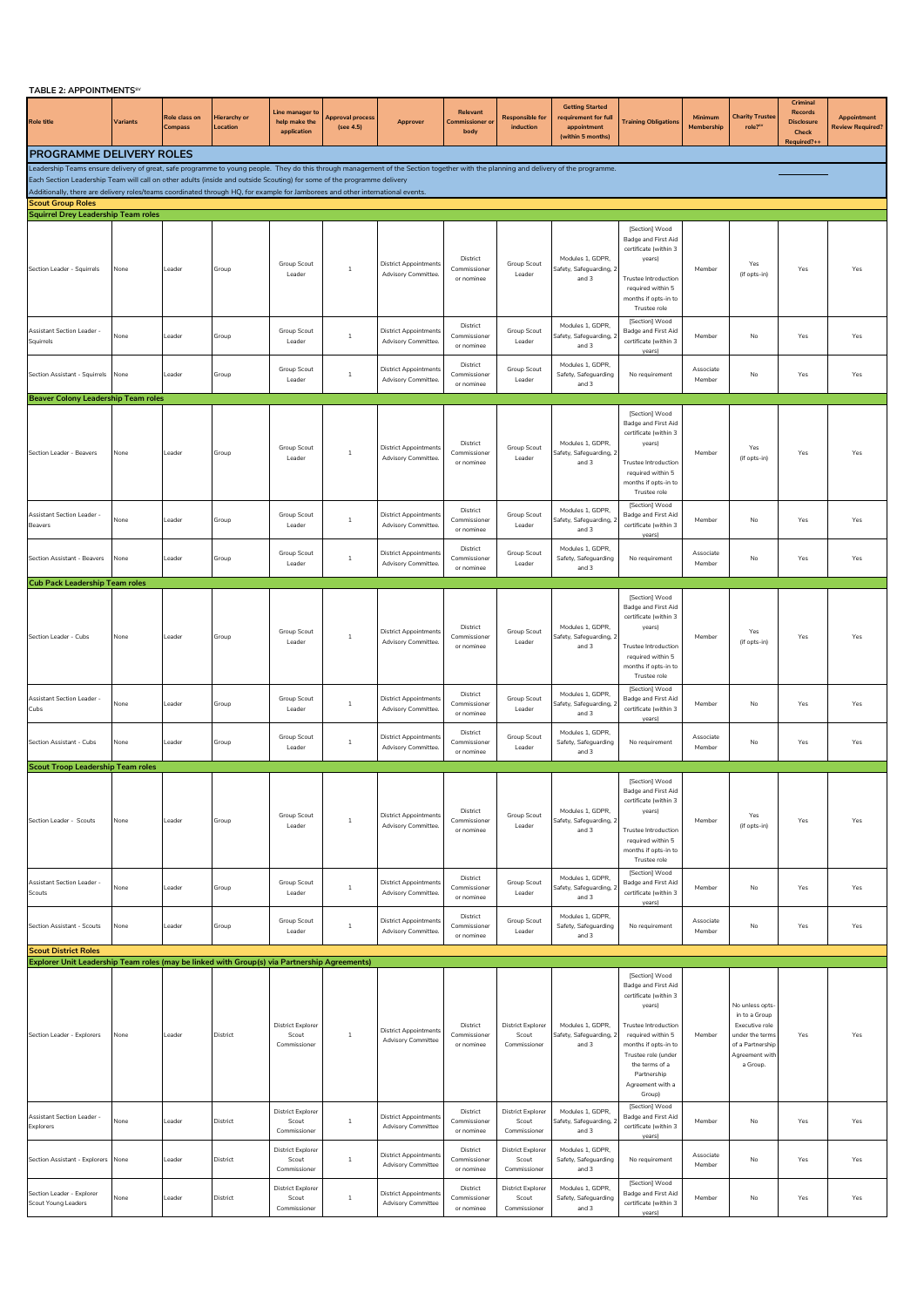| TABLE 2: APPOINTMENTS <sup>SV</sup> |  |
|-------------------------------------|--|
|                                     |  |

| TABLE 2: APPOINTMENTS <sup>SV</sup>                                                                                                                                                                                                                       |          |                                 |                          |                                                   |                                      |                                                           |                                           |                                                   |                                                                                    |                                                                                                                                                                                                                                            |                       |                                                                                                                        |                                                                |                                               |
|-----------------------------------------------------------------------------------------------------------------------------------------------------------------------------------------------------------------------------------------------------------|----------|---------------------------------|--------------------------|---------------------------------------------------|--------------------------------------|-----------------------------------------------------------|-------------------------------------------|---------------------------------------------------|------------------------------------------------------------------------------------|--------------------------------------------------------------------------------------------------------------------------------------------------------------------------------------------------------------------------------------------|-----------------------|------------------------------------------------------------------------------------------------------------------------|----------------------------------------------------------------|-----------------------------------------------|
| <b>Role title</b>                                                                                                                                                                                                                                         | Variants | Role class on<br><b>Compass</b> | Hierarchy or<br>Location | Line manager to<br>help make the<br>application   | <b>Approval process</b><br>(see 4.5) | Approver                                                  | Relevant<br><b>Commissioner o</b><br>body | <b>Responsible for</b><br>induction               | <b>Getting Started</b><br>requirement for full<br>appointment<br>(within 5 months) | <b>Training Obligations</b>                                                                                                                                                                                                                | Minimum<br>Membershin | <b>Charity Truster</b><br>role?"                                                                                       | Crimina<br>Records<br><b>Disclosure</b><br>Check<br>Required?+ | <b>Appointment</b><br><b>Review Required?</b> |
| <b>PROGRAMME DELIVERY ROLES</b>                                                                                                                                                                                                                           |          |                                 |                          |                                                   |                                      |                                                           |                                           |                                                   |                                                                                    |                                                                                                                                                                                                                                            |                       |                                                                                                                        |                                                                |                                               |
| Leadership Teams ensure delivery of great, safe programme to young people. They do this through management of the Section together with the planning and delivery of the programme.                                                                       |          |                                 |                          |                                                   |                                      |                                                           |                                           |                                                   |                                                                                    |                                                                                                                                                                                                                                            |                       |                                                                                                                        |                                                                |                                               |
| Each Section Leadership Team will call on other adults (inside and outside Scouting) for some of the programme delivery<br>Additionally, there are delivery roles/teams coordinated through HQ, for example for Jamborees and other international events. |          |                                 |                          |                                                   |                                      |                                                           |                                           |                                                   |                                                                                    |                                                                                                                                                                                                                                            |                       |                                                                                                                        |                                                                |                                               |
| <b>Scout Group Roles</b>                                                                                                                                                                                                                                  |          |                                 |                          |                                                   |                                      |                                                           |                                           |                                                   |                                                                                    |                                                                                                                                                                                                                                            |                       |                                                                                                                        |                                                                |                                               |
| <b>Squirrel Drey Leadership Team roles</b>                                                                                                                                                                                                                |          |                                 |                          |                                                   |                                      |                                                           |                                           |                                                   |                                                                                    | [Section] Wood                                                                                                                                                                                                                             |                       |                                                                                                                        |                                                                |                                               |
| Section Leader - Squirrels                                                                                                                                                                                                                                | None     | Leader                          | Group                    | Group Scout<br>Leader                             | $\mathbf{1}$                         | <b>District Appointments</b><br>Advisory Committee.       | District<br>Commissioner<br>or nominee    | Group Scout<br>Leader                             | Modules 1, GDPR,<br>Safety, Safeguarding, 2<br>and 3                               | Badge and First Aid<br>certificate (within 3<br>years)<br><b>Trustee Introduction</b><br>required within 5<br>months if opts-in to<br>Trustee role                                                                                         | Member                | Yes<br>(if opts-in)                                                                                                    | Yes                                                            | Yes                                           |
| Assistant Section Leader<br>Squirrels                                                                                                                                                                                                                     | None     | Leader                          | Group                    | Group Scout<br>Leader                             | $\mathbf{1}$                         | <b>District Appointments</b><br>Advisory Committee.       | District<br>Commissioner<br>or nominee    | Group Scout<br>Leader                             | Modules 1, GDPR,<br>Safety, Safeguarding,<br>and 3                                 | [Section] Wood<br>Badge and First Aid<br>certificate (within 3<br>years)                                                                                                                                                                   | Member                | No                                                                                                                     | Yes                                                            | Yes                                           |
| Section Assistant - Squirrels                                                                                                                                                                                                                             | None     | Leader                          | Group                    | Group Scout<br>Leader                             | $\overline{1}$                       | <b>District Appointments</b><br>Advisory Committee.       | District<br>Commissioner<br>or nominee    | Group Scout<br>Leader                             | Modules 1, GDPR,<br>Safety, Safeguarding<br>and 3                                  | No requirement                                                                                                                                                                                                                             | Associate<br>Member   | No                                                                                                                     | Yes                                                            | Yes                                           |
| <b>Beaver Colony Leadership Team roles</b>                                                                                                                                                                                                                |          |                                 |                          |                                                   |                                      |                                                           |                                           |                                                   |                                                                                    |                                                                                                                                                                                                                                            |                       |                                                                                                                        |                                                                |                                               |
| Section Leader - Beavers                                                                                                                                                                                                                                  | None     | Leader                          | Group                    | Group Scout<br>Leader                             | $\overline{1}$                       | <b>District Appointments</b><br>Advisory Committee.       | District<br>Commissioner<br>or nominee    | Group Scout<br>Leader                             | Modules 1, GDPR,<br>Safety, Safeguarding, 2<br>and 3                               | [Section] Wood<br>Badge and First Aid<br>certificate (within 3<br>years)<br><b>Trustee Introduction</b><br>required within 5<br>months if opts-in to<br>Trustee role                                                                       | Member                | Yes<br>(if opts-in)                                                                                                    | Yes                                                            | Yes                                           |
| Assistant Section Leader<br><b>Beavers</b>                                                                                                                                                                                                                | Vone     | Leader                          | Group                    | Group Scout<br>Leader                             | $\mathbf{1}$                         | <b>District Appointments</b><br>Advisory Committee.       | District<br>Commissioner<br>or nominee    | Group Scout<br>Leader                             | Modules 1, GDPR,<br>Safety, Safeguarding,<br>and 3                                 | [Section] Wood<br>Badge and First Aid<br>certificate (within 3<br>years)                                                                                                                                                                   | Member                | No                                                                                                                     | Yes                                                            | Yes                                           |
| Section Assistant - Beavers                                                                                                                                                                                                                               | None     | Leader                          | Group                    | Group Scout<br>Leader                             | $\mathbf{1}$                         | <b>District Appointments</b><br>Advisory Committee.       | District<br>Commissioner<br>or nominee    | Group Scout<br>Leader                             | Modules 1, GDPR,<br>Safety, Safeguarding<br>and 3                                  | No requirement                                                                                                                                                                                                                             | Associate<br>Member   | No                                                                                                                     | Yes                                                            | Yes                                           |
| <b>Cub Pack Leadership Team roles</b>                                                                                                                                                                                                                     |          |                                 |                          |                                                   |                                      |                                                           |                                           |                                                   |                                                                                    | [Section] Wood                                                                                                                                                                                                                             |                       |                                                                                                                        |                                                                |                                               |
| Section Leader - Cubs                                                                                                                                                                                                                                     | None     | Leader                          | Group                    | Group Scout<br>Leader                             | $\overline{1}$                       | <b>District Appointments</b><br>Advisory Committee.       | District<br>Commissioner<br>or nominee    | Group Scout<br>Leader                             | Modules 1, GDPR,<br>Safety, Safeguarding, 2<br>and 3                               | Badge and First Aid<br>certificate (within 3<br>years)<br><b>Trustee Introduction</b><br>required within 5<br>months if opts-in to<br>Trustee role                                                                                         | Member                | Yes<br>(if opts-in)                                                                                                    | Yes                                                            | Yes                                           |
| Assistant Section Leader<br>Cubs                                                                                                                                                                                                                          | Vone     | Leader                          | Group                    | Group Scout<br>Leader                             | $\overline{1}$                       | <b>District Appointments</b><br>Advisory Committee.       | District<br>Commissioner<br>or nominee    | Group Scout<br>Leader                             | Modules 1, GDPR,<br>Safety, Safeguarding,<br>and 3                                 | [Section] Wood<br>Badge and First Aid<br>certificate (within 3<br>years)                                                                                                                                                                   | Member                | No                                                                                                                     | Yes                                                            | Yes                                           |
| Section Assistant - Cubs                                                                                                                                                                                                                                  | None     | Leader                          | Group                    | Group Scout<br>Leader                             | $\overline{1}$                       | <b>District Appointments</b><br>Advisory Committee.       | District<br>Commissioner<br>or nominee    | Group Scout<br>Leader                             | Modules 1, GDPR.<br>Safety, Safeguarding<br>and 3                                  | No requirement                                                                                                                                                                                                                             | Associate<br>Member   | No                                                                                                                     | Yes                                                            | Yes                                           |
| <b>Scout Troop Leadership Team roles</b><br>Section Leader - Scouts                                                                                                                                                                                       | None     | Leader                          | Group                    | Group Scout<br>Leader                             | $\overline{1}$                       | <b>District Appointments</b><br>Advisory Committee.       | District<br>Commissioner<br>or nominee    | Group Scout<br>Leader                             | Modules 1, GDPR,<br>Safety, Safeguarding, 2<br>and 3                               | [Section] Wood<br>Badge and First Aid<br>certificate (within 3<br>years)<br>Trustee Introduction<br>required within 5<br>months if opts-in to<br>Trustee role                                                                              | Member                | Yes<br>(if opts-in)                                                                                                    | Yes                                                            | Yes                                           |
| <b>Assistant Section Leader -</b><br>Scouts                                                                                                                                                                                                               | Vone     | Leader                          | Group                    | Group Scout<br>Leader                             | $1\,$                                | <b>District Appointments</b><br>Advisory Committee.       | District<br>Commissioner<br>or nominee    | Group Scout<br>Leader                             | Modules 1, GDPR,<br>Safety, Safeguarding,<br>and 3                                 | [Section] Wood<br>Badge and First Aid<br>certificate (within 3<br>years)                                                                                                                                                                   | Member                | No                                                                                                                     | Yes                                                            | Yes                                           |
| Section Assistant - Scouts                                                                                                                                                                                                                                | None     | Leader                          | Group                    | Group Scout<br>Leader                             | $\overline{1}$                       | District Appointments<br>Advisory Committee.              | District<br>Commissioner<br>or nominee    | Group Scout<br>Leader                             | Modules 1, GDPR.<br>Safety, Safeguarding<br>and 3                                  | No requirement                                                                                                                                                                                                                             | Associate<br>Member   | No                                                                                                                     | Yes                                                            | Yes                                           |
| <b>Scout District Roles</b><br>Explorer Unit Leadership Team roles (may be linked with Group(s) via Partnership Agreements)                                                                                                                               |          |                                 |                          |                                                   |                                      |                                                           |                                           |                                                   |                                                                                    |                                                                                                                                                                                                                                            |                       |                                                                                                                        |                                                                |                                               |
| Section Leader - Explorers                                                                                                                                                                                                                                | None     | Leader                          | District                 | <b>District Explorer</b><br>Scout<br>Commissioner | 1                                    | <b>District Appointments</b><br><b>Advisory Committee</b> | District<br>Commissioner<br>or nominee    | <b>District Explorer</b><br>Scout<br>Commissioner | Modules 1. GDPR.<br>Safety, Safeguarding, 2<br>and 3                               | [Section] Wood<br>Badge and First Aid<br>certificate (within 3<br>years)<br><b>Trustee Introduction</b><br>required within 5<br>months if opts-in to<br>Trustee role (under<br>the terms of a<br>Partnership<br>Agreement with a<br>Group) | Member                | No unless opts<br>in to a Group<br>Executive role<br>under the term:<br>of a Partnership<br>Agreement with<br>a Group. | Yes                                                            | Yes                                           |
| <b>Assistant Section Leader -</b><br>Explorers                                                                                                                                                                                                            | None     | Leader                          | District                 | <b>District Explorer</b><br>Scout<br>Commissioner | $\,$ 1                               | <b>District Appointments</b><br><b>Advisory Committee</b> | District<br>Commissioner<br>or nominee    | <b>District Explorer</b><br>Scout<br>Commissioner | Modules 1, GDPR.<br>Safety, Safeguarding,<br>and 3                                 | [Section] Wood<br>Badge and First Aid<br>certificate (within 3<br>years)                                                                                                                                                                   | Member                | No                                                                                                                     | Yes                                                            | Yes                                           |
| Section Assistant - Explorers                                                                                                                                                                                                                             | None     | Leader                          | District                 | <b>District Explorer</b><br>Scout<br>Commissioner | $\overline{1}$                       | <b>District Appointments</b><br><b>Advisory Committee</b> | District<br>Commissioner<br>or nominee    | <b>District Explorer</b><br>Scout<br>Commissioner | Modules 1, GDPR,<br>Safety, Safeguarding<br>and 3                                  | No requirement                                                                                                                                                                                                                             | Associate<br>Member   | No                                                                                                                     | Yes                                                            | Yes                                           |
| Section Leader - Explorer<br>Scout Young Leaders                                                                                                                                                                                                          | None     | Leader                          | District                 | <b>District Explorer</b><br>Scout<br>Commissioner | $\mathbf{1}$                         | <b>District Appointments</b><br><b>Advisory Committee</b> | District<br>Commissioner<br>or nominee    | <b>District Explorer</b><br>Scout<br>Commissioner | Modules 1, GDPR,<br>Safety, Safeguarding<br>and 3                                  | [Section] Wood<br>Badge and First Aid<br>certificate (within 3<br>years)                                                                                                                                                                   | Member                | No                                                                                                                     | Yes                                                            | Yes                                           |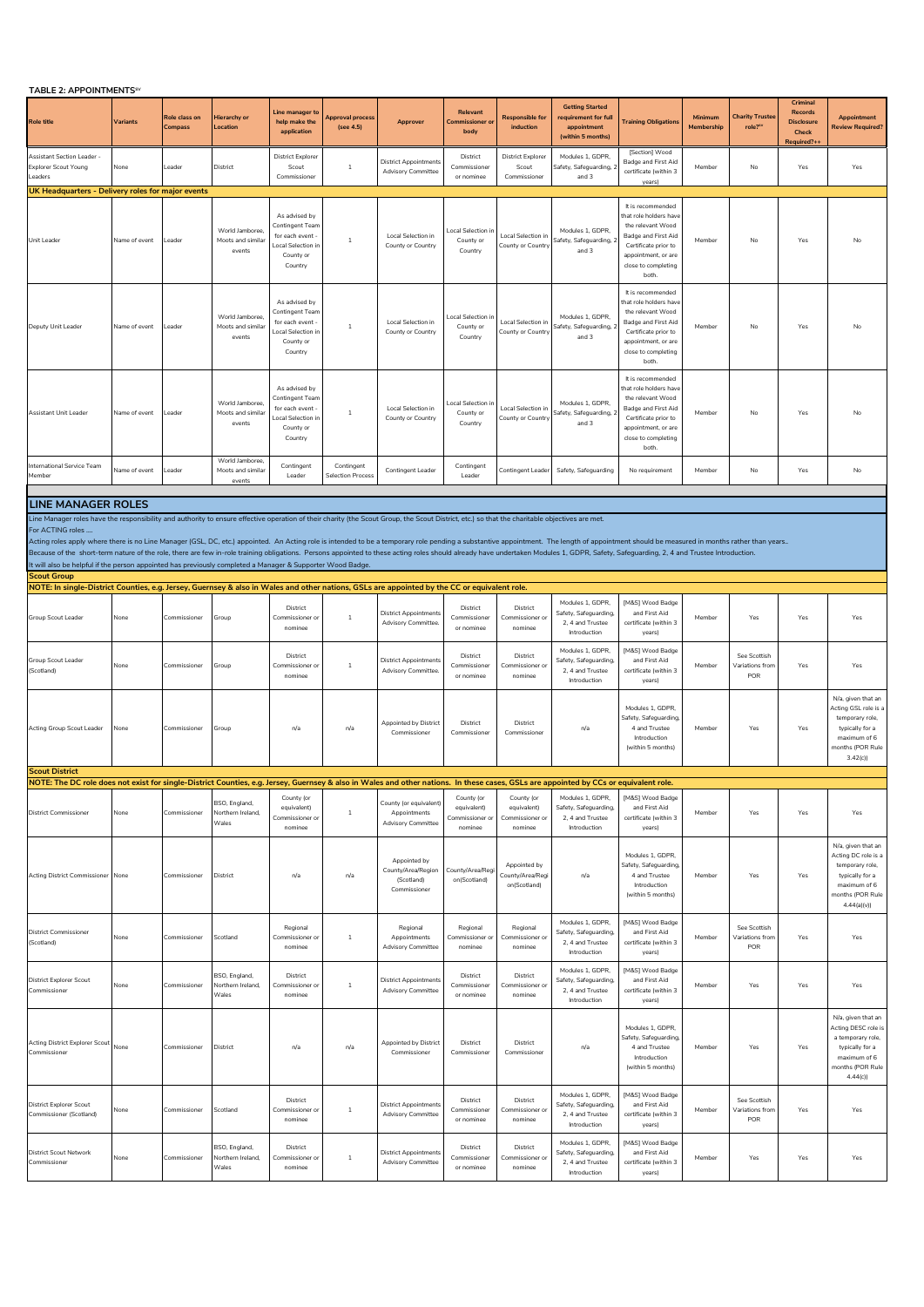## **TABLE 2012**

| <b>IABLE 2: APPOINTMENTS</b>                                                                                                                                                                                                                                                                                                                                                                                                                                                                                                                                                                       |                 |                          |                                                |                                                                                                 |                                        |                                                                     |                                                         |                                                         |                                                                                    |                                                                                                                                                                        |                       |                                        |                                                                                |                                                                                                                                   |
|----------------------------------------------------------------------------------------------------------------------------------------------------------------------------------------------------------------------------------------------------------------------------------------------------------------------------------------------------------------------------------------------------------------------------------------------------------------------------------------------------------------------------------------------------------------------------------------------------|-----------------|--------------------------|------------------------------------------------|-------------------------------------------------------------------------------------------------|----------------------------------------|---------------------------------------------------------------------|---------------------------------------------------------|---------------------------------------------------------|------------------------------------------------------------------------------------|------------------------------------------------------------------------------------------------------------------------------------------------------------------------|-----------------------|----------------------------------------|--------------------------------------------------------------------------------|-----------------------------------------------------------------------------------------------------------------------------------|
| <b>Role title</b>                                                                                                                                                                                                                                                                                                                                                                                                                                                                                                                                                                                  | <b>Variants</b> | Role class on<br>Compass | Hierarchy or<br>Location                       | ine manager t<br>help make the<br>application                                                   | oproval process<br>(see 4.5)           | Approver                                                            | <b>Relevant</b><br>Commissioner o<br>body               | <b>Responsible for</b><br>induction                     | <b>Getting Started</b><br>requirement for full<br>appointment<br>(within 5 months) | <b>Fraining Obligations</b>                                                                                                                                            | Minimum<br>Membership | <b>Charity Trustee</b><br>role?"       | Criminal<br><b>Records</b><br><b>Disclosure</b><br><b>Check</b><br>Required?++ | Appointment<br><b>Review Required?</b>                                                                                            |
| Assistant Section Leader -<br><b>Explorer Scout Young</b><br>Leaders                                                                                                                                                                                                                                                                                                                                                                                                                                                                                                                               | None            | Leader                   | District                                       | <b>District Explorer</b><br>Scout<br>Commissioner                                               | $\mathbf{1}$                           | <b>District Appointments</b><br><b>Advisory Committee</b>           | District<br>Commissioner<br>or nominee                  | <b>District Explorer</b><br>Scout<br>Commissioner       | Modules 1, GDPR,<br>Safety, Safeguarding,<br>and 3                                 | [Section] Wood<br>Badge and First Aid<br>certificate (within 3<br>years)                                                                                               | Member                | No                                     | Yes                                                                            | Yes                                                                                                                               |
| UK Headquarters - Delivery roles for major events                                                                                                                                                                                                                                                                                                                                                                                                                                                                                                                                                  |                 |                          |                                                |                                                                                                 |                                        |                                                                     |                                                         |                                                         |                                                                                    |                                                                                                                                                                        |                       |                                        |                                                                                |                                                                                                                                   |
| Unit Leader                                                                                                                                                                                                                                                                                                                                                                                                                                                                                                                                                                                        | Name of event   | Leader                   | World Jamboree,<br>Moots and similar<br>events | As advised by<br>Contingent Team<br>for each event<br>ocal Selection in<br>County or<br>Country | $\mathbf{1}$                           | Local Selection in<br>County or Country                             | Local Selection<br>County or<br>Country                 | Local Selection in<br>County or Country                 | Modules 1, GDPR,<br>Safety, Safeguarding,<br>and 3                                 | It is recommended<br>hat role holders have<br>the relevant Wood<br>Badge and First Aid<br>Certificate prior to<br>appointment, or are<br>close to completing<br>both.  | Member                | No                                     | Yes                                                                            | No                                                                                                                                |
| Deputy Unit Leader                                                                                                                                                                                                                                                                                                                                                                                                                                                                                                                                                                                 | Name of event   | Leader                   | World Jamboree<br>Moots and similar<br>events  | As advised by<br>Contingent Tear<br>for each event<br>ocal Selection in<br>County or<br>Country | $\mathbf{1}$                           | Local Selection in<br>County or Country                             | cocal Selection<br>County or<br>Country                 | Local Selection in<br>County or Country                 | Modules 1, GDPR,<br>Safety, Safeguarding,<br>and 3                                 | It is recommended<br>that role holders have<br>the relevant Wood<br>Badge and First Aid<br>Certificate prior to<br>appointment, or are<br>close to completing<br>both. | Member                | No                                     | Yes                                                                            | No                                                                                                                                |
| Assistant Unit Leader                                                                                                                                                                                                                                                                                                                                                                                                                                                                                                                                                                              | Name of event   | Leader                   | World Jamboree,<br>Moots and similar<br>events | As advised by<br>Contingent Team<br>for each event<br>ocal Selection in<br>County or<br>Country | $\mathbf{1}$                           | Local Selection in<br>County or Country                             | Local Selection in<br>County or<br>Country              | Local Selection in<br>County or Country                 | Modules 1, GDPR,<br>Safety, Safeguarding,<br>and 3                                 | It is recommended<br>hat role holders have<br>the relevant Wood<br>Badge and First Aid<br>Certificate prior to<br>appointment, or are<br>close to completing<br>both.  | Member                | No                                     | Yes                                                                            | No                                                                                                                                |
| International Service Team<br>Member                                                                                                                                                                                                                                                                                                                                                                                                                                                                                                                                                               | Name of event   | Leader                   | World Jamboree,<br>Moots and similar<br>events | Contingent<br>Leader                                                                            | Contingent<br><b>Selection Process</b> | Contingent Leader                                                   | Contingent<br>Leader                                    | Contingent Leader                                       | Safety, Safeguarding                                                               | No requirement                                                                                                                                                         | Member                | No                                     | Yes                                                                            | No                                                                                                                                |
| <b>LINE MANAGER ROLES</b>                                                                                                                                                                                                                                                                                                                                                                                                                                                                                                                                                                          |                 |                          |                                                |                                                                                                 |                                        |                                                                     |                                                         |                                                         |                                                                                    |                                                                                                                                                                        |                       |                                        |                                                                                |                                                                                                                                   |
| Line Manager roles have the responsibility and authority to ensure effective operation of their charity (the Scout Group, the Scout District, etc.) so that the charitable objectives are met.                                                                                                                                                                                                                                                                                                                                                                                                     |                 |                          |                                                |                                                                                                 |                                        |                                                                     |                                                         |                                                         |                                                                                    |                                                                                                                                                                        |                       |                                        |                                                                                |                                                                                                                                   |
| For ACTING roles<br>Acting roles apply where there is no Line Manager (GSL, DC, etc.) appointed. An Acting role is intended to be a temporary role pending a substantive appointment. The length of appointment should be measured in months rathe<br>Because of the short-term nature of the role, there are few in-role training obligations. Persons appointed to these acting roles should already have undertaken Modules 1, GDPR, Safety, Safeguarding, 2, 4 and Trustee Intro<br>It will also be helpful if the person appointed has previously completed a Manager & Supporter Wood Badge. |                 |                          |                                                |                                                                                                 |                                        |                                                                     |                                                         |                                                         |                                                                                    |                                                                                                                                                                        |                       |                                        |                                                                                |                                                                                                                                   |
| <b>Scout Group</b>                                                                                                                                                                                                                                                                                                                                                                                                                                                                                                                                                                                 |                 |                          |                                                |                                                                                                 |                                        |                                                                     |                                                         |                                                         |                                                                                    |                                                                                                                                                                        |                       |                                        |                                                                                |                                                                                                                                   |
| NOTE: In single-District Counties, e.g. Jersey, Guernsey & also in Wales and other nations, GSLs are appointed by the CC or equivalent role.                                                                                                                                                                                                                                                                                                                                                                                                                                                       |                 |                          |                                                |                                                                                                 |                                        |                                                                     |                                                         |                                                         |                                                                                    |                                                                                                                                                                        |                       |                                        |                                                                                |                                                                                                                                   |
| Group Scout Leader                                                                                                                                                                                                                                                                                                                                                                                                                                                                                                                                                                                 | None            | Commissioner             | Group                                          | District<br>Commissioner or<br>nominee                                                          | $\mathbf{1}$                           | <b>District Appointments</b><br>Advisory Committee.                 | District<br>Commissioner<br>or nominee                  | District<br>Commissioner or<br>nominee                  | Modules 1, GDPR,<br>Safety, Safeguarding,<br>2, 4 and Trustee<br>Introduction      | [M&S] Wood Badge<br>and First Aid<br>certificate (within 3<br>years)                                                                                                   | Member                | Yes                                    | Yes                                                                            | Yes                                                                                                                               |
| Group Scout Leader<br>(Scotland)                                                                                                                                                                                                                                                                                                                                                                                                                                                                                                                                                                   | None            | Commissioner             | Group                                          | District<br>Commissioner o<br>nominee                                                           | $\,1\,$                                | <b>District Appointments</b><br><b>Advisory Committee</b>           | District<br>Commissioner<br>or nominee                  | District<br>Commissioner or<br>nominee                  | Modules 1, GDPR,<br>Safety, Safeguarding,<br>2, 4 and Trustee<br>Introduction      | [M&S] Wood Badge<br>and First Aid<br>certificate (within 3<br>years)                                                                                                   | Member                | See Scottish<br>/ariations from<br>POR | Yes                                                                            | Yes                                                                                                                               |
| Acting Group Scout Leader                                                                                                                                                                                                                                                                                                                                                                                                                                                                                                                                                                          | None            | Commissioner             | Group                                          | n/a                                                                                             | n/a                                    | Appointed by District<br>Commissioner                               | District<br>Commissioner                                | District<br>Commissioner                                | n/a                                                                                | Modules 1, GDPR,<br>Safety, Safeguarding,<br>4 and Trustee<br>Introduction<br>(within 5 months)                                                                        | Member                | Yes                                    | Yes                                                                            | N/a, given that an<br>Acting GSL role is a<br>temporary role.<br>typically for a<br>maximum of 6<br>months (POR Rule<br>3.42(c)   |
| <b>Scout District</b>                                                                                                                                                                                                                                                                                                                                                                                                                                                                                                                                                                              |                 |                          |                                                |                                                                                                 |                                        |                                                                     |                                                         |                                                         |                                                                                    |                                                                                                                                                                        |                       |                                        |                                                                                |                                                                                                                                   |
| NOTE: The DC role does not exist for single-District Counties, e.g. Jersey, Guernsey & also in Wales and other nations. In these cases, GSLs are appointed by CCs or equivalent role.                                                                                                                                                                                                                                                                                                                                                                                                              |                 |                          |                                                |                                                                                                 |                                        |                                                                     |                                                         |                                                         |                                                                                    |                                                                                                                                                                        |                       |                                        |                                                                                |                                                                                                                                   |
| <b>District Commissioner</b>                                                                                                                                                                                                                                                                                                                                                                                                                                                                                                                                                                       | None            | Commissioner             | BSO, England,<br>Northern Ireland,<br>Wales    | County (or<br>equivalent)<br>Commissioner or<br>nominee                                         | $\mathbf{1}$                           | County (or equivalent)<br>Appointments<br><b>Advisory Committee</b> | County (or<br>equivalent)<br>Commissioner or<br>nominee | County (or<br>equivalent)<br>Commissioner or<br>nominee | Modules 1, GDPR,<br>Safety, Safeguarding,<br>2, 4 and Trustee<br>Introduction      | [M&S] Wood Badge<br>and First Aid<br>certificate (within 3<br>years)                                                                                                   | Member                | Yes                                    | Yes                                                                            | Yes                                                                                                                               |
| Acting District Commissioner                                                                                                                                                                                                                                                                                                                                                                                                                                                                                                                                                                       | None            | Commissioner             | District                                       | n/a                                                                                             | n/a                                    | Appointed by<br>County/Area/Region<br>(Scotland)<br>Commissioner    | County/Area/Regi<br>on(Scotland)                        | Appointed by<br>County/Area/Regi<br>on(Scotland)        | n/a                                                                                | Modules 1, GDPR.<br>Safety, Safeguarding<br>4 and Trustee<br>Introduction<br>(within 5 months)                                                                         | Member                | Yes                                    | Yes                                                                            | N/a, given that an<br>Acting DC role is a<br>temporary role,<br>typically for a<br>maximum of 6<br>months (POR Rule<br>4.44(a)(v) |
| <b>District Commissioner</b><br>(Scotland)                                                                                                                                                                                                                                                                                                                                                                                                                                                                                                                                                         | None            | Commissioner             | Scotland                                       | Regional<br>Commissioner or<br>nominee                                                          | $1\,$                                  | Regional<br>Appointments<br><b>Advisory Committee</b>               | Regional<br>Commissioner or<br>nominee                  | Regional<br>Commissioner or<br>nominee                  | Modules 1, GDPR,<br>Safety, Safeguarding,<br>2, 4 and Trustee<br>Introduction      | [M&S] Wood Badge<br>and First Aid<br>certificate (within 3<br>years)                                                                                                   | Member                | See Scottish<br>Variations from<br>POR | Yes                                                                            | Yes                                                                                                                               |
| <b>District Explorer Scout</b><br>Commissioner                                                                                                                                                                                                                                                                                                                                                                                                                                                                                                                                                     | None            | Commissioner             | BSO, England,<br>Northern Ireland,<br>Wales    | District<br>Commissioner or<br>nominee                                                          | $\overline{1}$                         | <b>District Appointments</b><br><b>Advisory Committee</b>           | District<br>Commissioner<br>or nominee                  | District<br>Commissioner or<br>nominee                  | Modules 1, GDPR,<br>Safety, Safeguarding.<br>2, 4 and Trustee<br>Introduction      | [M&S] Wood Badge<br>and First Aid<br>certificate (within 3<br>years)                                                                                                   | Member                | Yes                                    | Yes                                                                            | Yes                                                                                                                               |
| <b>Acting District Explorer Scout</b><br>Commissioner                                                                                                                                                                                                                                                                                                                                                                                                                                                                                                                                              | None            | Commissioner             | District                                       | n/a                                                                                             | n/a                                    | Appointed by District<br>Commissioner                               | District<br>Commissioner                                | District<br>Commissioner                                | n/a                                                                                | Modules 1, GDPR.<br>Safety, Safeguarding<br>4 and Trustee<br>Introduction<br>(within 5 months)                                                                         | Member                | Yes                                    | Yes                                                                            | N/a, given that an<br>Acting DESC role is<br>a temporary role,<br>typically for a<br>maximum of 6<br>months (POR Rule<br>4.44(c)  |
| <b>District Explorer Scout</b><br>Commissioner (Scotland)                                                                                                                                                                                                                                                                                                                                                                                                                                                                                                                                          | None            | Commissioner             | Scotland                                       | District<br>Commissioner o<br>nominee                                                           | $\mathbf{1}$                           | <b>District Appointments</b><br><b>Advisory Committee</b>           | District<br>Commissioner<br>or nominee                  | District<br>Commissioner o<br>nominee                   | Modules 1, GDPR,<br>Safety, Safeguarding,<br>2, 4 and Trustee<br>Introduction      | [M&S] Wood Badge<br>and First Aid<br>certificate (within 3<br>years)                                                                                                   | Member                | See Scottish<br>Variations fron<br>POR | Yes                                                                            | Yes                                                                                                                               |
| <b>District Scout Network</b><br>Commissioner                                                                                                                                                                                                                                                                                                                                                                                                                                                                                                                                                      | None            | Commissioner             | BSO, England,<br>Northern Ireland,<br>Wales    | District<br>Commissioner or<br>nominee                                                          | $\mathbf{1}$                           | <b>District Appointments</b><br><b>Advisory Committee</b>           | District<br>Commissioner<br>or nominee                  | District<br>Commissioner or<br>nominee                  | Modules 1, GDPR,<br>Safety, Safeguarding.<br>2, 4 and Trustee<br>Introduction      | [M&S] Wood Badge<br>and First Aid<br>certificate (within 3<br>years)                                                                                                   | Member                | Yes                                    | Yes                                                                            | Yes                                                                                                                               |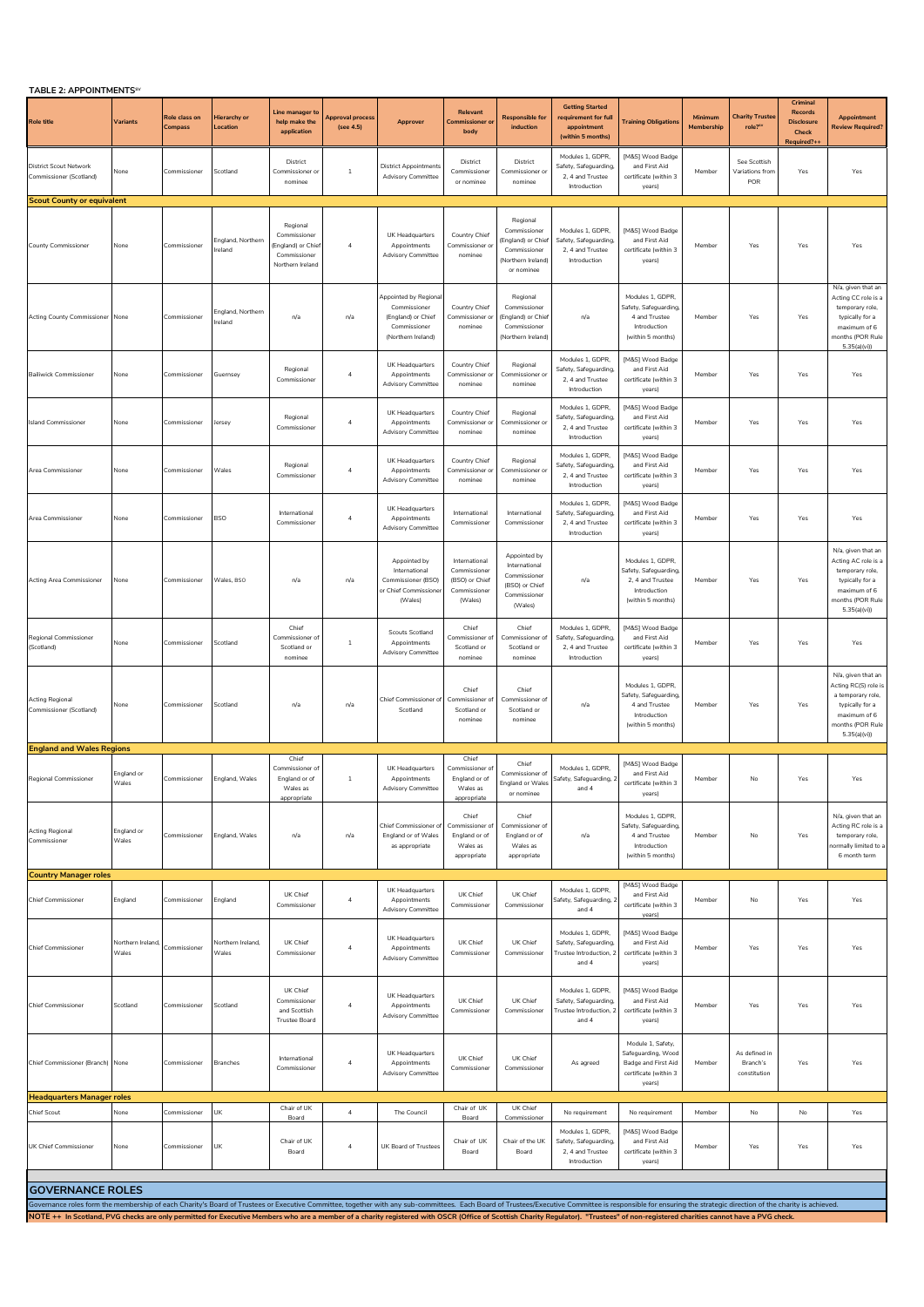**TABLE 2: APPOINTMENTSSV**

| <b>Role title</b>                                                                                                                                                                                                                                                                                                                                                                                                                                                | <b>Variants</b>            | Role class on<br>Compass     | <b>Hierarchy or</b><br>Location   | Line manager to<br>help make the<br>application                                  | Approval process<br>(see 4.5)    | Approver                                                                                         | Relevant<br><b>Commissioner</b> o<br>body                                  | <b>Responsible for</b><br>induction                                                               | <b>Getting Started</b><br>requirement for full<br>appointment<br>(within 5 months) | <b>Training Obligations</b>                                                                       | Minimum<br>Membership | <b>Charity Truster</b><br>role?"          | Crimina<br><b>Records</b><br><b>Disclosure</b><br><b>Check</b><br>Required?+ | <b>Appointment</b><br><b>Review Required?</b>                                                                                         |
|------------------------------------------------------------------------------------------------------------------------------------------------------------------------------------------------------------------------------------------------------------------------------------------------------------------------------------------------------------------------------------------------------------------------------------------------------------------|----------------------------|------------------------------|-----------------------------------|----------------------------------------------------------------------------------|----------------------------------|--------------------------------------------------------------------------------------------------|----------------------------------------------------------------------------|---------------------------------------------------------------------------------------------------|------------------------------------------------------------------------------------|---------------------------------------------------------------------------------------------------|-----------------------|-------------------------------------------|------------------------------------------------------------------------------|---------------------------------------------------------------------------------------------------------------------------------------|
| <b>District Scout Network</b><br>Commissioner (Scotland)                                                                                                                                                                                                                                                                                                                                                                                                         | None                       | Commissioner                 | Scotland                          | District<br>Commissioner o<br>nominee                                            | $\mathbf{1}$                     | <b>District Appointments</b><br><b>Advisory Committee</b>                                        | District<br>Commissioner<br>or nominee                                     | District<br>Commissioner o<br>nominee                                                             | Modules 1, GDPR,<br>Safety, Safeguarding,<br>2, 4 and Trustee<br>Introduction      | [M&S] Wood Badge<br>and First Aid<br>certificate (within 3<br>years)                              | Member                | See Scottish<br>Variations fron<br>POR    | Yes                                                                          | Yes                                                                                                                                   |
| <b>Scout County or equivalent</b>                                                                                                                                                                                                                                                                                                                                                                                                                                |                            |                              |                                   |                                                                                  |                                  |                                                                                                  |                                                                            |                                                                                                   |                                                                                    |                                                                                                   |                       |                                           |                                                                              |                                                                                                                                       |
| <b>County Commissioner</b>                                                                                                                                                                                                                                                                                                                                                                                                                                       | None                       | Commissioner                 | England, Northern<br>reland       | Regional<br>Commissioner<br>England) or Chie<br>Commissioner<br>Northern Ireland | 4                                | UK Headquarters<br>Appointments<br><b>Advisory Committee</b>                                     | Country Chief<br>Commissioner o<br>nominee                                 | Regional<br>Commissioner<br>England) or Chief<br>Commissioner<br>(Northern Ireland)<br>or nominee | Modules 1, GDPR,<br>Safety, Safeguarding,<br>2.4 and Trustee<br>Introduction       | [M&S] Wood Badge<br>and First Aid<br>certificate (within 3<br>years)                              | Member                | Yes                                       | Yes                                                                          | Yes                                                                                                                                   |
| Acting County Commissioner None                                                                                                                                                                                                                                                                                                                                                                                                                                  |                            | Commissioner                 | England, Northern<br>reland       | n/a                                                                              | n/a                              | Appointed by Regiona<br>Commissioner<br>(England) or Chief<br>Commissioner<br>(Northern Ireland) | Country Chief<br>Commissioner o<br>nominee                                 | Regional<br>Commissioner<br>(England) or Chief<br>Commissioner<br>(Northern Ireland)              | n/a                                                                                | Modules 1, GDPR<br>Safety, Safeguarding,<br>4 and Trustee<br>Introduction<br>(within 5 months)    | Member                | Yes                                       | Yes                                                                          | N/a, given that an<br>Acting CC role is a<br>temporary role,<br>typically for a<br>maximum of 6<br>months (POR Rule<br>5.35(a)(vi)    |
| <b>Bailiwick Commissioner</b>                                                                                                                                                                                                                                                                                                                                                                                                                                    | None                       | Commissione                  | Guernsey                          | Regional<br>Commissioner                                                         | 4                                | UK Headquarters<br>Appointments<br><b>Advisory Committee</b>                                     | Country Chief<br>Commissioner<br>nominee                                   | Regional<br>Commissioner o<br>nominee                                                             | Modules 1, GDPR,<br>Safety, Safeguarding,<br>2, 4 and Trustee<br>Introduction      | [M&S] Wood Badge<br>and First Aid<br>certificate (within 3<br>years)                              | Member                | Yes                                       | Yes                                                                          | Yes                                                                                                                                   |
| <b>Island Commissioner</b>                                                                                                                                                                                                                                                                                                                                                                                                                                       | None                       | Commissioner                 | lersey                            | Regional<br>Commissioner                                                         | $\overline{4}$                   | UK Headquarters<br>Appointments<br>Advisory Committee                                            | Country Chief<br>Commissioner o<br>nominee                                 | Regional<br>Commissioner or<br>nominee                                                            | Modules 1, GDPR,<br>Safety, Safeguarding,<br>2. 4 and Trustee<br>Introduction      | [M&S] Wood Badge<br>and First Aid<br>certificate (within 3<br>years)                              | Member                | Yes                                       | Yes                                                                          | Yes                                                                                                                                   |
| Area Commissioner                                                                                                                                                                                                                                                                                                                                                                                                                                                | None                       | Commissioner                 | Wales                             | Regional<br>Commissioner                                                         | $\overline{\bf 4}$               | UK Headquarters<br>Appointments<br><b>Advisory Committee</b>                                     | Country Chief<br>Commissioner o<br>nominee                                 | Regional<br>Commissioner o<br>nominee                                                             | Modules 1, GDPR,<br>Safety, Safeguarding,<br>2, 4 and Trustee<br>Introduction      | [M&S] Wood Badge<br>and First Aid<br>certificate (within 3<br>years)                              | Member                | Yes                                       | Yes                                                                          | Yes                                                                                                                                   |
| Area Commissioner                                                                                                                                                                                                                                                                                                                                                                                                                                                | None                       | Commissioner                 | <b>BSO</b>                        | International<br>Commissioner                                                    | $\overline{a}$                   | UK Headquarters<br>Appointments<br><b>Advisory Committee</b>                                     | International<br>Commissioner                                              | International<br>Commissioner                                                                     | Modules 1, GDPR,<br>Safety, Safeguarding,<br>2, 4 and Trustee<br>Introduction      | [M&S] Wood Badge<br>and First Aid<br>certificate (within 3<br>years)                              | Member                | Yes                                       | Yes                                                                          | Yes                                                                                                                                   |
| Acting Area Commissioner                                                                                                                                                                                                                                                                                                                                                                                                                                         | None                       | Commissioner                 | Wales, BSO                        | n/a                                                                              | n/a                              | Appointed by<br>International<br>Commissioner (BSO)<br>or Chief Commissione<br>(Wales)           | International<br>Commissioner<br>(BSO) or Chief<br>Commissioner<br>(Wales) | Appointed by<br>International<br>Commissioner<br>(BSO) or Chief<br>Commissioner<br>(Wales)        | n/a                                                                                | Modules 1, GDPR<br>Safety, Safeguarding<br>2, 4 and Trustee<br>Introduction<br>(within 5 months)  | Member                | Yes                                       | Yes                                                                          | N/a, given that an<br>Acting AC role is a<br>temporary role,<br>typically for a<br>maximum of 6<br>months (POR Rule<br>5.35(a)(vi)    |
| Regional Commissioner<br>(Scotland)                                                                                                                                                                                                                                                                                                                                                                                                                              | None                       | Commissioner                 | Scotland                          | Chief<br>Commissioner o<br>Scotland or<br>nominee                                | $\,1\,$                          | <b>Scouts Scotland</b><br>Appointments<br><b>Advisory Committee</b>                              | Chief<br>Commissioner of<br>Scotland or<br>nominee                         | Chief<br>Commissioner o<br>Scotland or<br>nominee                                                 | Modules 1, GDPR,<br>Safety, Safeguarding,<br>2, 4 and Trustee<br>Introduction      | [M&S] Wood Badge<br>and First Aid<br>certificate (within 3<br>years)                              | Member                | Yes                                       | Yes                                                                          | Yes                                                                                                                                   |
| <b>Acting Regional</b><br>Commissioner (Scotland)                                                                                                                                                                                                                                                                                                                                                                                                                | None                       | Commissioner                 | Scotland                          | n/a                                                                              | n/a                              | <b>Chief Commissioner of</b><br>Scotland                                                         | Chief<br>Commissioner o<br>Scotland or<br>nominee                          | Chief<br>Commissioner of<br>Scotland or<br>nominee                                                | n/a                                                                                | Modules 1, GDPR<br>Safety, Safeguarding,<br>4 and Trustee<br>Introduction<br>(within 5 months)    | Member                | Yes                                       | Yes                                                                          | N/a, given that an<br>Acting RC(S) role is<br>a temporary role,<br>typically for a<br>maximum of 6<br>months (POR Rule<br>5.35(a)(vi) |
| <b>England and Wales Regions</b>                                                                                                                                                                                                                                                                                                                                                                                                                                 |                            |                              |                                   | Chief                                                                            |                                  |                                                                                                  | Chief                                                                      |                                                                                                   |                                                                                    |                                                                                                   |                       |                                           |                                                                              |                                                                                                                                       |
| Regional Commissioner                                                                                                                                                                                                                                                                                                                                                                                                                                            | England or<br>Wales        | Commissioner                 | England, Wales                    | Commissioner o<br>England or of<br>Wales as<br>appropriate                       | $\overline{1}$                   | UK Headquarters<br>Appointments<br>dvisory Committee                                             | Commissioner of<br>England or of<br>M/alos<br>appropriate                  | Chief<br>Commissioner of<br>England or Wales<br>or nominee                                        | Modules 1, GDPR,<br>Safety, Safeguarding, 2<br>and 4                               | [M&S] Wood Badge<br>and First Aid<br>certificate (within 3<br>years)                              | Member                | No                                        | Yes                                                                          | Yes                                                                                                                                   |
| Acting Regional<br>Commissioner                                                                                                                                                                                                                                                                                                                                                                                                                                  | England or<br>Wales        | Commissioner                 | England, Wales                    | n/a                                                                              | n/a                              | Chief Commissioner of<br>England or of Wales<br>as appropriate                                   | Chief<br>Commissioner of<br>England or of<br>Wales as<br>appropriate       | Chief<br>Commissioner of<br>England or of<br>Wales as<br>appropriate                              | n/a                                                                                | Modules 1, GDPR,<br>Safety, Safeguarding,<br>4 and Trustee<br>Introduction<br>(within 5 months)   | Member                | No                                        | Yes                                                                          | N/a, given that an<br>Acting RC role is a<br>temporary role,<br>ormally limited to a<br>6 month term                                  |
| <b>Country Manager roles</b>                                                                                                                                                                                                                                                                                                                                                                                                                                     |                            |                              |                                   |                                                                                  |                                  | UK Headquarters                                                                                  |                                                                            |                                                                                                   | Modules 1, GDPR.                                                                   | [M&S] Wood Badge                                                                                  |                       |                                           |                                                                              |                                                                                                                                       |
| <b>Chief Commissioner</b>                                                                                                                                                                                                                                                                                                                                                                                                                                        | England                    | Commissioner                 | England                           | UK Chief<br>Commissioner                                                         | $\sqrt{4}$                       | Appointments<br>Advisory Committee                                                               | UK Chief<br>Commissioner                                                   | UK Chief<br>Commissioner                                                                          | Safety, Safeguarding, 2<br>and 4                                                   | and First Aid<br>certificate (within 3<br>years)                                                  | Member                | No                                        | Yes                                                                          | Yes                                                                                                                                   |
| <b>Chief Commissioner</b>                                                                                                                                                                                                                                                                                                                                                                                                                                        | Northern Ireland,<br>Wales | Commissioner                 | <b>Northern Ireland,</b><br>Wales | UK Chief<br>Commissioner                                                         | $\overline{a}$                   | UK Headquarters<br>Appointments<br><b>Advisory Committee</b>                                     | UK Chief<br>Commissioner                                                   | UK Chief<br>Commissioner                                                                          | Modules 1, GDPR,<br>Safety, Safeguarding,<br>Trustee Introduction, 2<br>and 4      | [M&S] Wood Badge<br>and First Aid<br>certificate (within 3<br>years)                              | Member                | Yes                                       | Yes                                                                          | Yes                                                                                                                                   |
| <b>Chief Commissioner</b>                                                                                                                                                                                                                                                                                                                                                                                                                                        | Scotland                   | Commissioner                 | Scotland                          | UK Chief<br>Commissioner<br>and Scottish<br>Trustee Board                        | $\overline{4}$                   | UK Headquarters<br>Appointments<br><b>Advisory Committee</b>                                     | UK Chief<br>Commissioner                                                   | UK Chief<br>Commissioner                                                                          | Modules 1, GDPR,<br>Safety, Safeguarding,<br>Trustee Introduction, 2<br>and 4      | [M&S] Wood Badge<br>and First Aid<br>certificate (within 3<br>years)                              | Member                | Yes                                       | Yes                                                                          | Yes                                                                                                                                   |
| Chief Commissioner (Branch) None                                                                                                                                                                                                                                                                                                                                                                                                                                 |                            | Commissioner                 | <b>Branches</b>                   | International<br>Commissioner                                                    | $\overline{4}$                   | UK Headquarters<br>Appointments<br>Advisory Committee                                            | UK Chief<br>Commissioner                                                   | UK Chief<br>Commissioner                                                                          | As agreed                                                                          | Module 1, Safety,<br>Safeguarding, Wood<br>Badge and First Aid<br>certificate (within 3<br>years) | Member                | As defined in<br>Branch's<br>constitution | Yes                                                                          | Yes                                                                                                                                   |
| <b>Headquarters Manager roles</b>                                                                                                                                                                                                                                                                                                                                                                                                                                |                            |                              |                                   | Chair of UK                                                                      |                                  |                                                                                                  | Chair of UK                                                                | UK Chief                                                                                          |                                                                                    |                                                                                                   |                       |                                           |                                                                              |                                                                                                                                       |
| Chief Scout<br>UK Chief Commissioner                                                                                                                                                                                                                                                                                                                                                                                                                             | None<br>None               | Commissioner<br>Commissioner | UK<br>UK                          | Board<br>Chair of UK<br>Board                                                    | $\overline{4}$<br>$\overline{4}$ | The Council<br>UK Board of Trustees                                                              | Board<br>Chair of UK<br>Board                                              | Commissioner<br>Chair of the UK<br>Board                                                          | No requirement<br>Modules 1, GDPR,<br>Safety, Safeguarding,<br>2, 4 and Trustee    | No requirement<br>[M&S] Wood Badge<br>and First Aid<br>certificate (within 3                      | Member<br>Member      | No<br>Yes                                 | No<br>Yes                                                                    | Yes<br>Yes                                                                                                                            |
|                                                                                                                                                                                                                                                                                                                                                                                                                                                                  |                            |                              |                                   |                                                                                  |                                  |                                                                                                  |                                                                            |                                                                                                   | Introduction                                                                       | years)                                                                                            |                       |                                           |                                                                              |                                                                                                                                       |
| <b>GOVERNANCE ROLES</b>                                                                                                                                                                                                                                                                                                                                                                                                                                          |                            |                              |                                   |                                                                                  |                                  |                                                                                                  |                                                                            |                                                                                                   |                                                                                    |                                                                                                   |                       |                                           |                                                                              |                                                                                                                                       |
| Governance roles form the membership of each Charity's Board of Trustees or Executive Committee, together with any sub-committees. Each Board of Trustees/Executive Committee is responsible for ensuring the strategic direct<br>NOTE ++ In Scotland, PVG checks are only permitted for Executive Members who are a member of a charity registered with OSCR (Office of Scottish Charity Regulator). "Trustees" of non-registered charities cannot have a PVG c |                            |                              |                                   |                                                                                  |                                  |                                                                                                  |                                                                            |                                                                                                   |                                                                                    |                                                                                                   |                       |                                           |                                                                              |                                                                                                                                       |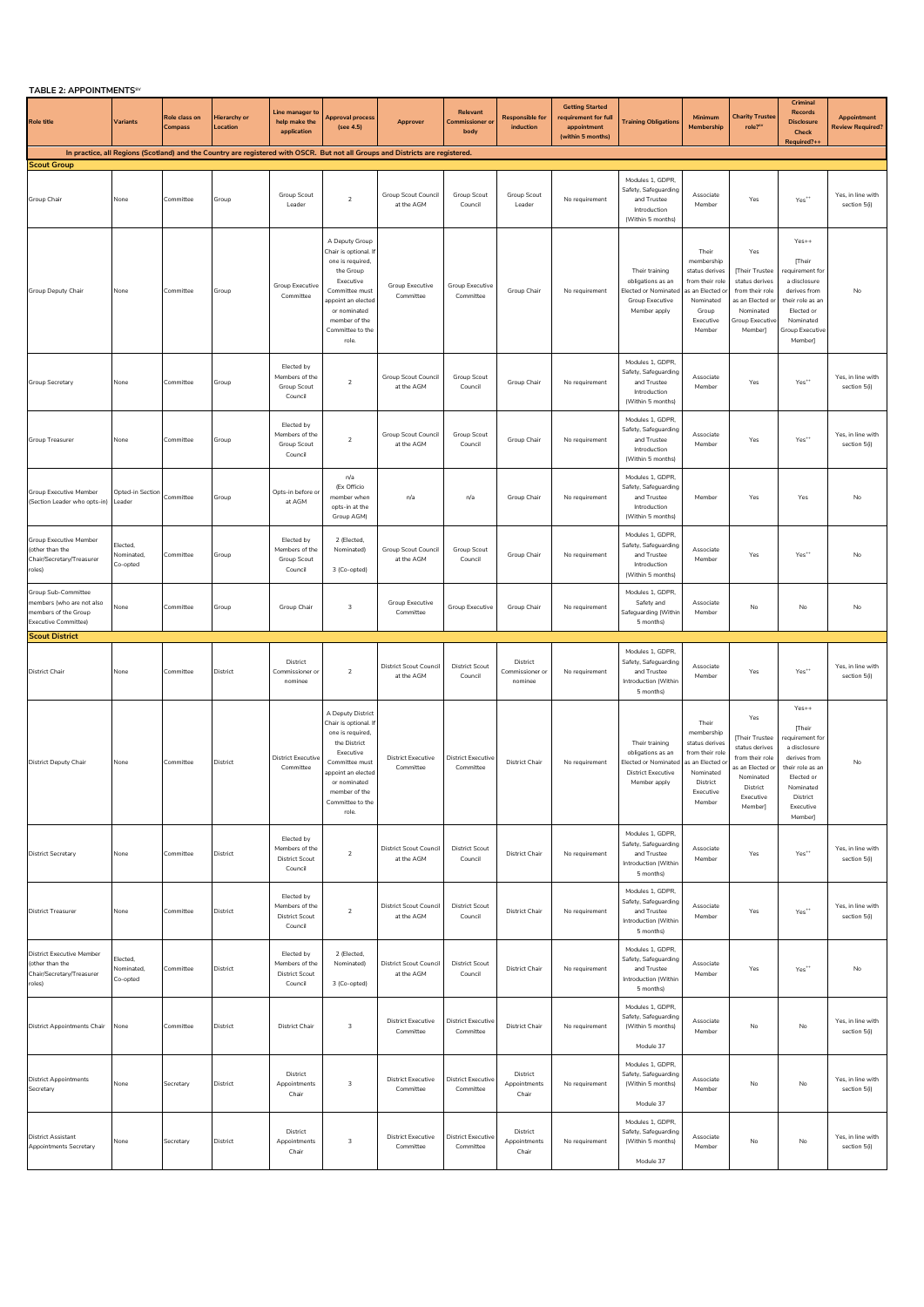| <b>TABLE 2: APPOINTMENTS<sup>s</sup></b>                                                                |                                    |                                 |                                 |                                                                  |                                                                                                                                                                                                   |                                                                                                                                |                                            |                                        |                                                                                    |                                                                                                          |                                                                                                                             |                                                                                                                                  |                                                                                                                                                         |                                               |
|---------------------------------------------------------------------------------------------------------|------------------------------------|---------------------------------|---------------------------------|------------------------------------------------------------------|---------------------------------------------------------------------------------------------------------------------------------------------------------------------------------------------------|--------------------------------------------------------------------------------------------------------------------------------|--------------------------------------------|----------------------------------------|------------------------------------------------------------------------------------|----------------------------------------------------------------------------------------------------------|-----------------------------------------------------------------------------------------------------------------------------|----------------------------------------------------------------------------------------------------------------------------------|---------------------------------------------------------------------------------------------------------------------------------------------------------|-----------------------------------------------|
| <b>Role title</b>                                                                                       | <b>Variants</b>                    | Role class on<br><b>Compass</b> | <b>Hierarchy or</b><br>Location | Line manager to<br>help make the<br>application                  | Approval process<br>(see 4.5)                                                                                                                                                                     | Approver                                                                                                                       | Relevant<br><b>Commissioner or</b><br>body | <b>Responsible for</b><br>induction    | <b>Getting Started</b><br>requirement for full<br>appointment<br>(within 5 months) | <b>Training Obligations</b>                                                                              | Minimum<br>Membership                                                                                                       | <b>Charity Trustee</b><br>role?"                                                                                                 | Criminal<br><b>Records</b><br><b>Disclosure</b><br>Check<br>Required?++                                                                                 | <b>Appointment</b><br><b>Review Required?</b> |
| <b>Scout Group</b>                                                                                      |                                    |                                 |                                 |                                                                  |                                                                                                                                                                                                   | In practice, all Regions (Scotland) and the Country are registered with OSCR. But not all Groups and Districts are registered. |                                            |                                        |                                                                                    |                                                                                                          |                                                                                                                             |                                                                                                                                  |                                                                                                                                                         |                                               |
| Group Chair                                                                                             | None                               | Committee                       | Group                           | Group Scout<br>Leader                                            | $\overline{2}$                                                                                                                                                                                    | Group Scout Council<br>at the AGM                                                                                              | Group Scout<br>Council                     | <b>Group Scout</b><br>Leader           | No requirement                                                                     | Modules 1, GDPR,<br>Safety, Safeguarding<br>and Trustee<br>Introduction<br>(Within 5 months)             | Associate<br>Member                                                                                                         | Yes                                                                                                                              | $\mathsf{Yes}^{**}$                                                                                                                                     | Yes, in line with<br>section 5(i)             |
| Group Deputy Chair                                                                                      | None                               | Committee                       | Group                           | <b>Group Executive</b><br>Committee                              | A Deputy Group<br>Chair is optional. If<br>one is required,<br>the Group<br>Executive<br>Committee must<br>ppoint an elected<br>or nominated<br>member of the<br>Committee to the<br>role.        | Group Executive<br>Committee                                                                                                   | Group Executive<br>Committee               | Group Chair                            | No requirement                                                                     | Their training<br>obligations as an<br><b>Elected or Nominated</b><br>Group Executive<br>Member apply    | Their<br>membership<br>status derives<br>from their role<br>s an Elected o<br>Nominated<br>Group<br>Executive<br>Member     | Yes<br>[Their Trustee<br>status derives<br>from their role<br>as an Elected or<br>Nominated<br><b>Group Executive</b><br>Member] | $Yes++$<br>[Their<br>requirement for<br>a disclosure<br>derives from<br>their role as an<br>Elected or<br>Nominated<br>Group Executive<br>Member]       | No                                            |
| Group Secretary                                                                                         | None                               | Committee                       | Group                           | Elected by<br>Members of the<br>Group Scout<br>Council           | $\sqrt{2}$                                                                                                                                                                                        | Group Scout Council<br>at the AGM                                                                                              | Group Scout<br>Council                     | Group Chair                            | No requirement                                                                     | Modules 1, GDPR,<br>Safety, Safeguarding<br>and Trustee<br>Introduction<br>(Within 5 months)             | Associate<br>Member                                                                                                         | Yes                                                                                                                              | $Yes**$                                                                                                                                                 | Yes, in line with<br>section 5(i)             |
| Group Treasurer                                                                                         | None                               | Committee                       | Group                           | Elected by<br>Members of the<br>Group Scout<br>Council           | $\overline{2}$                                                                                                                                                                                    | Group Scout Council<br>at the AGM                                                                                              | Group Scout<br>Council                     | Group Chair                            | No requirement                                                                     | Modules 1, GDPR,<br>Safety, Safeguarding<br>and Trustee<br>Introduction<br>(Within 5 months)             | Associate<br>Member                                                                                                         | Yes                                                                                                                              | $Yes**$                                                                                                                                                 | Yes, in line with<br>section 5(i)             |
| <b>Group Executive Member</b><br>(Section Leader who opts-in)                                           | Opted-in Section<br>Leader         | Committee                       | Group                           | Opts-in before or<br>at AGM                                      | n/a<br>(Ex Officio<br>member when<br>opts-in at the<br>Group AGM)                                                                                                                                 | n/a                                                                                                                            | n/a                                        | Group Chair                            | No requirement                                                                     | Modules 1, GDPR,<br>Safety, Safeguarding<br>and Trustee<br>Introduction<br>(Within 5 months)             | Member                                                                                                                      | Yes                                                                                                                              | Yes                                                                                                                                                     | No                                            |
| <b>Group Executive Member</b><br>(other than the<br>Chair/Secretary/Treasurer<br>roles)                 | Elected,<br>Nominated,<br>Co-opted | Committee                       | Group                           | Elected by<br>Members of the<br>Group Scout<br>Council           | 2 (Elected,<br>Nominated)<br>3 (Co-opted)                                                                                                                                                         | Group Scout Council<br>at the AGM                                                                                              | Group Scout<br>Council                     | Group Chair                            | No requirement                                                                     | Modules 1, GDPR,<br>Safety, Safeguarding<br>and Trustee<br>Introduction<br>(Within 5 months)             | Associate<br>Member                                                                                                         | Yes                                                                                                                              | Yes <sup>**</sup>                                                                                                                                       | No                                            |
| Group Sub-Committee<br>members (who are not also<br>members of the Group<br><b>Executive Committee)</b> | None                               | Committee                       | Group                           | Group Chair                                                      | $\mathsf 3$                                                                                                                                                                                       | Group Executive<br>Committee                                                                                                   | Group Executive                            | Group Chair                            | No requirement                                                                     | Modules 1, GDPR,<br>Safety and<br>Safeguarding (Within<br>5 months)                                      | Associate<br>Member                                                                                                         | No                                                                                                                               | No                                                                                                                                                      | No                                            |
|                                                                                                         |                                    |                                 |                                 |                                                                  |                                                                                                                                                                                                   |                                                                                                                                |                                            |                                        |                                                                                    |                                                                                                          |                                                                                                                             |                                                                                                                                  |                                                                                                                                                         |                                               |
| <b>Scout District</b>                                                                                   |                                    |                                 |                                 |                                                                  |                                                                                                                                                                                                   |                                                                                                                                |                                            |                                        |                                                                                    |                                                                                                          |                                                                                                                             |                                                                                                                                  |                                                                                                                                                         |                                               |
| <b>District Chair</b>                                                                                   | None                               | Committee                       | District                        | District<br>Commissioner or<br>nominee                           | $\sqrt{2}$                                                                                                                                                                                        | <b>District Scout Council</b><br>at the AGM                                                                                    | <b>District Scout</b><br>Council           | District<br>Commissioner or<br>nominee | No requirement                                                                     | Modules 1, GDPR,<br>Safety, Safeguarding<br>and Trustee<br>Introduction (Within<br>5 months)             | Associate<br>Member                                                                                                         | Yes                                                                                                                              | Yes**                                                                                                                                                   | Yes, in line with<br>section 5(i)             |
| <b>District Deputy Chair</b>                                                                            | None                               | Committee                       | District                        | <b>District Executive</b><br>Committee                           | A Deputy District<br>Chair is optional. If<br>one is required,<br>the District<br>Executive<br>Committee must<br>appoint an elected<br>or nominated<br>member of the<br>Committee to the<br>role. | <b>District Executive</b><br>Committee                                                                                         | <b>District Executive</b><br>Committee     | <b>District Chair</b>                  | No requirement                                                                     | Their training<br>obligations as an<br>Elected or Nominated<br><b>District Executive</b><br>Member apply | Their<br>membership<br>status derives<br>from their role<br>as an Elected o<br>Nominated<br>District<br>Executive<br>Member | Yes<br>[Their Trustee<br>status derives<br>from their role<br>as an Elected or<br>Nominated<br>District<br>Executive<br>Memberl  | $Yes++$<br>[Their<br>requirement for<br>a disclosure<br>derives from<br>their role as ar<br>Elected or<br>Nominated<br>District<br>Executive<br>Member] | $\mathsf{No}$                                 |
| <b>District Secretary</b>                                                                               | None                               | Committee                       | District                        | Elected by<br>Members of the<br><b>District Scout</b><br>Council | $\overline{2}$                                                                                                                                                                                    | District Scout Council<br>at the AGM                                                                                           | <b>District Scout</b><br>Council           | <b>District Chair</b>                  | No requirement                                                                     | Modules 1, GDPR,<br>Safety, Safeguarding<br>and Trustee<br>Introduction (Within<br>5 months)             | Associate<br>Member                                                                                                         | Yes                                                                                                                              | Yes <sup>**</sup>                                                                                                                                       | Yes, in line with<br>section 5(i)             |
| <b>District Treasurer</b>                                                                               | None                               | Committee                       | District                        | Elected by<br>Members of the<br>District Scout<br>Council        | $\sqrt{2}$                                                                                                                                                                                        | District Scout Council<br>at the AGM                                                                                           | <b>District Scout</b><br>Council           | <b>District Chair</b>                  | No requirement                                                                     | Modules 1, GDPR,<br>Safety, Safeguarding<br>and Trustee<br>Introduction (Within<br>5 months)             | Associate<br>Member                                                                                                         | Yes                                                                                                                              | $\mathsf{Yes}^{**}$                                                                                                                                     | Yes, in line with<br>section 5(i)             |
| <b>District Executive Member</b><br>(other than the<br>Chair/Secretary/Treasurer<br>roles)              | Elected,<br>Nominated,<br>Co-opted | Committee                       | District                        | Elected by<br>Members of the<br><b>District Scout</b><br>Council | 2 (Elected,<br>Nominated)<br>3 (Co-opted)                                                                                                                                                         | District Scout Council<br>at the AGM                                                                                           | <b>District Scout</b><br>Council           | District Chair                         | No requirement                                                                     | Modules 1, GDPR,<br>Safety, Safeguarding<br>and Trustee<br>Introduction (Within<br>5 months)             | Associate<br>Member                                                                                                         | Yes                                                                                                                              | Yes <sup>**</sup>                                                                                                                                       | No                                            |
| <b>District Appointments Chair</b>                                                                      | None                               | Committee                       | District                        | <b>District Chair</b>                                            | 3                                                                                                                                                                                                 | <b>District Executive</b><br>Committee                                                                                         | <b>District Executive</b><br>Committee     | <b>District Chair</b>                  | No requirement                                                                     | Modules 1, GDPR,<br>Safety, Safeguarding<br>(Within 5 months)<br>Module 37                               | Associate<br>Member                                                                                                         | No                                                                                                                               | No                                                                                                                                                      | Yes, in line with<br>section 5(i)             |
| <b>District Appointments</b><br>Secretary                                                               | None                               | Secretary                       | District                        | District<br>Appointments<br>Chair                                | 3                                                                                                                                                                                                 | <b>District Executive</b><br>Committee                                                                                         | <b>District Executive</b><br>Committee     | District<br>Appointments<br>Chair      | No requirement                                                                     | Modules 1, GDPR,<br>Safety, Safeguarding<br>(Within 5 months)<br>Module 37                               | Associate<br>Member                                                                                                         | No                                                                                                                               | No                                                                                                                                                      | Yes, in line with<br>section 5(i)             |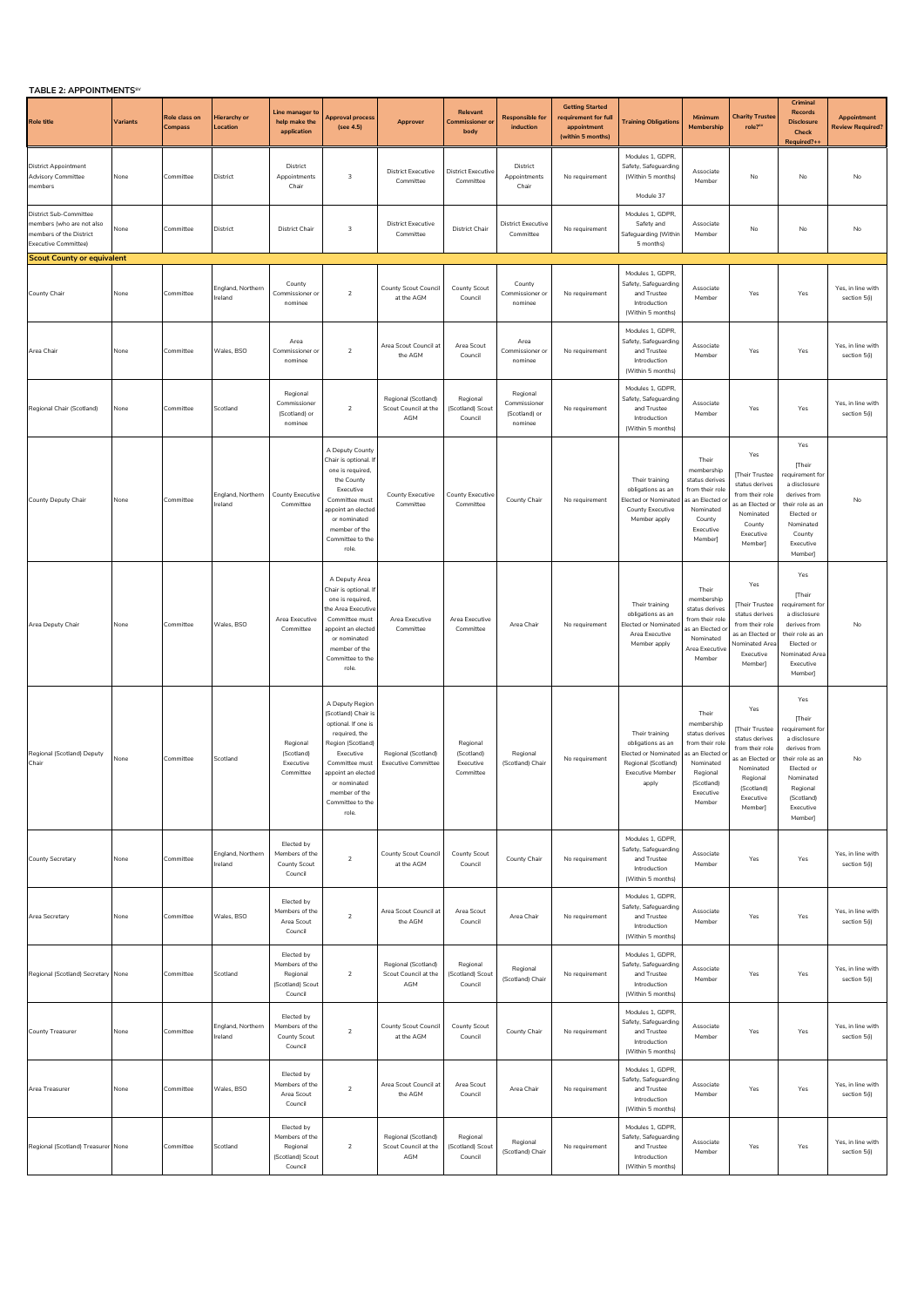| TABLE 2: APPOINTMENTS <sup>SV</sup>                                                                                  |          |                          |                                 |                                                                         |                                                                                                                                                                                                                        |                                                    |                                                  |                                                      |                                                                                    |                                                                                                                        |                                                                                                                                          |                                                                                                                                               |                                                                                                                                                                   |                                        |
|----------------------------------------------------------------------------------------------------------------------|----------|--------------------------|---------------------------------|-------------------------------------------------------------------------|------------------------------------------------------------------------------------------------------------------------------------------------------------------------------------------------------------------------|----------------------------------------------------|--------------------------------------------------|------------------------------------------------------|------------------------------------------------------------------------------------|------------------------------------------------------------------------------------------------------------------------|------------------------------------------------------------------------------------------------------------------------------------------|-----------------------------------------------------------------------------------------------------------------------------------------------|-------------------------------------------------------------------------------------------------------------------------------------------------------------------|----------------------------------------|
| <b>Role title</b>                                                                                                    | Variants | Role class on<br>Compass | <b>Hierarchy or</b><br>Location | Line manager to<br>help make the<br>application                         | <b>Approval process</b><br>(see 4.5)                                                                                                                                                                                   | Approver                                           | <b>Relevant</b><br>Commissioner o<br>body        | <b>Responsible for</b><br>induction                  | <b>Getting Started</b><br>requirement for full<br>appointment<br>(within 5 months) | <b>Training Obligations</b>                                                                                            | Minimum<br>Membership                                                                                                                    | <b>Charity Trustee</b><br>role? <sup>sv</sup>                                                                                                 | Criminal<br><b>Records</b><br><b>Disclosure</b><br>Check<br>Required?+                                                                                            | Appointment<br><b>Review Required?</b> |
| <b>District Appointment</b><br><b>Advisory Committee</b><br>members                                                  | None     | Committee                | District                        | District<br>Appointments<br>Chair                                       | 3                                                                                                                                                                                                                      | <b>District Executive</b><br>Committee             | <b>District Executive</b><br>Committee           | District<br>Appointments<br>Chair                    | No requirement                                                                     | Modules 1, GDPR,<br>Safety, Safeguarding<br>(Within 5 months)<br>Module 37                                             | Associate<br>Member                                                                                                                      | No                                                                                                                                            | No                                                                                                                                                                | No                                     |
| <b>District Sub-Committee</b><br>members (who are not also<br>members of the District<br><b>Executive Committee)</b> | None     | Committee                | District                        | <b>District Chair</b>                                                   | 3                                                                                                                                                                                                                      | <b>District Executive</b><br>Committee             | <b>District Chair</b>                            | <b>District Executive</b><br>Committee               | No requirement                                                                     | Modules 1, GDPR,<br>Safety and<br>Safeguarding (Within<br>5 months)                                                    | Associate<br>Member                                                                                                                      | No                                                                                                                                            | No                                                                                                                                                                | No                                     |
| <b>Scout County or equivalent</b>                                                                                    |          |                          |                                 |                                                                         |                                                                                                                                                                                                                        |                                                    |                                                  |                                                      |                                                                                    |                                                                                                                        |                                                                                                                                          |                                                                                                                                               |                                                                                                                                                                   |                                        |
| County Chair                                                                                                         | None     | Committee                | England, Northern<br>reland     | County<br>Commissioner or<br>nominee                                    | $\overline{2}$                                                                                                                                                                                                         | County Scout Council<br>at the AGM                 | County Scout<br>Council                          | County<br>Commissioner or<br>nominee                 | No requirement                                                                     | Modules 1, GDPR,<br>Safety, Safeguarding<br>and Trustee<br>Introduction<br>(Within 5 months)                           | Associate<br>Member                                                                                                                      | Yes                                                                                                                                           | Yes                                                                                                                                                               | Yes, in line with<br>section 5(i)      |
| Area Chair                                                                                                           | None     | Committee                | Wales, BSO                      | Area<br>Commissioner of<br>nominee                                      | $\overline{2}$                                                                                                                                                                                                         | Area Scout Council at<br>the AGM                   | Area Scout<br>Council                            | Area<br>Commissioner or<br>nominee                   | No requirement                                                                     | Modules 1, GDPR,<br>Safety, Safeguarding<br>and Trustee<br>Introduction<br>(Within 5 months)                           | Associate<br>Member                                                                                                                      | Yes                                                                                                                                           | Yes                                                                                                                                                               | Yes, in line with<br>section 5(i)      |
| Regional Chair (Scotland)                                                                                            | None     | Committee                | Scotland                        | Regional<br>Commissioner<br>(Scotland) or<br>nominee                    | $\overline{2}$                                                                                                                                                                                                         | Regional (Scotland)<br>Scout Council at the<br>AGM | Regional<br>(Scotland) Scout<br>Council          | Regional<br>Commissioner<br>(Scotland) or<br>nominee | No requirement                                                                     | Modules 1, GDPR,<br>Safety, Safeguarding<br>and Trustee<br>Introduction<br>(Within 5 months)                           | Associate<br>Member                                                                                                                      | Yes                                                                                                                                           | Yes                                                                                                                                                               | Yes, in line with<br>section 5(i)      |
| County Deputy Chair                                                                                                  | None     | Committee                | England, Northern<br>reland     | County Executive<br>Committee                                           | A Deputy County<br>Chair is optional. If<br>one is required,<br>the County<br>Executive<br>Committee must<br>appoint an elected<br>or nominated<br>member of the<br>Committee to the<br>role.                          | County Executive<br>Committee                      | County Executive<br>Committee                    | County Chair                                         | No requirement                                                                     | Their training<br>obligations as an<br>Elected or Nominated<br>County Executive<br>Member apply                        | Their<br>membership<br>status derives<br>from their role<br>as an Elected o<br>Nominated<br>County<br>Executive<br>Member                | Yes<br>[Their Trustee<br>status derives<br>from their role<br>as an Elected o<br>Nominated<br>County<br>Executive<br>Member]                  | Yes<br>[Their<br>requirement for<br>a disclosure<br>derives from<br>their role as an<br>Elected or<br>Nominated<br>County<br>Executive<br>Member]                 | No                                     |
| Area Deputy Chair                                                                                                    | None     | Committee                | Wales, BSO                      | Area Executive<br>Committee                                             | A Deputy Area<br>Chair is optional. If<br>one is required,<br>the Area Executive<br>Committee must<br>appoint an elected<br>or nominated<br>member of the<br>Committee to the<br>role.                                 | Area Executive<br>Committee                        | Area Executive<br>Committee                      | Area Chair                                           | No requirement                                                                     | Their training<br>obligations as an<br><b>Elected or Nominated</b><br>Area Executive<br>Member apply                   | Their<br>membership<br>status derives<br>from their role<br>as an Elected o<br>Nominated<br>Area Executive<br>Member                     | Yes<br>Their Trustee<br>status derives<br>from their role<br>as an Elected or<br>ominated Are<br>Executive<br>Member]                         | Yes<br><b>Their</b><br>requirement for<br>a disclosure<br>derives from<br>their role as an<br>Elected or<br>Nominated Area<br>Executive<br>Member]                | No                                     |
| Regional (Scotland) Deputy<br>Chair                                                                                  | None     | Committee                | Scotland                        | Regional<br>(Scotland)<br>Executive<br>Committee                        | A Deputy Region<br>(Scotland) Chair is<br>optional. If one is<br>required, the<br>Region (Scotland)<br>Executive<br>Committee must<br>appoint an elected<br>or nominated<br>member of the<br>Committee to the<br>role. | Regional (Scotland)<br><b>Executive Committee</b>  | Regional<br>(Scotland)<br>Executive<br>Committee | Regional<br>(Scotland) Chair                         | No requirement                                                                     | Their training<br>obligations as an<br>Elected or Nominated<br>Regional (Scotland)<br><b>Executive Member</b><br>apply | Their<br>membership<br>status derives<br>from their role<br>s an Elected o<br>Nominated<br>Regional<br>(Scotland)<br>Executive<br>Member | Yes<br>[Their Trustee<br>status derives<br>from their role<br>as an Elected or<br>Nominated<br>Regional<br>(Scotland)<br>Executive<br>Member] | Yes<br>[Their<br>requirement for<br>a disclosure<br>derives from<br>their role as an<br>Elected or<br>Nominator<br>Regional<br>(Scotland)<br>Executive<br>Member] | No                                     |
| County Secretary                                                                                                     | None     | Committee                | England, Northern<br>reland     | Elected by<br>Members of the<br>County Scout<br>Council                 | $\overline{2}$                                                                                                                                                                                                         | County Scout Council<br>at the AGM                 | County Scout<br>Council                          | County Chair                                         | No requirement                                                                     | Modules 1, GDPR,<br>Safety, Safeguarding<br>and Trustee<br>Introduction<br>(Within 5 months)                           | Associate<br>Member                                                                                                                      | Yes                                                                                                                                           | Yes                                                                                                                                                               | Yes, in line with<br>section 5(i)      |
| Area Secretary                                                                                                       | None     | Committee                | Wales, BSO                      | Elected by<br>Members of the<br>Area Scout<br>Council                   | $\overline{2}$                                                                                                                                                                                                         | Area Scout Council at<br>the AGM                   | Area Scout<br>Council                            | Area Chair                                           | No requirement                                                                     | Modules 1. GDPR.<br>Safety, Safeguarding<br>and Trustee<br>Introduction<br>(Within 5 months)                           | Associate<br>Member                                                                                                                      | Yes                                                                                                                                           | Yes                                                                                                                                                               | Yes, in line with<br>section 5(i)      |
| Regional (Scotland) Secretary                                                                                        | None     | Committee                | Scotland                        | Elected by<br>Members of the<br>Regional<br>(Scotland) Scout<br>Council | $\overline{2}$                                                                                                                                                                                                         | Regional (Scotland)<br>Scout Council at the<br>AGM | Regional<br>(Scotland) Scout<br>Council          | Regional<br>(Scotland) Chair                         | No requirement                                                                     | Modules 1, GDPR,<br>Safety, Safeguarding<br>and Trustee<br>Introduction<br>(Within 5 months)                           | Associate<br>Member                                                                                                                      | Yes                                                                                                                                           | Yes                                                                                                                                                               | Yes, in line with<br>section 5(i)      |
| County Treasurer                                                                                                     | None     | Committee                | England, Northern<br>Ireland    | Elected by<br>Members of the<br>County Scout<br>Council                 | $\overline{2}$                                                                                                                                                                                                         | County Scout Council<br>at the AGM                 | County Scout<br>Council                          | County Chair                                         | No requirement                                                                     | Modules 1, GDPR,<br>Safety, Safeguarding<br>and Trustee<br>Introduction<br>(Within 5 months)                           | Associate<br>Member                                                                                                                      | Yes                                                                                                                                           | Yes                                                                                                                                                               | Yes, in line with<br>section 5(i)      |
| Area Treasurer                                                                                                       | None     | Committee                | Wales, BSO                      | Elected by<br>Members of the<br>Area Scout<br>Council                   | $\overline{2}$                                                                                                                                                                                                         | Area Scout Council at<br>the AGM                   | Area Scout<br>Council                            | Area Chair                                           | No requirement                                                                     | Modules 1, GDPR,<br>Safety, Safeguarding<br>and Trustee<br>Introduction<br>(Within 5 months)                           | Associate<br>Member                                                                                                                      | Yes                                                                                                                                           | Yes                                                                                                                                                               | Yes, in line with<br>section 5(i)      |
| Regional (Scotland) Treasurer None                                                                                   |          | Committee                | Scotland                        | Elected by<br>Members of the<br>Regional<br>(Scotland) Scout<br>Council | $\overline{2}$                                                                                                                                                                                                         | Regional (Scotland)<br>Scout Council at the<br>AGM | Regional<br>(Scotland) Scout<br>Council          | Regional<br>(Scotland) Chair                         | No requirement                                                                     | Modules 1, GDPR,<br>Safety, Safeguarding<br>and Trustee<br>Introduction<br>(Within 5 months)                           | Associate<br>Member                                                                                                                      | Yes                                                                                                                                           | Yes                                                                                                                                                               | Yes, in line with<br>section 5(i)      |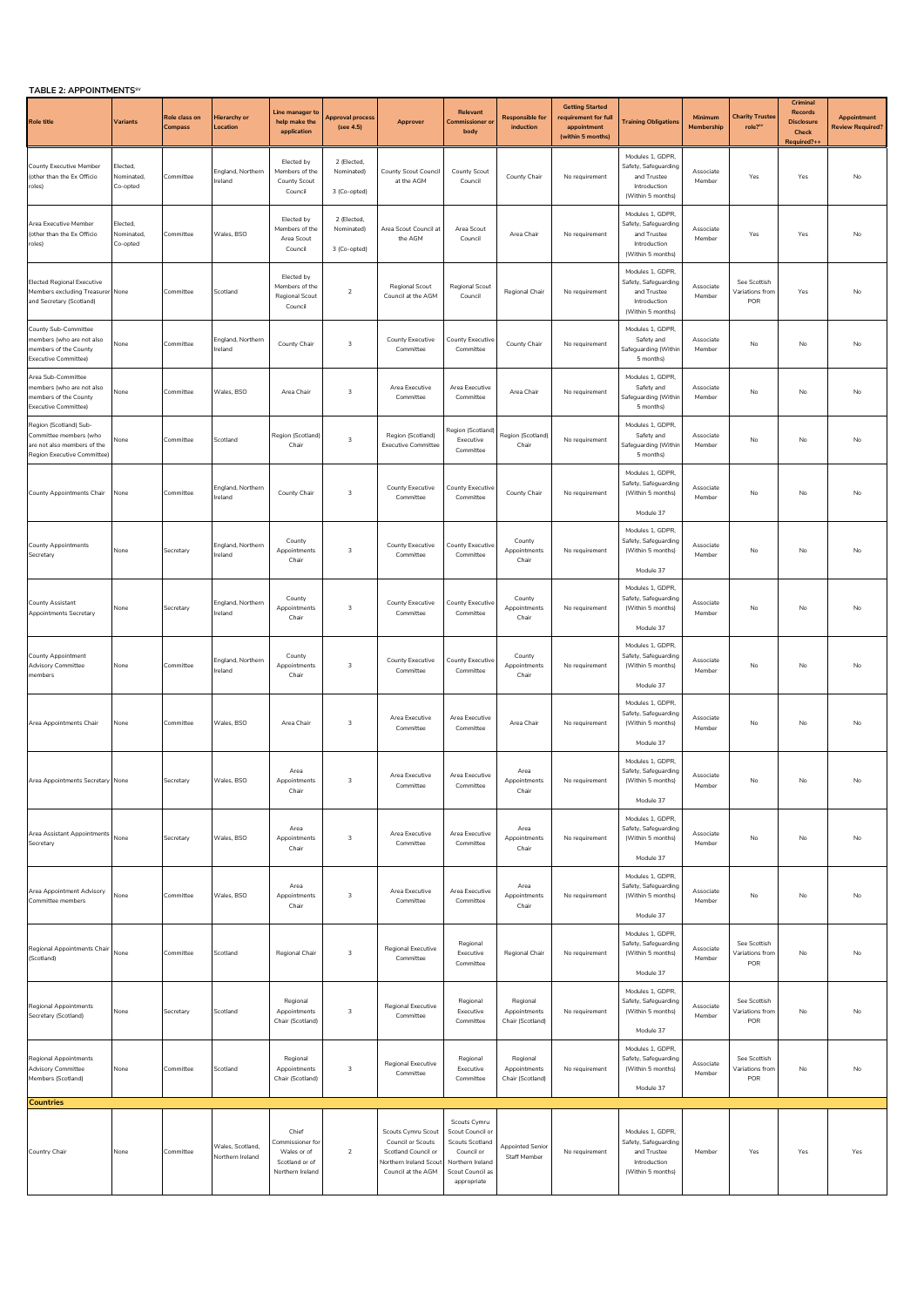| TABLE 2: APPOINTMENTS <sup>SV</sup>                                                                            |                                    |                          |                                      |                                                                                |                                           |                                                                                                                      |                                                                                                                          |                                              |                                                                                    |                                                                                              |                       |                                               |                                                                        |                                        |
|----------------------------------------------------------------------------------------------------------------|------------------------------------|--------------------------|--------------------------------------|--------------------------------------------------------------------------------|-------------------------------------------|----------------------------------------------------------------------------------------------------------------------|--------------------------------------------------------------------------------------------------------------------------|----------------------------------------------|------------------------------------------------------------------------------------|----------------------------------------------------------------------------------------------|-----------------------|-----------------------------------------------|------------------------------------------------------------------------|----------------------------------------|
| <b>Role title</b>                                                                                              | Variants                           | Role class on<br>Compass | <b>Hierarchy or</b><br>Location      | Line manager to<br>help make the<br>application                                | Approval process<br>(see 4.5)             | Approver                                                                                                             | Relevant<br>Commissioner or<br>body                                                                                      | <b>Responsible for</b><br>induction          | <b>Getting Started</b><br>requirement for full<br>appointment<br>(within 5 months) | <b>Training Obligations</b>                                                                  | Minimum<br>Membership | <b>Charity Trustee</b><br>role? <sup>5V</sup> | Criminal<br><b>Records</b><br><b>Disclosure</b><br>Check<br>Required?+ | Appointment<br><b>Review Required?</b> |
| County Executive Member<br>(other than the Ex Officio<br>roles)                                                | Elected,<br>Nominated.<br>Co-opted | Committee                | England, Northern<br>Ireland         | Elected by<br>Members of the<br>County Scout<br>Council                        | 2 (Elected,<br>Nominated)<br>3 (Co-opted) | County Scout Council<br>at the AGM                                                                                   | County Scout<br>Council                                                                                                  | County Chair                                 | No requirement                                                                     | Modules 1, GDPR,<br>Safety, Safeguarding<br>and Trustee<br>Introduction<br>(Within 5 months) | Associate<br>Member   | Yes                                           | Yes                                                                    | No                                     |
| Area Executive Member<br>(other than the Ex Officio<br>roles)                                                  | Elected,<br>Nominated,<br>Co-opted | Committee                | Wales, BSO                           | Elected by<br>Members of the<br>Area Scout<br>Council                          | 2 (Elected,<br>Nominated)<br>3 (Co-opted) | Area Scout Council at<br>the AGM                                                                                     | Area Scout<br>Council                                                                                                    | Area Chair                                   | No requirement                                                                     | Modules 1, GDPR,<br>Safety, Safeguarding<br>and Trustee<br>Introduction<br>(Within 5 months) | Associate<br>Member   | Yes                                           | Yes                                                                    | No                                     |
| <b>Elected Regional Executive</b><br>Members excluding Treasurer None<br>and Secretary (Scotland)              |                                    | Committee                | Scotland                             | Elected by<br>Members of the<br>Regional Scout<br>Council                      | $\overline{2}$                            | Regional Scout<br>Council at the AGM                                                                                 | Regional Scout<br>Council                                                                                                | Regional Chair                               | No requirement                                                                     | Modules 1, GDPR,<br>Safety, Safeguarding<br>and Trustee<br>Introduction<br>(Within 5 months) | Associate<br>Member   | See Scottish<br>Variations fron<br>POR        | Yes                                                                    | No                                     |
| County Sub-Committee<br>nembers (who are not also<br>nembers of the County<br>Executive Committee)             | None                               | Committee                | England, Northern<br>Ireland         | County Chair                                                                   | 3                                         | <b>County Executive</b><br>Committee                                                                                 | County Executive<br>Committee                                                                                            | County Chair                                 | No requirement                                                                     | Modules 1, GDPR,<br>Safety and<br>Safeguarding (Within<br>5 months)                          | Associate<br>Member   | No                                            | No                                                                     | No                                     |
| Area Sub-Committee<br>members (who are not also<br>members of the County<br><b>Executive Committee)</b>        | None                               | Committee                | Wales, BSO                           | Area Chair                                                                     | 3                                         | Area Executive<br>Committee                                                                                          | Area Executive<br>Committee                                                                                              | Area Chair                                   | No requirement                                                                     | Modules 1, GDPR,<br>Safety and<br>Safeguarding (Within<br>5 months)                          | Associate<br>Member   | No                                            | No                                                                     | No                                     |
| Region (Scotland) Sub-<br>Committee members (who<br>are not also members of the<br>Region Executive Committee) | None                               | Committee                | Scotland                             | Region (Scotland)<br>Chair                                                     | $\overline{3}$                            | Region (Scotland)<br><b>Executive Committee</b>                                                                      | Region (Scotland)<br>Executive<br>Committee                                                                              | Region (Scotland)<br>Chair                   | No requirement                                                                     | Modules 1, GDPR<br>Safety and<br>Safeguarding (Within<br>5 months)                           | Associate<br>Member   | No                                            | No                                                                     | No                                     |
| County Appointments Chair                                                                                      | None                               | Committee                | England, Northern<br>Ireland         | County Chair                                                                   | $\overline{3}$                            | County Executive<br>Committee                                                                                        | County Executive<br>Committee                                                                                            | County Chair                                 | No requirement                                                                     | Modules 1, GDPR,<br>Safety, Safeguarding<br>(Within 5 months)<br>Module 37                   | Associate<br>Member   | No                                            | No                                                                     | No                                     |
| County Appointments<br>Secretary                                                                               | None                               | Secretary                | England, Northern<br>Ireland         | County<br>Appointments<br>Chair                                                | 3                                         | <b>County Executive</b><br>Committee                                                                                 | County Executive<br>Committee                                                                                            | County<br>Appointments<br>Chair              | No requirement                                                                     | Modules 1, GDPR,<br>Safety, Safeguarding<br>(Within 5 months)<br>Module 37                   | Associate<br>Member   | No                                            | No                                                                     | No                                     |
| County Assistant<br>Appointments Secretary                                                                     | None                               | Secretary                | England, Northern<br>reland          | County<br>Appointments<br>Chair                                                | 3                                         | County Executive<br>Committee                                                                                        | County Executive<br>Committee                                                                                            | County<br>Appointments<br>Chair              | No requirement                                                                     | Modules 1, GDPR,<br>Safety, Safeguarding<br>(Within 5 months)<br>Module 37                   | Associate<br>Member   | No                                            | No                                                                     | No                                     |
| County Appointment<br><b>Advisory Committee</b><br>members                                                     | None                               | Committee                | England, Northern<br>Ireland         | County<br>Appointments<br>Chair                                                | 3                                         | <b>County Executive</b><br>Committee                                                                                 | County Executive<br>Committee                                                                                            | County<br>Appointments<br>Chair              | No requirement                                                                     | Modules 1, GDPR,<br>Safety, Safeguarding<br>(Within 5 months)<br>Module 37                   | Associate<br>Member   | No                                            | No                                                                     | No                                     |
| Area Appointments Chair                                                                                        | None                               | Committee                | Wales, BSO                           | Area Chair                                                                     | 3                                         | Area Executive<br>Committee                                                                                          | Area Executive<br>Committee                                                                                              | Area Chair                                   | No requirement                                                                     | Modules 1, GDPR,<br>Safety, Safeguarding<br>(Within 5 months)<br>Module 37                   | Associate<br>Member   | No                                            | No                                                                     | No                                     |
| Area Appointments Secretary                                                                                    | vone                               | secretary                | Vales, BSO                           | Area<br>Appointments<br>Chair                                                  |                                           | Area Executive<br>Committee                                                                                          | Area Executive<br>Committee                                                                                              | Area<br>Appointments<br>Chair                | No requirement                                                                     | Modules 1, GDPR,<br>Safety, Safeguarding<br>(Within 5 months)<br>Module 37                   | Associate<br>Member   | No                                            | No                                                                     |                                        |
| Area Assistant Appointments<br>Secretary                                                                       | None                               | Secretary                | Wales, BSO                           | Area<br>Appointments<br>Chair                                                  | 3                                         | Area Executive<br>Committee                                                                                          | Area Executive<br>Committee                                                                                              | Area<br>Appointments<br>Chair                | No requirement                                                                     | Modules 1, GDPR,<br>Safety, Safeguarding<br>(Within 5 months)<br>Module 37                   | Associate<br>Member   | No                                            | No                                                                     | No                                     |
| Area Appointment Advisory<br>Committee members                                                                 | None                               | Committee                | Wales, BSO                           | Area<br>Appointments<br>Chair                                                  | $\overline{3}$                            | Area Executive<br>Committee                                                                                          | Area Executive<br>Committee                                                                                              | Area<br>Appointments<br>Chair                | No requirement                                                                     | Modules 1, GDPR,<br>Safety, Safeguarding<br>(Within 5 months)<br>Module 37                   | Associate<br>Member   | No                                            | No                                                                     | No                                     |
| Regional Appointments Chair<br>(Scotland)                                                                      | None                               | Committee                | Scotland                             | Regional Chair                                                                 | $\overline{3}$                            | Regional Executive<br>Committee                                                                                      | Regional<br>Executive<br>Committee                                                                                       | Regional Chair                               | No requirement                                                                     | Modules 1, GDPR,<br>Safety, Safeguarding<br>(Within 5 months)<br>Module 37                   | Associate<br>Member   | See Scottish<br>Variations from<br>POR        | No                                                                     | No                                     |
| Regional Appointments<br>Secretary (Scotland)                                                                  | None                               | Secretary                | Scotland                             | Regional<br>Appointments<br>Chair (Scotland)                                   | 3                                         | Regional Executive<br>Committee                                                                                      | Regional<br>Executive<br>Committee                                                                                       | Regional<br>Appointments<br>Chair (Scotland) | No requirement                                                                     | Modules 1, GDPR,<br>Safety, Safeguarding<br>(Within 5 months)<br>Module 37                   | Associate<br>Member   | See Scottish<br>Variations from<br>POR        | No                                                                     | No                                     |
| Regional Appointments<br><b>Advisory Committee</b><br>Members (Scotland)                                       | None                               | Committee                | Scotland                             | Regional<br>Appointments<br>Chair (Scotland)                                   | 3                                         | Regional Executive<br>Committee                                                                                      | Regional<br>Executive<br>Committee                                                                                       | Regional<br>Appointments<br>Chair (Scotland) | No requirement                                                                     | Modules 1, GDPR,<br>Safety, Safeguarding<br>(Within 5 months)<br>Module 37                   | Associate<br>Member   | See Scottish<br>Variations from<br>POR        | No                                                                     | No                                     |
| <b>Countries</b>                                                                                               |                                    |                          |                                      |                                                                                |                                           |                                                                                                                      |                                                                                                                          |                                              |                                                                                    |                                                                                              |                       |                                               |                                                                        |                                        |
| Country Chair                                                                                                  | None                               | Committee                | Wales, Scotland,<br>Northern Ireland | Chief<br>Commissioner for<br>Wales or of<br>Scotland or of<br>Northern Ireland | $\overline{2}$                            | Scouts Cymru Scout<br>Council or Scouts<br>Scotland Council or<br><b>Northern Ireland Scou</b><br>Council at the AGM | Scouts Cymru<br>Scout Council or<br>Scouts Scotland<br>Council or<br>Northern Ireland<br>Scout Council as<br>appropriate | <b>Appointed Senior</b><br>Staff Member      | No requirement                                                                     | Modules 1, GDPR,<br>Safety, Safeguarding<br>and Trustee<br>Introduction<br>(Within 5 months) | Member                | Yes                                           | Yes                                                                    | Yes                                    |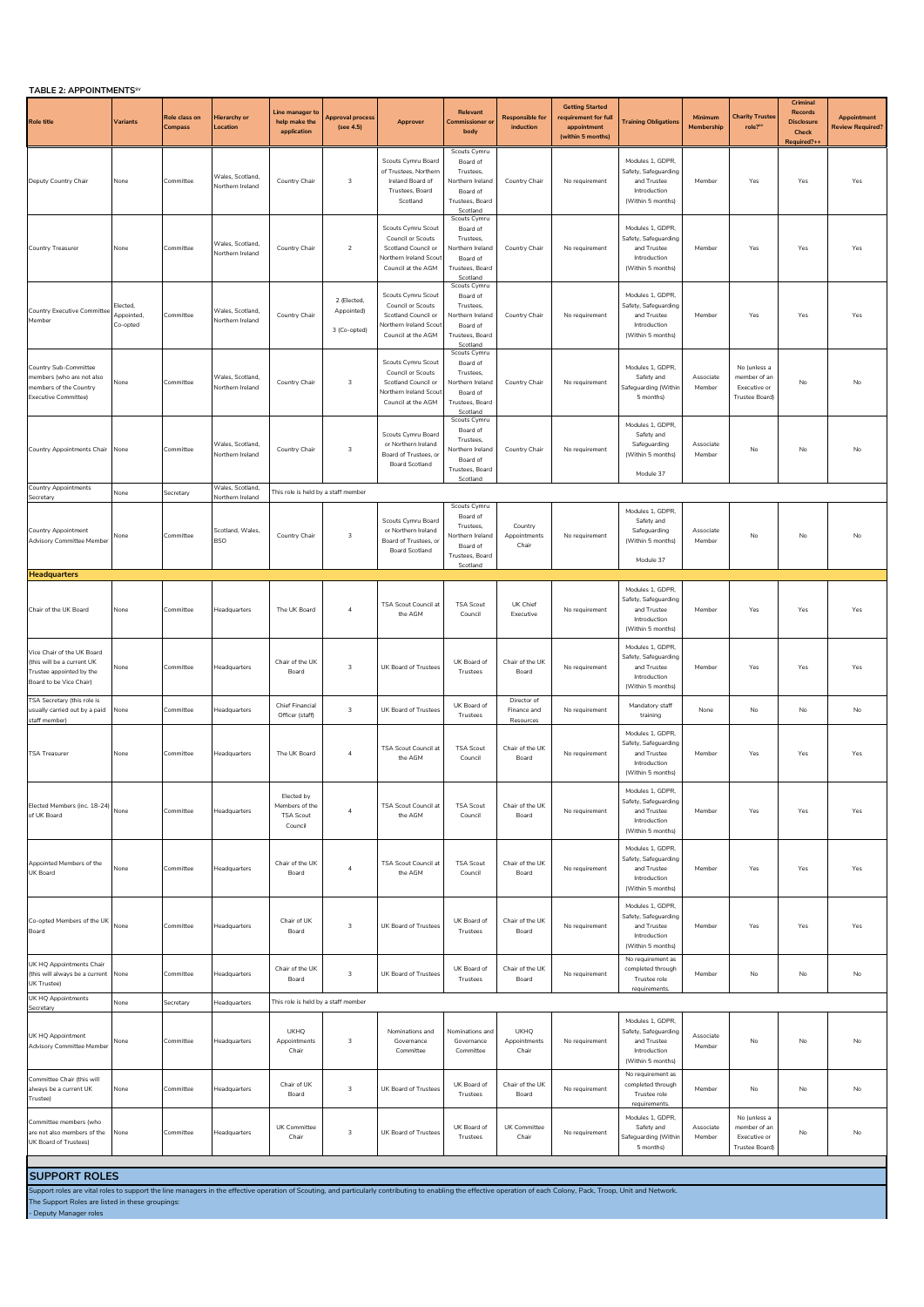| TABLE 2: APPOINTMENTS <sup>SV</sup>                                                                             |                                   |                          |                                             |                                                             |                                           |                                                                                                                             |                                                                                                      |                                         |                                                                                    |                                                                                              |                       |                                                                      |                                                                        |                                                    |
|-----------------------------------------------------------------------------------------------------------------|-----------------------------------|--------------------------|---------------------------------------------|-------------------------------------------------------------|-------------------------------------------|-----------------------------------------------------------------------------------------------------------------------------|------------------------------------------------------------------------------------------------------|-----------------------------------------|------------------------------------------------------------------------------------|----------------------------------------------------------------------------------------------|-----------------------|----------------------------------------------------------------------|------------------------------------------------------------------------|----------------------------------------------------|
| <b>Role title</b>                                                                                               | Variants                          | Role class on<br>Compass | Hierarchy or<br>Location                    | Line manager to<br>help make the<br>application             | <b>Approval process</b><br>(see 4.5)      | Approver                                                                                                                    | Relevant<br><b>Commissioner or</b><br>body                                                           | <b>Responsible for</b><br>induction     | <b>Getting Started</b><br>requirement for full<br>appointment<br>(within 5 months) | <b>Training Obligations</b>                                                                  | Minimum<br>Membership | <b>Charity Trustee</b><br>role? <sup>sv</sup>                        | Criminal<br><b>Records</b><br><b>Disclosure</b><br>Check<br>Required?+ | <b>Appointment</b><br>Review Required <sup>®</sup> |
| Deputy Country Chair                                                                                            | None                              | Committee                | Wales, Scotland,<br>Northern Ireland        | Country Chair                                               | $\overline{\mathbf{3}}$                   | Scouts Cymru Board<br>of Trustees, Northern<br>Ireland Board of<br>Trustees, Board<br>Scotland                              | Scouts Cymru<br>Board of<br>Trustees.<br>Northern Ireland<br>Board of<br>Trustees, Board<br>Scotland | Country Chair                           | No requirement                                                                     | Modules 1, GDPR,<br>Safety, Safeguardino<br>and Trustee<br>Introduction<br>(Within 5 months) | Member                | Yes                                                                  | Yes                                                                    | Yes                                                |
| Country Treasurer                                                                                               | None                              | Committee                | Wales, Scotland,<br>Northern Ireland        | Country Chair                                               | $\overline{2}$                            | Scouts Cymru Scout<br>Council or Scouts<br>Scotland Council or<br><b>Northern Ireland Scou</b><br>Council at the AGM        | Scouts Cymru<br>Board of<br>Trustees,<br>Northern Ireland<br>Board of<br>Trustees, Board<br>Scotland | Country Chair                           | No requirement                                                                     | Modules 1, GDPR,<br>Safety, Safeguarding<br>and Trustee<br>Introduction<br>(Within 5 months) | Member                | Yes                                                                  | Yes                                                                    | Yes                                                |
| Country Executive Committee<br>Member                                                                           | lected,<br>Appointed,<br>Co-opted | Committee                | Wales, Scotland,<br>Northern Ireland        | Country Chair                                               | 2 (Elected,<br>Appointed)<br>3 (Co-opted) | Scouts Cymru Scout<br>Council or Scouts<br>Scotland Council or<br>lorthern Ireland Scout<br>Council at the AGM              | Scouts Cymru<br>Board of<br>Trustees,<br>Northern Ireland<br>Board of<br>Trustees, Board<br>Scotland | Country Chair                           | No requirement                                                                     | Modules 1, GDPR,<br>Safety, Safeguarding<br>and Trustee<br>Introduction<br>(Within 5 months) | Member                | Yes                                                                  | Yes                                                                    | Yes                                                |
| Country Sub-Committee<br>members (who are not also<br>members of the Country<br><b>Executive Committee)</b>     | None                              | Committee                | Wales, Scotland,<br>Northern Ireland        | Country Chair                                               | 3                                         | <b>Scouts Cymru Scout</b><br>Council or Scouts<br>Scotland Council or<br><b>Northern Ireland Scou</b><br>Council at the AGM | Scouts Cymru<br>Board of<br>Trustees,<br>Northern Ireland<br>Board of<br>Trustees, Board<br>Scotland | Country Chair                           | No requirement                                                                     | Modules 1. GDPR.<br>Safety and<br>Safeguarding (Withir<br>5 months)                          | Associate<br>Member   | No (unless a<br>member of an<br>Executive or<br>Trustee Board)       | No                                                                     | No                                                 |
| Country Appointments Chair None                                                                                 |                                   | Committee                | Wales, Scotland,<br>Northern Ireland        | Country Chair                                               | $\overline{\mathbf{3}}$                   | Scouts Cymru Board<br>or Northern Ireland<br>Board of Trustees, or<br><b>Board Scotland</b>                                 | Scouts Cymru<br>Board of<br>Trustees,<br>Northern Ireland<br>Board of<br>Trustees, Board<br>Scotland | Country Chair                           | No requirement                                                                     | Modules 1, GDPR,<br>Safety and<br>Safeguarding<br>(Within 5 months)<br>Module 37             | Associate<br>Member   | No                                                                   | No                                                                     | No                                                 |
| <b>Country Appointments</b>                                                                                     | None                              | Secretary                | Wales, Scotland,<br><b>Northern Ireland</b> | This role is held by a staff member                         |                                           |                                                                                                                             |                                                                                                      |                                         |                                                                                    |                                                                                              |                       |                                                                      |                                                                        |                                                    |
| Secretary<br>Country Appointment<br><b>Advisory Committee Member</b>                                            | None                              | Committee                | Scotland, Wales,<br>BSO                     | Country Chair                                               | 3                                         | Scouts Cymru Board<br>or Northern Ireland<br>Board of Trustees, or<br><b>Board Scotland</b>                                 | Scouts Cymru<br>Board of<br>Trustees,<br>Northern Ireland<br>Board of<br>Trustees, Board             | Country<br>Appointments<br>Chair        | No requirement                                                                     | Modules 1, GDPR,<br>Safety and<br>Safeguarding<br>(Within 5 months)<br>Module 37             | Associate<br>Member   | No                                                                   | No                                                                     | No                                                 |
| <b>Headquarters</b>                                                                                             |                                   |                          |                                             |                                                             |                                           |                                                                                                                             | Scotland                                                                                             |                                         |                                                                                    |                                                                                              |                       |                                                                      |                                                                        |                                                    |
| Chair of the UK Board                                                                                           | None                              | Committee                | Headquarters                                | The UK Board                                                | $\overline{4}$                            | <b>TSA Scout Council at</b><br>the AGM                                                                                      | <b>TSA Scout</b><br>Council                                                                          | UK Chief<br>Executive                   | No requirement                                                                     | Modules 1, GDPR,<br>Safety, Safeguarding<br>and Trustee<br>Introduction<br>(Within 5 months) | Member                | Yes                                                                  | Yes                                                                    | Yes                                                |
| Vice Chair of the UK Board<br>(this will be a current UK<br>Trustee appointed by the<br>Board to be Vice Chair) | None                              | Committee                | Headquarters                                | Chair of the UK<br>Board                                    | $\overline{3}$                            | UK Board of Trustees                                                                                                        | UK Board of<br>Trustees                                                                              | Chair of the UK<br>Board                | No requirement                                                                     | Modules 1, GDPR,<br>Safety, Safeguarding<br>and Trustee<br>Introduction<br>(Within 5 months) | Member                | Yes                                                                  | Yes                                                                    | Yes                                                |
| TSA Secretary (this role is<br>usually carried out by a paid<br>staff member)                                   | None                              | Committee                | Headquarters                                | Chief Financial<br>Officer (staff)                          | $\overline{\mathbf{3}}$                   | UK Board of Trustees                                                                                                        | UK Board of<br>Trustees                                                                              | Director of<br>Finance and<br>Resources | No requirement                                                                     | Mandatory staff<br>training                                                                  | None                  | No                                                                   | No                                                                     | No                                                 |
| <b>TSA Treasurer</b>                                                                                            | None                              | Committee                | Headquarters                                | The UK Board                                                | $\overline{4}$                            | TSA Scout Council at<br>the AGM                                                                                             | <b>TSA Scout</b><br>Council                                                                          | Chair of the UK<br>Board                | No requirement                                                                     | Modules 1, GDPR,<br>Safety, Safeguarding<br>and Trustee<br>Introduction<br>(Within 5 months) | Member                | Yes                                                                  | Yes                                                                    | Yes                                                |
| Elected Members (inc. 18-24)<br>of UK Board                                                                     | None                              | Committee                | Headquarters                                | Elected by<br>Members of the<br><b>TSA Scout</b><br>Council | $\overline{4}$                            | TSA Scout Council at<br>the AGM                                                                                             | <b>TSA Scout</b><br>Council                                                                          | Chair of the UK<br>Board                | No requirement                                                                     | Modules 1, GDPR,<br>Safety, Safeguarding<br>and Trustee<br>Introduction<br>(Within 5 months) | Member                | Yes                                                                  | Yes                                                                    | Yes                                                |
| Appointed Members of the<br>UK Board                                                                            | None                              | Committee                | Headquarters                                | Chair of the UK<br>Board                                    | $\overline{4}$                            | TSA Scout Council at<br>the AGM                                                                                             | <b>TSA Scout</b><br>Council                                                                          | Chair of the UK<br>Board                | No requirement                                                                     | Modules 1, GDPR,<br>Safety, Safeguarding<br>and Trustee<br>Introduction<br>(Within 5 months) | Member                | Yes                                                                  | Yes                                                                    | Yes                                                |
| Co-opted Members of the UK<br>Board                                                                             | None                              | Committee                | Headquarters                                | Chair of UK<br>Board                                        | 3                                         | UK Board of Trustees                                                                                                        | UK Board of<br>Trustees                                                                              | Chair of the UK<br>Board                | No requirement                                                                     | Modules 1, GDPR,<br>Safety, Safeguarding<br>and Trustee<br>Introduction<br>(Within 5 months) | Member                | Yes                                                                  | Yes                                                                    | Yes                                                |
| UK HQ Appointments Chair<br>(this will always be a current<br>UK Trustee)                                       | None                              | Committee                | Headquarters                                | Chair of the UK<br>Board                                    | 3                                         | UK Board of Trustees                                                                                                        | UK Board of<br>Trustees                                                                              | Chair of the UK<br>Board                | No requirement                                                                     | No requirement as<br>completed through<br>Trustee role<br>requirements.                      | Member                | No                                                                   | No                                                                     | No                                                 |
| <b>UK HQ Appointments</b><br>Secretary                                                                          | None                              | Secretary                | Headquarters                                | This role is held by a staff member                         |                                           |                                                                                                                             |                                                                                                      |                                         |                                                                                    |                                                                                              |                       |                                                                      |                                                                        |                                                    |
| UK HQ Appointment<br><b>Advisory Committee Member</b>                                                           | None                              | Committee                | leadquarters                                | <b>UKHO</b><br>Appointments<br>Chair                        | $\overline{\mathbf{3}}$                   | Nominations and<br>Governance<br>Committee                                                                                  | Nominations and<br>Governance<br>Committee                                                           | <b>UKHO</b><br>Appointments<br>Chair    | No requirement                                                                     | Modules 1, GDPR,<br>Safety, Safeguarding<br>and Trustee<br>Introduction<br>(Within 5 months) | Associate<br>Member   | No                                                                   | No                                                                     | No                                                 |
| Committee Chair (this will<br>always be a current UK<br>Trustee)                                                | None                              | Committee                | Headquarters                                | Chair of UK<br>Board                                        | $\overline{\mathbf{3}}$                   | UK Board of Trustees                                                                                                        | UK Board of<br>Trustees                                                                              | Chair of the UK<br>Board                | No requirement                                                                     | No requirement as<br>completed through<br>Trustee role<br>requirements.                      | Member                | No                                                                   | No                                                                     | No                                                 |
| Committee members (who<br>are not also members of the<br>UK Board of Trustees)                                  | None                              | Committee                | Headquarters                                | UK Committee<br>Chair                                       | 3                                         | UK Board of Trustees                                                                                                        | UK Board of<br>Trustees                                                                              | UK Committee<br>Chair                   | No requirement                                                                     | Modules 1, GDPR,<br>Safety and<br>Safeguarding (Withir<br>5 months)                          | Associate<br>Member   | No (unless a<br>member of an<br>Executive or<br><b>Trustee Board</b> | No                                                                     | No                                                 |
| CURRORT BOLES                                                                                                   |                                   |                          |                                             |                                                             |                                           |                                                                                                                             |                                                                                                      |                                         |                                                                                    |                                                                                              |                       |                                                                      |                                                                        |                                                    |

**SUPPORT ROLES**

Support roles are vital roles to support the line managers in the effective operation of Scouting, and particularly contributing to enabling the effective operation of each Colony, Pack, Troop, Unit and Network.<br>The Suppor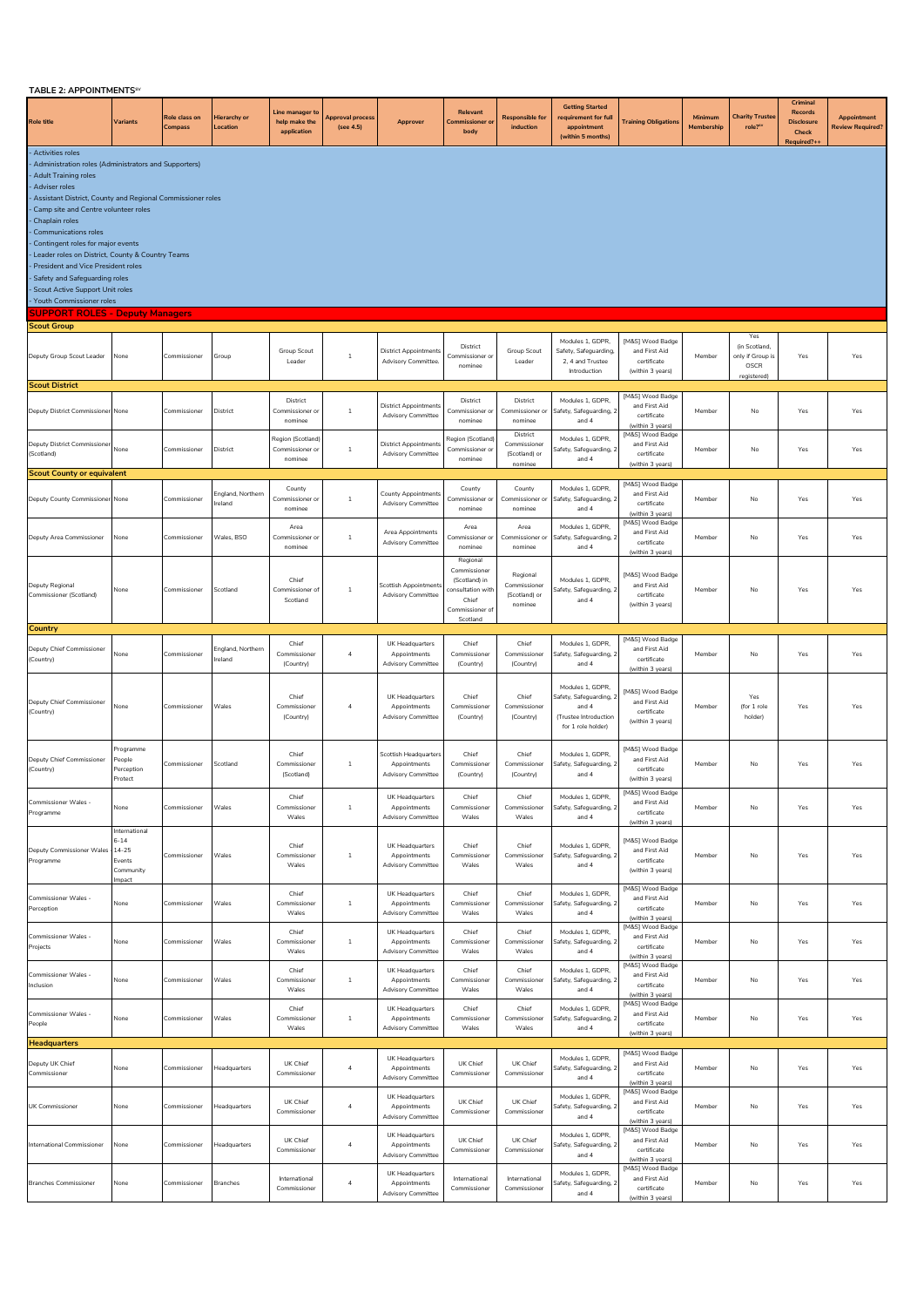| TABLE 2: APPOINTMENTS <sup>5V</sup>                                                                                                                                                                                                                                                                                                                                                                                                                                                                                                                      |                                                                    |                          |                             |                                                 |                               |                                                                    |                                                                                            |                                                      |                                                                                                     |                                                                                          |                       |                                                          |                                                                         |                                               |
|----------------------------------------------------------------------------------------------------------------------------------------------------------------------------------------------------------------------------------------------------------------------------------------------------------------------------------------------------------------------------------------------------------------------------------------------------------------------------------------------------------------------------------------------------------|--------------------------------------------------------------------|--------------------------|-----------------------------|-------------------------------------------------|-------------------------------|--------------------------------------------------------------------|--------------------------------------------------------------------------------------------|------------------------------------------------------|-----------------------------------------------------------------------------------------------------|------------------------------------------------------------------------------------------|-----------------------|----------------------------------------------------------|-------------------------------------------------------------------------|-----------------------------------------------|
| <b>Role title</b>                                                                                                                                                                                                                                                                                                                                                                                                                                                                                                                                        | Variants                                                           | Role class on<br>Compass | Hierarchy or<br>Location    | Line manager to<br>help make the<br>application | Approval process<br>(see 4.5) | Approver                                                           | Relevant<br><b>Commissioner or</b><br>body                                                 | <b>Responsible for</b><br>induction                  | <b>Getting Started</b><br>requirement for full<br>appointment<br>(within 5 months)                  | <b>Training Obligations</b>                                                              | Minimum<br>Membership | <b>Charity Truster</b><br>role? <sup>sv</sup>            | Criminal<br><b>Records</b><br><b>Disclosure</b><br>Check<br>Required?++ | <b>Appointment</b><br><b>Review Required?</b> |
| Activities roles<br>Administration roles (Administrators and Supporters)<br><b>Adult Training roles</b><br>Adviser roles<br>Assistant District, County and Regional Commissioner roles<br>Camp site and Centre volunteer roles<br>Chaplain roles<br><b>Communications roles</b><br>Contingent roles for major events<br>Leader roles on District, County & Country Teams<br>President and Vice President roles<br>Safety and Safeguarding roles<br>Scout Active Support Unit roles<br>Youth Commissioner roles<br><b>SUPPORT ROLES - Deputy Managers</b> |                                                                    |                          |                             |                                                 |                               |                                                                    |                                                                                            |                                                      |                                                                                                     |                                                                                          |                       |                                                          |                                                                         |                                               |
| <b>Scout Group</b>                                                                                                                                                                                                                                                                                                                                                                                                                                                                                                                                       |                                                                    |                          |                             |                                                 |                               |                                                                    |                                                                                            |                                                      |                                                                                                     |                                                                                          |                       |                                                          |                                                                         |                                               |
|                                                                                                                                                                                                                                                                                                                                                                                                                                                                                                                                                          |                                                                    |                          |                             |                                                 |                               |                                                                    |                                                                                            |                                                      | Modules 1, GDPR,                                                                                    | [M&S] Wood Badge                                                                         |                       | Yes                                                      |                                                                         |                                               |
| Deputy Group Scout Leader                                                                                                                                                                                                                                                                                                                                                                                                                                                                                                                                | None                                                               | Commissioner             | Group                       | Group Scout<br>Leader                           | $1\,$                         | <b>District Appointments</b><br>Advisory Committee.                | District<br>Commissioner or<br>nominee                                                     | Group Scout<br>Leader                                | Safety, Safeguarding,<br>2, 4 and Trustee<br>Introduction                                           | and First Aid<br>certificate<br>(within 3 years)                                         | Member                | (in Scotland,<br>only if Group is<br>OSCR<br>registered) | Yes                                                                     | Yes                                           |
| <b>Scout District</b><br>Deputy District Commissioner None                                                                                                                                                                                                                                                                                                                                                                                                                                                                                               |                                                                    | Commissioner             | District                    | District<br>Commissioner or<br>nominee          | $1\,$                         | <b>District Appointments</b><br><b>Advisory Committee</b>          | District<br>Commissioner or<br>nominee                                                     | District<br>Commissioner or<br>nominee               | Modules 1, GDPR,<br>Safety, Safeguarding, 2<br>and 4                                                | [M&S] Wood Badge<br>and First Aid<br>certificate<br>(within 3 years)                     | Member                | No                                                       | Yes                                                                     | Yes                                           |
| Deputy District Commissioner<br>(Scotland)                                                                                                                                                                                                                                                                                                                                                                                                                                                                                                               | None                                                               | Commissioner             | District                    | Region (Scotland)<br>Commissioner or<br>nominee | -1                            | <b>District Appointments</b><br>Advisory Committee                 | Region (Scotland<br>Commissioner or<br>nominee                                             | District<br>Commissioner<br>(Scotland) or<br>nominee | Modules 1, GDPR,<br>Safety, Safeguarding, 2<br>and 4                                                | [M&S] Wood Badge<br>and First Aid<br>certificate<br>(within 3 years)                     | Member                | No                                                       | Yes                                                                     | Yes                                           |
| <b>Scout County or equivalent</b>                                                                                                                                                                                                                                                                                                                                                                                                                                                                                                                        |                                                                    |                          |                             |                                                 |                               |                                                                    |                                                                                            |                                                      |                                                                                                     |                                                                                          |                       |                                                          |                                                                         |                                               |
| Deputy County Commissioner None                                                                                                                                                                                                                                                                                                                                                                                                                                                                                                                          |                                                                    | Commissioner             | England, Northern<br>reland | County<br>Commissioner o<br>nominee             | $1\,$                         | County Appointments<br><b>Advisory Committee</b>                   | County<br>Commissioner or<br>nominee                                                       | County<br>Commissioner or<br>nominee                 | Modules 1, GDPR,<br>Safety, Safeguarding, 2<br>and 4                                                | [M&S] Wood Badge<br>and First Aid<br>certificate<br>(within 3 years)<br>[M&S] Wood Badge | Member                | No                                                       | Yes                                                                     | Yes                                           |
| Deputy Area Commissioner                                                                                                                                                                                                                                                                                                                                                                                                                                                                                                                                 | None                                                               | Commissioner             | Wales, BSO                  | Area<br>Commissioner of<br>nominee              | $\mathbf{1}$                  | Area Appointments<br><b>Advisory Committee</b>                     | Area<br>Commissioner or<br>nominee<br>Regional                                             | Area<br>Commissioner or<br>nominee                   | Modules 1, GDPR,<br>Safety, Safeguarding, 2<br>and 4                                                | and First Aid<br>certificate<br>(within 3 years)                                         | Member                | No                                                       | Yes                                                                     | Yes                                           |
| Deputy Regional<br>Commissioner (Scotland)                                                                                                                                                                                                                                                                                                                                                                                                                                                                                                               | None                                                               | Commissioner             | Scotland                    | Chief<br>Commissioner o<br>Scotland             | $1\,$                         | Scottish Appointment<br><b>Advisory Committee</b>                  | Commissioner<br>(Scotland) in<br>consultation with<br>Chief<br>Commissioner of<br>Scotland | Regional<br>Commissioner<br>(Scotland) or<br>nominee | Modules 1, GDPR,<br>afety, Safeguarding, 2<br>and 4                                                 | [M&S] Wood Badge<br>and First Aid<br>certificate<br>(within 3 years)                     | Member                | No                                                       | Yes                                                                     | Yes                                           |
| Country                                                                                                                                                                                                                                                                                                                                                                                                                                                                                                                                                  |                                                                    |                          |                             |                                                 |                               |                                                                    |                                                                                            |                                                      |                                                                                                     |                                                                                          |                       |                                                          |                                                                         |                                               |
| Deputy Chief Commissioner<br>(Country)                                                                                                                                                                                                                                                                                                                                                                                                                                                                                                                   | None                                                               | Commissioner             | England, Northern<br>reland | Chief<br>Commissioner<br>(Country)              | $\overline{4}$                | UK Headquarters<br>Appointments<br><b>Advisory Committee</b>       | Chief<br>Commissioner<br>(Country)                                                         | Chief<br>Commissioner<br>(Country)                   | Modules 1, GDPR,<br>Safety, Safeguarding, 2<br>and 4                                                | [M&S] Wood Badge<br>and First Aid<br>certificate<br>(within 3 years)                     | Member                | No                                                       | Yes                                                                     | Yes                                           |
| Deputy Chief Commissioner<br>(Country)                                                                                                                                                                                                                                                                                                                                                                                                                                                                                                                   | None                                                               | Commissioner             | Wales                       | Chief<br>Commissioner<br>(Country)              | $\overline{4}$                | UK Headquarters<br>Appointments<br><b>Advisory Committee</b>       | Chief<br>Commissioner<br>(Country)                                                         | Chief<br>Commissioner<br>(Country)                   | Modules 1, GDPR,<br>Safety, Safeguarding, 2<br>and 4<br>(Trustee Introduction<br>for 1 role holder) | [M&S] Wood Badge<br>and First Aid<br>certificate<br>(within 3 years)                     | Member                | Yes<br>(for 1 role<br>holder)                            | Yes                                                                     | Yes                                           |
| Deputy Chief Commissioner<br>(Country)                                                                                                                                                                                                                                                                                                                                                                                                                                                                                                                   | rogramme<br>eople<br>Perception<br>Protect                         | Commissioner             | Scotland                    | Chief<br>Commissioner<br>(Scotland)             | $1\,$                         | Scottish Headquarters<br>Appointments<br><b>Advisory Committee</b> | Chief<br>Commissioner<br>(Country)                                                         | Chief<br>Commissioner<br>(Country)                   | Modules 1, GDPR,<br>Safety, Safeguarding, 2<br>and 4                                                | [M&S] Wood Badge<br>and First Aid<br>certificate<br>(within 3 years)                     | Member                | No                                                       | Yes                                                                     | Yes                                           |
| Commissioner Wales -<br>Programme                                                                                                                                                                                                                                                                                                                                                                                                                                                                                                                        | None                                                               | Commissioner             | Wales                       | Chief<br>Commissioner<br>Wales                  | $\mathbf{1}$                  | UK Headquarters<br>Appointments<br><b>Advisory Committee</b>       | Chie<br>Commissioner<br>Wales                                                              | Chief<br>Commissioner<br>Wales                       | Modules 1, GDPR,<br>Safety, Safeguarding, 2<br>and 4                                                | [M&S] Wood Badge<br>and First Aid<br>certificate<br>(within 3 years)                     | Member                | No                                                       | Yes                                                                     | Yes                                           |
| Deputy Commissioner Wales<br>Programme                                                                                                                                                                                                                                                                                                                                                                                                                                                                                                                   | International<br>$6 - 14$<br>14-25<br>Events<br>Community<br>mpact | Commissioner             | Wales                       | Chief<br>Commissioner<br>Wales                  | $1\,$                         | UK Headquarters<br>Appointments<br><b>Advisory Committee</b>       | Chief<br>Commissioner<br>Wales                                                             | Chief<br>Commissioner<br>Wales                       | Modules 1, GDPR,<br>Safety, Safeguarding, 2<br>and 4                                                | [M&S] Wood Badge<br>and First Aid<br>certificate<br>(within 3 years)                     | Member                | No                                                       | Yes                                                                     | Yes                                           |
| Commissioner Wales -<br>Perception                                                                                                                                                                                                                                                                                                                                                                                                                                                                                                                       | None                                                               | Commissioner             | Wales                       | Chief<br>Commissioner<br>Wales                  | -1                            | UK Headquarters<br>Appointments<br>Advisory Committee              | Chief<br>Commissioner<br>Wales                                                             | Chief<br>Commissione<br>Wales                        | Modules 1, GDPR,<br>Safety, Safeguarding, 2<br>and 4                                                | [M&S] Wood Badge<br>and First Aid<br>certificate<br>(within 3 years)                     | Member                | No                                                       | Yes                                                                     | Yes                                           |
| <b>Commissioner Wales -</b><br>Projects                                                                                                                                                                                                                                                                                                                                                                                                                                                                                                                  | None                                                               | Commissioner             | Wales                       | Chief<br>Commissioner<br>Wales                  | $\,$ 1                        | UK Headquarters<br>Appointments<br><b>Advisory Committee</b>       | Chief<br>Commissioner<br>Wales                                                             | Chief<br>Commissioner<br>Wales                       | Modules 1, GDPR,<br>Safety, Safeguarding, 2<br>and 4                                                | [M&S] Wood Badge<br>and First Aid<br>certificate<br>(within 3 years)                     | Member                | No                                                       | Yes                                                                     | Yes                                           |
| <b>Commissioner Wales -</b><br>Inclusion                                                                                                                                                                                                                                                                                                                                                                                                                                                                                                                 | None                                                               | Commissioner             | Wales                       | Chief<br>Commissioner<br>Wales                  | $\,$ 1                        | UK Headquarters<br>Appointments<br><b>Advisory Committee</b>       | Chief<br>Commissioner<br>Wales                                                             | Chief<br>Commissione<br>Wales                        | Modules 1, GDPR.<br>Safety, Safeguarding, 2<br>and 4                                                | [M&S] Wood Badge<br>and First Aid<br>certificate<br>(within 3 years)                     | Member                | No                                                       | Yes                                                                     | Yes                                           |
| Commissioner Wales -<br>People                                                                                                                                                                                                                                                                                                                                                                                                                                                                                                                           | None                                                               | Commissioner             | Wales                       | Chief<br>Commissioner<br>Wales                  | $\,$ 1                        | UK Headquarters<br>Appointments<br><b>Advisory Committee</b>       | Chief<br>Commissioner<br>Wales                                                             | Chief<br>Commissioner<br>Wales                       | Modules 1, GDPR,<br>Safety, Safeguarding, 2<br>and 4                                                | [M&S] Wood Badge<br>and First Aid<br>certificate<br>(within 3 years)                     | Member                | No                                                       | Yes                                                                     | Yes                                           |
| <b>Headquarters</b>                                                                                                                                                                                                                                                                                                                                                                                                                                                                                                                                      |                                                                    |                          |                             |                                                 |                               |                                                                    |                                                                                            |                                                      |                                                                                                     | [M&S] Wood Badge                                                                         |                       |                                                          |                                                                         |                                               |
| Deputy UK Chief<br>Commissioner                                                                                                                                                                                                                                                                                                                                                                                                                                                                                                                          | None                                                               | Commissioner             | Headquarters                | UK Chief<br>Commissioner                        | $\overline{4}$                | UK Headquarters<br>Appointments<br><b>Advisory Committee</b>       | UK Chief<br>Commissioner                                                                   | UK Chief<br>Commissioner                             | Modules 1, GDPR.<br>Safety, Safeguarding, 2<br>and 4                                                | and First Aid<br>certificate<br>(within 3 years)<br>[M&S] Wood Badge                     | Member                | No                                                       | Yes                                                                     | Yes                                           |
| UK Commissioner                                                                                                                                                                                                                                                                                                                                                                                                                                                                                                                                          | None                                                               | Commissioner             | Headquarters                | UK Chief<br>Commissioner                        | $\overline{a}$                | UK Headquarters<br>Appointments<br><b>Advisory Committee</b>       | UK Chief<br>Commissioner                                                                   | UK Chief<br>Commissioner                             | Modules 1, GDPR.<br>Safety, Safeguarding, 2<br>and 4                                                | and First Aid<br>certificate<br>(within 3 years)<br>[M&S] Wood Badge                     | Member                | No                                                       | Yes                                                                     | Yes                                           |
| International Commissioner                                                                                                                                                                                                                                                                                                                                                                                                                                                                                                                               | None                                                               | Commissioner             | Headquarters                | UK Chief<br>Commissioner                        | $\overline{a}$                | UK Headquarters<br>Appointments<br>Advisory Committee              | UK Chief<br>Commissioner                                                                   | UK Chief<br>Commissione                              | Modules 1. GDPR.<br>Safety, Safeguarding, 2<br>and 4                                                | and First Aid<br>certificate<br>(within 3 years)                                         | Member                | No                                                       | Yes                                                                     | Yes                                           |
| <b>Branches Commissioner</b>                                                                                                                                                                                                                                                                                                                                                                                                                                                                                                                             | None                                                               | Commissioner             | Branches                    | International<br>Commissioner                   | $\overline{a}$                | UK Headquarters<br>Appointments<br><b>Advisory Committee</b>       | International<br>Commissioner                                                              | International<br>Commissioner                        | Modules 1, GDPR,<br>Safety, Safeguarding, 2<br>and 4                                                | [M&S] Wood Badge<br>and First Aid<br>certificate<br>(within 3 years)                     | Member                | No                                                       | Yes                                                                     | Yes                                           |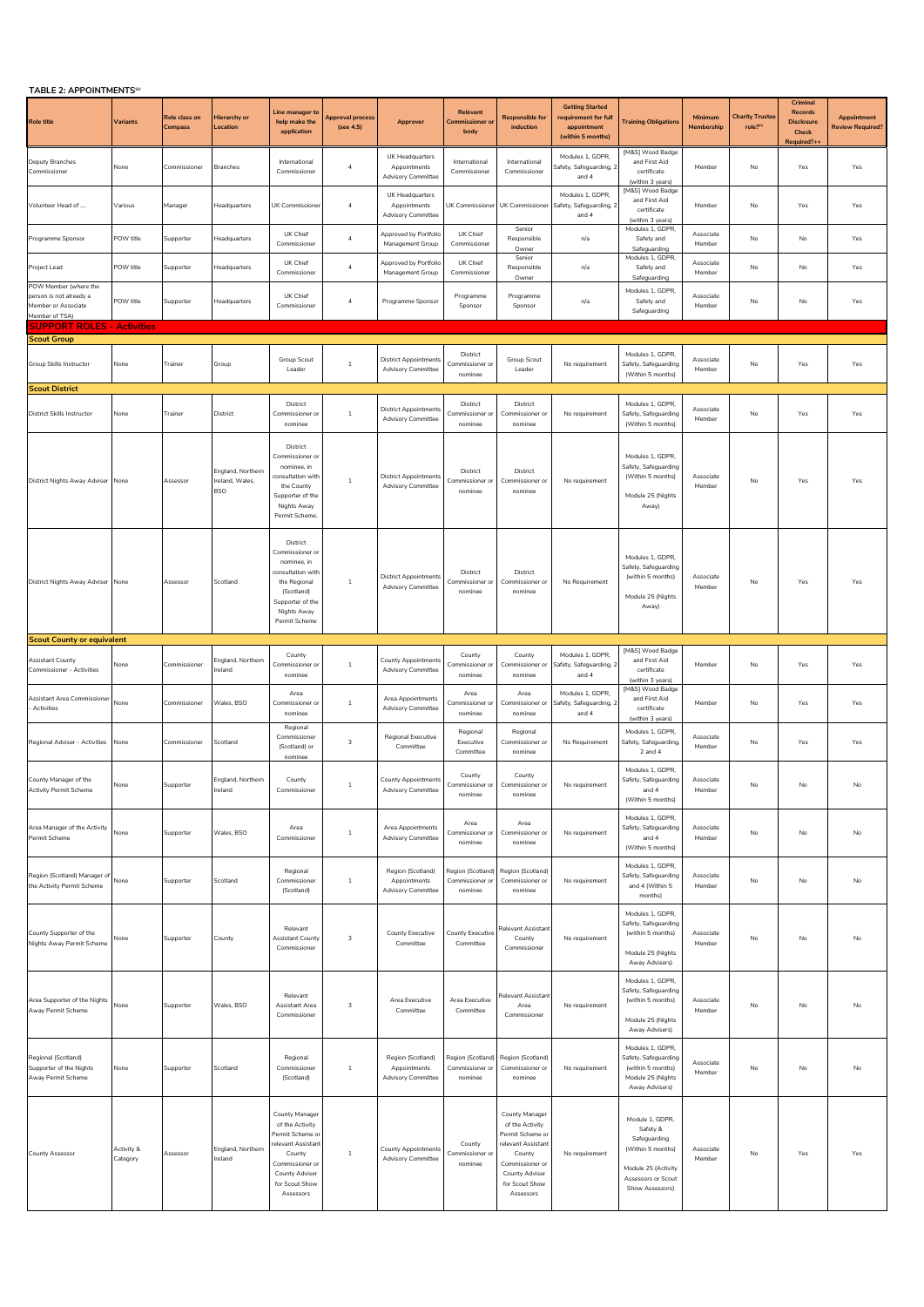| TABLE 2: APPOINTMENTS <sup>SV</sup> |  |  |  |
|-------------------------------------|--|--|--|
|-------------------------------------|--|--|--|

| <b>IABLE 2: APPUINTMENTS</b>                                                              |                        |                          |                                                    |                                                                                                                                                                  |                                      |                                                                |                                                 |                                                                                                                                                           |                                                                                    |                                                                                                                                  |                       |                                 |                                                                  |                                               |
|-------------------------------------------------------------------------------------------|------------------------|--------------------------|----------------------------------------------------|------------------------------------------------------------------------------------------------------------------------------------------------------------------|--------------------------------------|----------------------------------------------------------------|-------------------------------------------------|-----------------------------------------------------------------------------------------------------------------------------------------------------------|------------------------------------------------------------------------------------|----------------------------------------------------------------------------------------------------------------------------------|-----------------------|---------------------------------|------------------------------------------------------------------|-----------------------------------------------|
| <b>Role title</b>                                                                         | Variants               | Role class on<br>Compass | Hierarchy or<br>Location                           | Line manager to<br>help make the<br>application                                                                                                                  | <b>Approval process</b><br>(see 4.5) | Approver                                                       | Relevant<br>Commissioner c<br>body              | <b>Responsible for</b><br>induction                                                                                                                       | <b>Getting Started</b><br>requirement for full<br>appointment<br>(within 5 months) | <b>Training Obligations</b>                                                                                                      | Minimum<br>Membership | <b>Charity Truste</b><br>role?" | Criminal<br>Records<br><b>Disclosure</b><br>Check<br>Required?++ | <b>Appointment</b><br><b>Review Required?</b> |
| Deputy Branches<br>Commissioner                                                           | None                   | Commissioner             | <b>Branches</b>                                    | International<br>Commissioner                                                                                                                                    | $\overline{4}$                       | UK Headquarters<br>Appointments<br><b>Advisory Committee</b>   | International<br>Commissioner                   | International<br>Commissioner                                                                                                                             | Modules 1, GDPR,<br>Safety, Safeguarding, 2<br>and 4                               | [M&S] Wood Badge<br>and First Aid<br>certificate<br>(within 3 years)                                                             | Member                | No                              | Yes                                                              | Yes                                           |
| Volunteer Head of                                                                         | Various                | Manager                  | leadquarters                                       | UK Commissioner                                                                                                                                                  | $\sqrt{4}$                           | UK Headquarters<br>Appointments<br><b>Advisory Committee</b>   | UK Commissione                                  | UK Commissioner                                                                                                                                           | Modules 1, GDPR,<br>Safety, Safeguarding, 2<br>and 4                               | [M&S] Wood Badge<br>and First Aid<br>certificate<br>(within 3 years)                                                             | Member                | No                              | Yes                                                              | Yes                                           |
| Programme Sponsor                                                                         | POW title              | Supporter                | Headquarters                                       | UK Chief<br>Commissioner                                                                                                                                         | $\overline{4}$                       | Approved by Portfolic<br>Management Group                      | UK Chief<br>Commissioner                        | Senior<br>Responsible<br>Owner                                                                                                                            | n/a                                                                                | Modules 1, GDPR,<br>Safety and<br>Safeguarding                                                                                   | Associate<br>Member   | No                              | No                                                               | Yes                                           |
| Project Lead                                                                              | POW title              | Supporter                | Headquarters                                       | UK Chief<br>Commissioner                                                                                                                                         | $\overline{a}$                       | <b>Approved by Portfolio</b><br>Management Group               | UK Chief<br>Commissioner                        | Senior<br>Responsible<br>Owner                                                                                                                            | n/a                                                                                | Modules 1, GDPR,<br>Safety and<br>Safeguarding                                                                                   | Associate<br>Member   | No                              | No                                                               | Yes                                           |
| POW Member (where the<br>person is not already a<br>Member or Associate<br>Member of TSA) | POW title              | Supporter                | Headquarters                                       | UK Chief<br>Commissioner                                                                                                                                         | $\sqrt{4}$                           | Programme Sponsor                                              | Programme<br>Sponsor                            | Programme<br>Sponsor                                                                                                                                      | n/a                                                                                | Modules 1, GDPR<br>Safety and<br>Safeguarding                                                                                    | Associate<br>Member   | No                              | No                                                               | Yes                                           |
| <b>SUPPORT ROLES - Activities</b>                                                         |                        |                          |                                                    |                                                                                                                                                                  |                                      |                                                                |                                                 |                                                                                                                                                           |                                                                                    |                                                                                                                                  |                       |                                 |                                                                  |                                               |
| <b>Scout Group</b><br>Group Skills Instructor                                             | None                   | Trainer                  | Group                                              | Group Scout<br>Leader                                                                                                                                            | $\mathbf{1}$                         | <b>District Appointments</b><br><b>Advisory Committee</b>      | District<br>Commissioner o<br>nominee           | Group Scout<br>Leader                                                                                                                                     | No requirement                                                                     | Modules 1, GDPR<br>Safety, Safeguarding<br>(Within 5 months)                                                                     | Associate<br>Member   | No                              | Yes                                                              | Yes                                           |
| <b>Scout District</b>                                                                     |                        |                          |                                                    |                                                                                                                                                                  |                                      |                                                                |                                                 |                                                                                                                                                           |                                                                                    |                                                                                                                                  |                       |                                 |                                                                  |                                               |
| District Skills Instructor                                                                | None                   | Trainer                  | District                                           | District<br>Commissioner or<br>nominee                                                                                                                           | 1                                    | <b>District Appointments</b><br><b>Advisory Committee</b>      | District<br>Commissioner o<br>nominee           | District<br>Commissioner or<br>nominee                                                                                                                    | No requirement                                                                     | Modules 1, GDPR<br>Safety, Safeguarding<br>(Within 5 months)                                                                     | Associate<br>Member   | No                              | Yes                                                              | Yes                                           |
| District Nights Away Adviser                                                              | None                   | Assessor                 | England, Northern<br>Ireland, Wales,<br><b>BSO</b> | District<br>Commissioner o<br>nominee, in<br>consultation with<br>the County<br>Supporter of the<br>Nights Away<br>Permit Scheme.                                | 1                                    | <b>District Appointments</b><br><b>Advisory Committee</b>      | District<br>Commissioner or<br>nominee          | District<br>Commissioner or<br>nominee                                                                                                                    | No requirement                                                                     | Modules 1, GDPR<br>Safety, Safeguarding<br>(Within 5 months)<br>Module 25 (Nights<br>Away)                                       | Associate<br>Member   | No                              | Yes                                                              | Yes                                           |
| District Nights Away Adviser                                                              | None                   | Assessor                 | Scotland                                           | District<br>Commissioner or<br>nominee, in<br>consultation with<br>the Regional<br>(Scotland)<br>Supporter of the<br>Nights Away<br>Permit Scheme                | $\mathbf{1}$                         | <b>District Appointments</b><br><b>Advisory Committee</b>      | District<br>Commissioner o<br>nominee           | District<br>Commissioner or<br>nominee                                                                                                                    | No Requirement                                                                     | Modules 1, GDPR<br>Safety, Safeguarding<br>(within 5 months)<br>Module 25 (Nights<br>Away)                                       | Associate<br>Member   | No                              | Yes                                                              | Yes                                           |
| <b>Scout County or equivalent</b>                                                         |                        |                          |                                                    |                                                                                                                                                                  |                                      |                                                                |                                                 |                                                                                                                                                           |                                                                                    |                                                                                                                                  |                       |                                 |                                                                  |                                               |
| Assistant County<br>Commissioner - Activities                                             | None                   | Commissioner             | England, Northern<br>Ireland                       | County<br>Commissioner or<br>nominee                                                                                                                             | $\mathbf{1}$                         | <b>County Appointments</b><br><b>Advisory Committee</b>        | County<br>Commissioner or<br>nominee            | County<br>Commissioner or<br>nominee                                                                                                                      | Modules 1, GDPR,<br>Safety, Safeguarding, 2<br>and 4                               | [M&S] Wood Badge<br>and First Aid<br>certificate<br>(within 3 years)                                                             | Member                | No                              | Yes                                                              | Yes                                           |
| Assistant Area Commissioner<br>Activities                                                 | None                   | Commissioner             | Wales, BSO                                         | Area<br>Commissioner or<br>nominee                                                                                                                               | $1\,$                                | Area Appointments<br><b>Advisory Committee</b>                 | Area<br>Commissioner o<br>nominee               | Area<br>Commissioner of<br>nominee                                                                                                                        | Modules 1, GDPR,<br>Safety, Safeguarding, 2<br>and 4                               | [M&S] Wood Badge<br>and First Aid<br>certificate<br>(within 3 years)                                                             | Member                | No                              | Yes                                                              | Yes                                           |
| Regional Adviser - Activities                                                             | None                   | Commissioner             | Scotland                                           | Regional<br>Commissioner<br>(Scotland) or<br>nominee                                                                                                             | 3                                    | <b>Regional Executive</b><br>Committee                         | Regional<br>Executive<br>Committee              | Regional<br>Commissioner or<br>nominee                                                                                                                    | No Requirement                                                                     | Modules 1, GDPR,<br>Safety, Safeguarding,<br>2 and 4                                                                             | Associate<br>Member   | No                              | Yes                                                              | Yes                                           |
| County Manager of the<br><b>Activity Permit Scheme</b>                                    | None                   | Supporter                | England, Northern<br>Ireland                       | County<br>Commissioner                                                                                                                                           | $\mathbf{1}$                         | <b>County Appointments</b><br><b>Advisory Committee</b>        | County<br>Commissioner or<br>nominee            | County<br>Commissioner or<br>nominee                                                                                                                      | No requirement                                                                     | Modules 1, GDPR.<br>Safety, Safeguarding<br>and 4<br>(Within 5 months)                                                           | Associate<br>Member   | No                              | No                                                               | No                                            |
| Area Manager of the Activity<br>Permit Scheme                                             | None                   | Supporter                | Wales, BSO                                         | Area<br>Commissioner                                                                                                                                             | $\mathbf{1}$                         | Area Appointments<br><b>Advisory Committee</b>                 | Area<br>Commissioner or<br>nominee              | Area<br>Commissioner or<br>nominee                                                                                                                        | No requirement                                                                     | Modules 1, GDPR,<br>Safety, Safeguarding<br>and 4<br>(Within 5 months)                                                           | Associate<br>Member   | No                              | No                                                               | No                                            |
| Region (Scotland) Manager of<br>the Activity Permit Scheme                                | None                   | Supporter                | Scotland                                           | Regional<br>Commissioner<br>(Scotland)                                                                                                                           | $\,$ 1 $\,$                          | Region (Scotland)<br>Appointments<br>Advisory Committee        | Region (Scotland)<br>Commissioner or<br>nominee | Region (Scotland)<br>Commissioner or<br>nominee                                                                                                           | No requirement                                                                     | Modules 1, GDPR,<br>Safety, Safeguarding<br>and 4 (Within 5<br>months)                                                           | Associate<br>Member   | No                              | No                                                               | No                                            |
| County Supporter of the<br>Nights Away Permit Scheme                                      | None                   | Supporter                | County                                             | Relevant<br>Assistant County<br>Commissioner                                                                                                                     | 3                                    | County Executive<br>Committee                                  | County Executive<br>Committee                   | Relevant Assistan<br>County<br>Commissioner                                                                                                               | No requirement                                                                     | Modules 1, GDPR,<br>Safety, Safeguarding<br>(within 5 months)<br>Module 25 (Nights<br>Away Advisers)                             | Associate<br>Member   | No                              | No                                                               | No                                            |
| Area Supporter of the Nights<br>Away Permit Scheme                                        | None                   | Supporter                | Wales, BSO                                         | Relevant<br>Assistant Area<br>Commissioner                                                                                                                       | 3                                    | Area Executive<br>Committee                                    | Area Executive<br>Committee                     | Relevant Assistan <sup>®</sup><br>Area<br>Commissioner                                                                                                    | No requirement                                                                     | Modules 1, GDPR,<br>Safety, Safeguarding<br>(within 5 months)<br>Module 25 (Nights<br>Away Advisers)                             | Associate<br>Member   | No                              | No                                                               | No                                            |
| Regional (Scotland)<br>Supporter of the Nights<br>Away Permit Scheme                      | None                   | Supporter                | Scotland                                           | Regional<br>Commissioner<br>(Scotland)                                                                                                                           | $\mathbf{1}$                         | Region (Scotland)<br>Appointments<br><b>Advisory Committee</b> | Region (Scotland<br>Commissioner or<br>nominee  | Region (Scotland)<br>Commissioner or<br>nominee                                                                                                           | No requirement                                                                     | Modules 1, GDPR,<br>Safety, Safeguarding<br>(within 5 months)<br>Module 25 (Nights<br>Away Advisers)                             | Associate<br>Member   | No                              | No                                                               | No                                            |
| County Assessor                                                                           | Activity &<br>Category | Assessor                 | England, Northern<br>Ireland                       | County Manager<br>of the Activity<br>Permit Scheme or<br>relevant Assistant<br>County<br>Commissioner or<br><b>County Adviser</b><br>for Scout Show<br>Assessors | $\mathbf{1}$                         | <b>County Appointments</b><br><b>Advisory Committee</b>        | County<br>Commissioner or<br>nominee            | County Manager<br>of the Activity<br>Permit Scheme or<br>relevant Assistant<br>County<br>Commissioner or<br>County Adviser<br>for Scout Show<br>Assessors | No requirement                                                                     | Module 1, GDPR,<br>Safety &<br>Safeguarding<br>(Within 5 months)<br>Module 25 (Activity<br>Assessors or Scout<br>Show Assessors) | Associate<br>Member   | No                              | Yes                                                              | Yes                                           |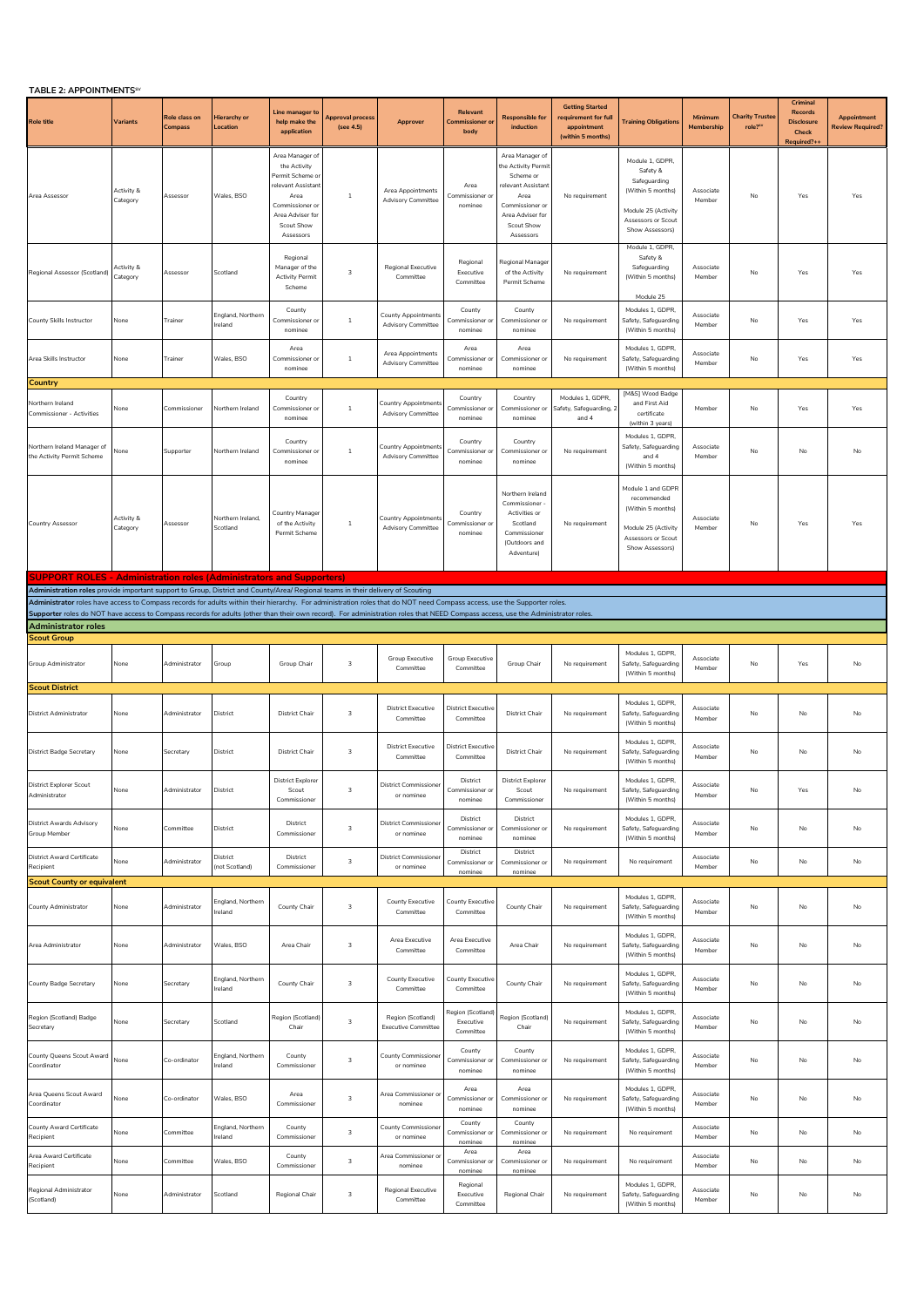| <b>TABLE 2: APPOINTMENTS<sup>5</sup></b>                                                                                                                                                                      |                        |                          |                                        |                                                                                                                                                   |                               |                                                         |                                             |                                                                                                                                                    |                                                                                   |                                                                                                                                  |                       |                                  |                                                                 |                                               |
|---------------------------------------------------------------------------------------------------------------------------------------------------------------------------------------------------------------|------------------------|--------------------------|----------------------------------------|---------------------------------------------------------------------------------------------------------------------------------------------------|-------------------------------|---------------------------------------------------------|---------------------------------------------|----------------------------------------------------------------------------------------------------------------------------------------------------|-----------------------------------------------------------------------------------|----------------------------------------------------------------------------------------------------------------------------------|-----------------------|----------------------------------|-----------------------------------------------------------------|-----------------------------------------------|
| <b>Role title</b>                                                                                                                                                                                             | Variants               | Role class on<br>Compass | <b>Hierarchy or</b><br><b>Location</b> | Line manager t<br>help make the<br>application                                                                                                    | Approval process<br>(see 4.5) | Approver                                                | Relevant<br><b>Commissioner</b> or<br>body  | <b>Responsible for</b><br>induction                                                                                                                | <b>Getting Started</b><br>requirement for ful<br>appointment<br>(within 5 months) | <b>Training Obligations</b>                                                                                                      | Minimum<br>Membership | <b>Charity Truster</b><br>role?" | Criminal<br>Records<br><b>Disclosure</b><br>Check<br>Required?+ | <b>Appointment</b><br><b>Review Required?</b> |
| Area Assessor                                                                                                                                                                                                 | Activity &<br>Category | Assessor                 | Wales, BSO                             | Area Manager of<br>the Activity<br>Permit Scheme o<br>relevant Assistan<br>Area<br>Commissioner or<br>Area Adviser for<br>Scout Show<br>Assessors | 1                             | Area Appointments<br><b>Advisory Committee</b>          | Area<br>Commissioner or<br>nominee          | Area Manager of<br>he Activity Permit<br>Scheme or<br>relevant Assistant<br>Area<br>Commissioner or<br>Area Adviser for<br>Scout Show<br>Assessors | No requirement                                                                    | Module 1, GDPR,<br>Safety &<br>Safeguarding<br>(Within 5 months)<br>Module 25 (Activity<br>Assessors or Scout<br>Show Assessors) | Associate<br>Membe    | No                               | Yes                                                             | Yes                                           |
| Regional Assessor (Scotland)                                                                                                                                                                                  | Activity &<br>Category | Assessor                 | Scotland                               | Regional<br>Manager of the<br><b>Activity Permit</b><br>Scheme                                                                                    | 3                             | Regional Executive<br>Committee                         | Regional<br>Executive<br>Committee          | Regional Manager<br>of the Activity<br>Permit Scheme                                                                                               | No requirement                                                                    | Module 1, GDPR,<br>Safety &<br>Safeguarding<br>(Within 5 months)                                                                 | Associate<br>Member   | No                               | Yes                                                             | Yes                                           |
| County Skills Instructor                                                                                                                                                                                      | None                   | Trainer                  | England, Northern<br>Ireland           | County<br>Commissioner or<br>nominee                                                                                                              | $1\,$                         | <b>County Appointments</b><br><b>Advisory Committee</b> | County<br>Commissioner or<br>nominee        | County<br>Commissioner or<br>nominee                                                                                                               | No requirement                                                                    | Module 25<br>Modules 1, GDPR<br>Safety, Safeguarding<br>(Within 5 months)                                                        | Associate<br>Member   | No                               | Yes                                                             | Yes                                           |
| Area Skills Instructor                                                                                                                                                                                        | None                   | Trainer                  | Wales, BSO                             | Area<br>Commissioner or<br>nominee                                                                                                                | $\mathbf{1}$                  | Area Appointments<br><b>Advisory Committee</b>          | Area<br>Commissioner or<br>nominee          | Area<br>Commissioner or<br>nominee                                                                                                                 | No requirement                                                                    | Modules 1, GDPR<br>Safety, Safeguarding<br>(Within 5 months)                                                                     | Associate<br>Member   | No                               | Yes                                                             | Yes                                           |
| Country                                                                                                                                                                                                       |                        |                          |                                        |                                                                                                                                                   |                               |                                                         |                                             |                                                                                                                                                    |                                                                                   |                                                                                                                                  |                       |                                  |                                                                 |                                               |
| <b>Northern Ireland</b><br>Commissioner - Activities                                                                                                                                                          | None                   | Commissioner             | Northern Ireland                       | Country<br>Commissioner or<br>nominee                                                                                                             | $\mathbf{1}$                  | Country Appointments<br><b>Advisory Committee</b>       | Country<br>Commissioner o<br>nominee        | Country<br>Commissioner o<br>nominee                                                                                                               | Modules 1, GDPR,<br>afety, Safeguarding,<br>and 4                                 | [M&S] Wood Badge<br>and First Aid<br>certificate<br>(within 3 years)                                                             | Member                | No                               | Yes                                                             | Yes                                           |
| Northern Ireland Manager of<br>the Activity Permit Scheme                                                                                                                                                     | None                   | Supporter                | Northern Ireland                       | Country<br>Commissioner o<br>nominee                                                                                                              | $\mathbf{1}$                  | <b>Country Appointment</b><br><b>Advisory Committee</b> | Country<br>Commissioner or<br>nominee       | Country<br>Commissioner or<br>nominee                                                                                                              | No requirement                                                                    | Modules 1, GDPR<br>Safety, Safeguarding<br>and 4<br>(Within 5 months)                                                            | Associate<br>Member   | No                               | No                                                              | No                                            |
| Country Assessor                                                                                                                                                                                              | Activity &<br>Category | Assessor                 | Northern Ireland.<br>Scotland          | Country Manager<br>of the Activity<br>Permit Scheme                                                                                               | $\overline{1}$                | Country Appointments<br><b>Advisory Committee</b>       | Country<br>Commissioner or<br>nominee       | Northern Ireland<br>Commissioner<br>Activities or<br>Scotland<br>Commissioner<br>(Outdoors and<br>Adventure)                                       | No requirement                                                                    | Module 1 and GDPF<br>recommended<br>(Within 5 months)<br>Module 25 (Activity<br>Assessors or Scout<br>Show Assessors)            | Associate<br>Member   | No                               | Yes                                                             | Yes                                           |
| <b>SUPPORT ROLES - Administration roles (Administrators and Supporters)</b>                                                                                                                                   |                        |                          |                                        |                                                                                                                                                   |                               |                                                         |                                             |                                                                                                                                                    |                                                                                   |                                                                                                                                  |                       |                                  |                                                                 |                                               |
| Administration roles provide important support to Group, District and County/Area/ Regional teams in their delivery of Scouting                                                                               |                        |                          |                                        |                                                                                                                                                   |                               |                                                         |                                             |                                                                                                                                                    |                                                                                   |                                                                                                                                  |                       |                                  |                                                                 |                                               |
| Administrator roles have access to Compass records for adults within their hierarchy. For administration roles that do NOT need Compass access, use the Supporter roles.                                      |                        |                          |                                        |                                                                                                                                                   |                               |                                                         |                                             |                                                                                                                                                    |                                                                                   |                                                                                                                                  |                       |                                  |                                                                 |                                               |
| Supporter roles do NOT have access to Compass records for adults (other than their own record). For administration roles that NEED Compass access, use the Administrator roles.<br><b>Administrator roles</b> |                        |                          |                                        |                                                                                                                                                   |                               |                                                         |                                             |                                                                                                                                                    |                                                                                   |                                                                                                                                  |                       |                                  |                                                                 |                                               |
| <b>Scout Group</b>                                                                                                                                                                                            |                        |                          |                                        |                                                                                                                                                   |                               |                                                         |                                             |                                                                                                                                                    |                                                                                   |                                                                                                                                  |                       |                                  |                                                                 |                                               |
| Group Administrator                                                                                                                                                                                           | None                   | Administrator            | Group                                  | Group Chair                                                                                                                                       | $\overline{\mathbf{3}}$       | Group Executive<br>Committee                            | Group Executive<br>Committee                | Group Chair                                                                                                                                        | No requirement                                                                    | Modules 1, GDPR<br>Safety, Safeguarding<br>(Within 5 months)                                                                     | Associate<br>Member   | No                               | Yes                                                             | No                                            |
| <b>Scout District</b>                                                                                                                                                                                         |                        |                          |                                        |                                                                                                                                                   |                               |                                                         |                                             |                                                                                                                                                    |                                                                                   |                                                                                                                                  |                       |                                  |                                                                 |                                               |
| District Administrator                                                                                                                                                                                        | None                   | Administrator            | District                               | District Chair                                                                                                                                    | 3                             | <b>District Executive</b><br>Committee                  | <b>District Executive</b><br>Committee      | <b>District Chair</b>                                                                                                                              | No requirement                                                                    | Modules 1, GDPR<br>Safety, Safeguarding<br>(Within 5 months)                                                                     | Associate<br>Member   | No                               | No                                                              | No                                            |
| District Badge Secretary                                                                                                                                                                                      | None                   | Secretary                | District                               | <b>District Chair</b>                                                                                                                             | 3                             | <b>District Executive</b><br>Committee                  | <b>District Executive</b><br>Committee      | <b>District Chair</b>                                                                                                                              | No requirement                                                                    | Modules 1, GDPR<br>Safety, Safeguarding<br>(Within 5 months)                                                                     | Associate<br>Member   | No                               | No                                                              | No                                            |
| istrict Explorer Scout<br>Administrator                                                                                                                                                                       | None                   | Administrator            | District                               | <b>District Explorer</b><br>Scout<br>Commissioner                                                                                                 | 3                             | or nominee                                              | District<br>Commissioner or<br>nominee      | <b>District Explorer</b><br>Scout<br>Commissioner                                                                                                  | No requirement                                                                    | Modules 1, GDPR,<br>Safety, Safeguarding<br>(Within 5 months)                                                                    | Member                | No                               | Yes                                                             | No                                            |
| District Awards Advisory<br>Group Member                                                                                                                                                                      | None                   | Committee                | District                               | District<br>Commissioner                                                                                                                          | 3                             | <b>District Commissione</b><br>or nominee               | District<br>Commissioner or<br>nominee      | District<br>Commissioner or<br>nominee                                                                                                             | No requirement                                                                    | Modules 1, GDPR<br>Safety, Safeguarding<br>(Within 5 months)                                                                     | Associate<br>Member   | No                               | $\mathsf{No}$                                                   | No                                            |
| District Award Certificate<br>Recipient                                                                                                                                                                       | None                   | Administrator            | District<br>(not Scotland)             | District<br>Commissioner                                                                                                                          | 3                             | District Commissione<br>or nominee                      | District<br>Commissioner or<br>nominee      | District<br>Commissioner or<br>nominee                                                                                                             | No requirement                                                                    | No requirement                                                                                                                   | Associate<br>Member   | No                               | No                                                              | No                                            |
| <b>Scout County or equivalent</b>                                                                                                                                                                             |                        |                          |                                        |                                                                                                                                                   |                               |                                                         |                                             |                                                                                                                                                    |                                                                                   |                                                                                                                                  |                       |                                  |                                                                 |                                               |
| County Administrator                                                                                                                                                                                          | None                   | Administrator            | England, Northern<br>Ireland           | County Chair                                                                                                                                      | 3                             | County Executive<br>Committee                           | <b>County Executive</b><br>Committee        | County Chair                                                                                                                                       | No requirement                                                                    | Modules 1, GDPR<br>Safety, Safeguarding<br>(Within 5 months)                                                                     | Associate<br>Member   | No                               | No                                                              | No                                            |
| Area Administrator                                                                                                                                                                                            | None                   | Administrator            | Wales, BSO                             | Area Chair                                                                                                                                        | 3                             | Area Executive<br>Committee                             | Area Executive<br>Committee                 | Area Chair                                                                                                                                         | No requirement                                                                    | Modules 1, GDPR,<br>Safety, Safeguarding<br>(Within 5 months)                                                                    | Associate<br>Member   | No                               | No                                                              | No                                            |
| County Badge Secretary                                                                                                                                                                                        | None                   | Secretary                | England, Northern<br>Ireland           | County Chair                                                                                                                                      | $\overline{3}$                | <b>County Executive</b><br>Committee                    | <b>County Executive</b><br>Committee        | County Chair                                                                                                                                       | No requirement                                                                    | Modules 1, GDPR,<br>Safety, Safeguarding<br>(Within 5 months)                                                                    | Associate<br>Member   | No                               | No                                                              | No                                            |
| Region (Scotland) Badge<br>Secretary                                                                                                                                                                          | None                   | Secretary                | Scotland                               | Region (Scotland)<br>Chair                                                                                                                        | $\overline{3}$                | Region (Scotland)<br><b>Executive Committee</b>         | Region (Scotland)<br>Executive<br>Committee | Region (Scotland)<br>Chair                                                                                                                         | No requirement                                                                    | Modules 1, GDPR,<br>Safety, Safeguarding<br>(Within 5 months)                                                                    | Associate<br>Member   | No                               | No                                                              | No                                            |
| County Queens Scout Award<br>Coordinator                                                                                                                                                                      | None                   | Co-ordinator             | England, Northern<br>Ireland           | County<br>Commissioner                                                                                                                            | 3                             | <b>County Commissioner</b><br>or nominee                | County<br>Commissioner or<br>nominee        | County<br>Commissioner or<br>nominee                                                                                                               | No requirement                                                                    | Modules 1, GDPR<br>Safety, Safeguarding<br>(Within 5 months)                                                                     | Associate<br>Member   | No                               | No                                                              | No                                            |
| Area Queens Scout Award<br>Coordinator                                                                                                                                                                        | None                   | Co-ordinator             | Wales, BSO                             | Area<br>Commissioner                                                                                                                              | 3                             | Area Commissioner o<br>nominee                          | Area<br>Commissioner or<br>nominee          | Area<br>Commissioner or<br>nominee                                                                                                                 | No requirement                                                                    | Modules 1, GDPR,<br>Safety, Safeguarding<br>(Within 5 months)                                                                    | Associate<br>Member   | No                               | No                                                              | No                                            |
| County Award Certificate<br>Recipient                                                                                                                                                                         | None                   | Committee                | England, Northern<br>Ireland           | County<br>Commissioner                                                                                                                            | $\overline{3}$                | <b>County Commissioner</b><br>or nominee                | County<br>Commissioner or<br>nominee        | County<br>Commissioner or<br>nominee                                                                                                               | No requirement                                                                    | No requirement                                                                                                                   | Associate<br>Member   | No                               | No                                                              | No                                            |
| Area Award Certificate<br>Recipient                                                                                                                                                                           | None                   | Committee                | Wales, BSO                             | County<br>Commissioner                                                                                                                            | $\overline{3}$                | Area Commissioner or<br>nominee                         | Area<br>Commissioner or<br>nominee          | Area<br>Commissioner or<br>nominee                                                                                                                 | No requirement                                                                    | No requirement                                                                                                                   | Associate<br>Member   | No                               | No                                                              | No                                            |
| Regional Administrator<br>(Scotland)                                                                                                                                                                          | None                   | Administrator            | Scotland                               | Regional Chair                                                                                                                                    | 3                             | Regional Executive<br>Committee                         | Regional<br>Executive<br>Committee          | Regional Chair                                                                                                                                     | No requirement                                                                    | Modules 1, GDPR<br>Safety, Safeguarding<br>(Within 5 months)                                                                     | Associate<br>Member   | No                               | No                                                              | $\mathsf{No}$                                 |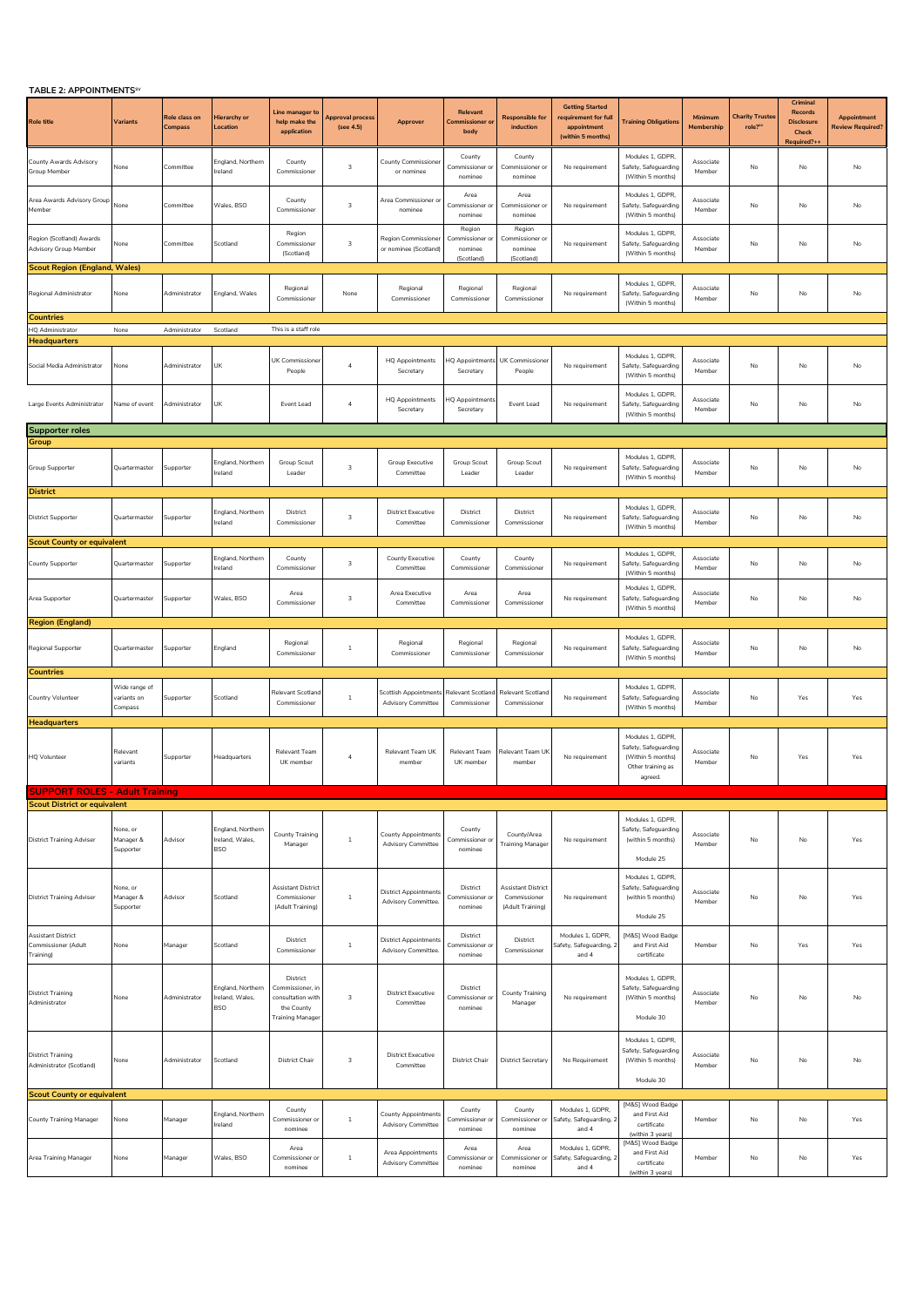| <b>IABLE 2: APPUINTMENTS</b>                                                 |                                         |                          |                                                    |                                                                                            |                                      |                                                           |                                                    |                                                        |                                                                                    |                                                                                               |                       |                                               |                                                                  |                                        |
|------------------------------------------------------------------------------|-----------------------------------------|--------------------------|----------------------------------------------------|--------------------------------------------------------------------------------------------|--------------------------------------|-----------------------------------------------------------|----------------------------------------------------|--------------------------------------------------------|------------------------------------------------------------------------------------|-----------------------------------------------------------------------------------------------|-----------------------|-----------------------------------------------|------------------------------------------------------------------|----------------------------------------|
| <b>Role title</b>                                                            | Variants                                | Role class on<br>Compass | Hierarchy or<br>Location                           | Line manager to<br>help make the<br>application                                            | <b>Approval process</b><br>(see 4.5) | Approver                                                  | Relevant<br><b>Commissioner</b> a<br>body          | <b>Responsible for</b><br>induction                    | <b>Getting Started</b><br>requirement for full<br>appointment<br>(within 5 months) | <b>Training Obligations</b>                                                                   | Minimum<br>Membership | <b>Charity Truster</b><br>role? <sup>51</sup> | Criminal<br>Records<br><b>Disclosure</b><br>Check<br>Required?++ | Appointment<br><b>Review Required?</b> |
| County Awards Advisory<br>Group Member                                       | None                                    | Committee                | England, Northern<br>Ireland                       | County<br>Commissioner                                                                     | 3                                    | <b>County Commissioner</b><br>or nominee                  | County<br>Commissioner or<br>nominee               | County<br>Commissioner or<br>nominee                   | No requirement                                                                     | Modules 1, GDPR,<br>Safety, Safeguarding<br>(Within 5 months)                                 | Associate<br>Member   | No                                            | No                                                               | No                                     |
| Area Awards Advisory Group<br><i><b>Member</b></i>                           | None                                    | Committee                | Wales, BSO                                         | County<br>Commissioner                                                                     | 3                                    | Area Commissioner or<br>nominee                           | Area<br>Commissioner c<br>nominee                  | Area<br>Commissioner o<br>nominee                      | No requirement                                                                     | Modules 1, GDPR,<br>Safety, Safeguarding<br>(Within 5 months)                                 | Associate<br>Member   | No                                            | No                                                               | No                                     |
| Region (Scotland) Awards<br>Advisory Group Member                            | None                                    | Committee                | Scotland                                           | Region<br>Commissioner<br>(Scotland)                                                       | 3                                    | <b>Region Commissioner</b><br>or nominee (Scotland)       | Region<br>Commissioner or<br>nominee<br>(Scotland) | Region<br>Commissioner or<br>nominee<br>(Scotland)     | No requirement                                                                     | Modules 1, GDPR,<br>Safety, Safeguarding<br>(Within 5 months)                                 | Associate<br>Member   | No                                            | No                                                               | No                                     |
| <b>Scout Region (England, Wales)</b><br>Regional Administrator               | None                                    | Administrator            | England, Wales                                     | Regional<br>Commissioner                                                                   | None                                 | Regional<br>Commissioner                                  | Regional<br>Commissioner                           | Regional<br>Commissioner                               | No requirement                                                                     | Modules 1, GDPR.<br>Safety, Safeguarding<br>(Within 5 months)                                 | Associate<br>Member   | No                                            | No                                                               | No                                     |
| <b>Countries</b>                                                             |                                         |                          |                                                    |                                                                                            |                                      |                                                           |                                                    |                                                        |                                                                                    |                                                                                               |                       |                                               |                                                                  |                                        |
| HQ Administrator<br>Headquarters                                             | None                                    | Administrator            | Scotland                                           | This is a staff role                                                                       |                                      |                                                           |                                                    |                                                        |                                                                                    |                                                                                               |                       |                                               |                                                                  |                                        |
| Social Media Administrator                                                   | None                                    | Administrator            | UK                                                 | UK Commissioner<br>People                                                                  | $\sqrt{4}$                           | <b>HQ Appointments</b><br>Secretary                       | Secretary                                          | HQ Appointments UK Commissioner<br>People              | No requirement                                                                     | Modules 1, GDPR,<br>Safety, Safeguarding<br>(Within 5 months)                                 | Associate<br>Member   | No                                            | No                                                               | No                                     |
| Large Events Administrator                                                   | Name of event                           | Administrator            | UK                                                 | Event Lead                                                                                 | $\sqrt{4}$                           | <b>HQ</b> Appointments<br>Secretary                       | HQ Appointments<br>Secretary                       | Event Lead                                             | No requirement                                                                     | Modules 1, GDPR,<br>Safety, Safeguarding<br>(Within 5 months)                                 | Associate<br>Member   | No                                            | No                                                               | No                                     |
| <b>Supporter roles</b>                                                       |                                         |                          |                                                    |                                                                                            |                                      |                                                           |                                                    |                                                        |                                                                                    |                                                                                               |                       |                                               |                                                                  |                                        |
| Group                                                                        |                                         |                          |                                                    |                                                                                            |                                      |                                                           |                                                    |                                                        |                                                                                    |                                                                                               |                       |                                               |                                                                  |                                        |
| Group Supporter                                                              | Quartermaster                           | Supporter                | England, Northern<br>Ireland                       | <b>Group Scout</b><br>Leader                                                               | 3                                    | <b>Group Executive</b><br>Committee                       | <b>Group Scout</b><br>Leader                       | Group Scout<br>Leader                                  | No requirement                                                                     | Modules 1, GDPR,<br>Safety, Safeguarding<br>(Within 5 months)                                 | Associate<br>Member   | No                                            | $\mathsf{No}$                                                    | No                                     |
| <b>District</b><br><b>District Supporter</b>                                 | Quartermaster                           | Supporter                | England, Northern<br>reland                        | District<br>Commissioner                                                                   | $\ensuremath{\mathsf{3}}$            | <b>District Executive</b><br>Committee                    | District<br>Commissioner                           | District<br>Commissioner                               | No requirement                                                                     | Modules 1, GDPR,<br>Safety, Safeguarding<br>(Within 5 months)                                 | Associate<br>Member   | No                                            | No                                                               | No                                     |
| <b>Scout County or equivalent</b>                                            |                                         |                          |                                                    |                                                                                            |                                      |                                                           |                                                    |                                                        |                                                                                    |                                                                                               |                       |                                               |                                                                  |                                        |
| County Supporter                                                             | Quartermaster                           | Supporter                | England, Northern<br>reland                        | County<br>Commissioner                                                                     | 3                                    | County Executive<br>Committee                             | County<br>Commissioner                             | County<br>Commissioner                                 | No requirement                                                                     | Modules 1, GDPR,<br>Safety, Safeguarding<br>(Within 5 months)<br>Modules 1, GDPR.             | Associate<br>Member   | No                                            | No                                                               | No                                     |
| Area Supporter                                                               | Quartermaster                           | Supporter                | Wales, BSO                                         | Area<br>Commissioner                                                                       | 3                                    | Area Executive<br>Committee                               | Area<br>Commissioner                               | Area<br>Commissioner                                   | No requirement                                                                     | Safety, Safeguarding<br>(Within 5 months)                                                     | Associate<br>Member   | No                                            | $\mathsf{No}$                                                    | No                                     |
| <b>Region (England)</b>                                                      |                                         |                          |                                                    |                                                                                            |                                      |                                                           |                                                    |                                                        |                                                                                    |                                                                                               |                       |                                               |                                                                  |                                        |
| Regional Supporter                                                           | Quartermaster                           | Supporter                | England                                            | Regional<br>Commissioner                                                                   | $1\,$                                | Regional<br>Commissioner                                  | Regional<br>Commissioner                           | Regional<br>Commissioner                               | No requirement                                                                     | Modules 1, GDPR,<br>Safety, Safeguarding<br>(Within 5 months)                                 | Associate<br>Member   | No                                            | No                                                               | No                                     |
| Countries                                                                    |                                         |                          |                                                    |                                                                                            |                                      |                                                           |                                                    |                                                        |                                                                                    |                                                                                               |                       |                                               |                                                                  |                                        |
| Country Volunteer<br><b>Headquarters</b>                                     | Wide range of<br>variants on<br>Compass | Supporter                | Scotland                                           | Relevant Scotland<br>Commissioner                                                          | $\,$ 1                               | <b>Scottish Appointments</b><br><b>Advisory Committee</b> | Commissioner                                       | Relevant Scotland Relevant Scotland<br>Commissioner    | No requirement                                                                     | Modules 1, GDPR,<br>Safety, Safeguarding<br>(Within 5 months)                                 | Associate<br>Member   | No                                            | Yes                                                              | Yes                                    |
| <b>HQ Volunteer</b>                                                          | Relevant<br>variants                    | Supporter                | Headquarters                                       | Relevant Team<br>UK member                                                                 | $\sqrt{4}$                           | Relevant Team UK<br>member                                | Relevant Team<br>UK member                         | Relevant Team Uk<br>membe                              | No requirement                                                                     | Modules 1. GDPR.<br>Safety, Safeguarding<br>(Within 5 months)<br>Other training as<br>agreed. | Associate<br>Member   | No                                            | Yes                                                              | Yes                                    |
| <b>SUPPORT ROLES - Adult Training</b><br><b>Scout District or equivalent</b> |                                         |                          |                                                    |                                                                                            |                                      |                                                           |                                                    |                                                        |                                                                                    |                                                                                               |                       |                                               |                                                                  |                                        |
| <b>District Training Adviser</b>                                             | None, or<br>Manager &<br>Supporter      | Advisor                  | England, Northern<br>Ireland, Wales,<br><b>BSO</b> | County Training<br>Manager                                                                 | $\overline{1}$                       | <b>County Appointments</b><br><b>Advisory Committee</b>   | County<br>Commissioner o<br>nominee                | County/Area<br><b>Fraining Manager</b>                 | No requirement                                                                     | Modules 1, GDPR,<br>Safety, Safeguarding<br>(within 5 months)<br>Module 25                    | Associate<br>Member   | No                                            | No                                                               | Yes                                    |
| <b>District Training Adviser</b>                                             | None, or<br>Manager &<br>Supporter      | Advisor                  | Scotland                                           | Assistant District<br>Commissioner<br>(Adult Training)                                     | $1\,$                                | <b>District Appointments</b><br>Advisory Committee.       | District<br>Commissioner or<br>nominee             | Assistant District<br>Commissioner<br>(Adult Training) | No requirement                                                                     | Modules 1, GDPR,<br>Safety, Safeguarding<br>(within 5 months)<br>Module 25                    | Associate<br>Member   | No                                            | No                                                               | Yes                                    |
| <b>Assistant District</b><br>Commissioner (Adult<br>Training)                | None                                    | Manager                  | Scotland                                           | District<br>Commissioner                                                                   | $1\,$                                | <b>District Appointments</b><br>Advisory Committee.       | District<br>Commissioner o<br>nominee              | District<br>Commissioner                               | Modules 1, GDPR,<br>Safety, Safeguarding,<br>and 4                                 | [M&S] Wood Badge<br>and First Aid<br>certificate                                              | Member                | No                                            | Yes                                                              | Yes                                    |
| <b>District Training</b><br>Administrator                                    | None                                    | Administrator            | England, Northern<br>Ireland, Wales.<br><b>BSO</b> | District<br>Commissioner, in<br>consultation with<br>the County<br><b>Fraining Manager</b> | $\overline{3}$                       | <b>District Executive</b><br>Committee                    | District<br>Commissioner o<br>nominee              | County Training<br>Manager                             | No requirement                                                                     | Modules 1, GDPR,<br>Safety, Safeguarding<br>(Within 5 months)<br>Module 30                    | Associate<br>Member   | No                                            | No                                                               | No                                     |
| <b>District Training</b><br>Administrator (Scotland)                         | None                                    | Administrator            | Scotland                                           | District Chair                                                                             | 3                                    | <b>District Executive</b><br>Committee                    | <b>District Chair</b>                              | <b>District Secretary</b>                              | No Requirement                                                                     | Modules 1, GDPR,<br>Safety, Safeguarding<br>(Within 5 months)<br>Module 30                    | Associate<br>Member   | No                                            | No                                                               | No                                     |
| <b>Scout County or equivalent</b>                                            |                                         |                          |                                                    |                                                                                            |                                      |                                                           |                                                    |                                                        |                                                                                    | [M&S] Wood Badge                                                                              |                       |                                               |                                                                  |                                        |
| <b>County Training Manager</b>                                               | None                                    | Manager                  | England, Northern<br>Ireland                       | County<br>Commissioner or<br>nominee                                                       | $\mathbf{1}$                         | <b>County Appointments</b><br><b>Advisory Committee</b>   | County<br>Commissioner or<br>nominee               | County<br>Commissioner or<br>nominee                   | Modules 1, GDPR,<br>Safety, Safeguarding, 2<br>and 4                               | and First Aid<br>certificate<br>(within 3 years)                                              | Member                | No                                            | $\mathsf{No}$                                                    | Yes                                    |
| Area Training Manager                                                        | None                                    | Manager                  | Wales, BSO                                         | Area<br>Commissioner or<br>nominee                                                         | $1\,$                                | Area Appointments<br><b>Advisory Committee</b>            | Area<br>Commissioner or<br>nominee                 | Area<br>Commissioner or<br>nominee                     | Modules 1, GDPR,<br>Safety, Safeguarding, 2<br>and 4                               | [M&S] Wood Badge<br>and First Aid<br>certificate<br>(within 3 years)                          | Member                | No                                            | No                                                               | Yes                                    |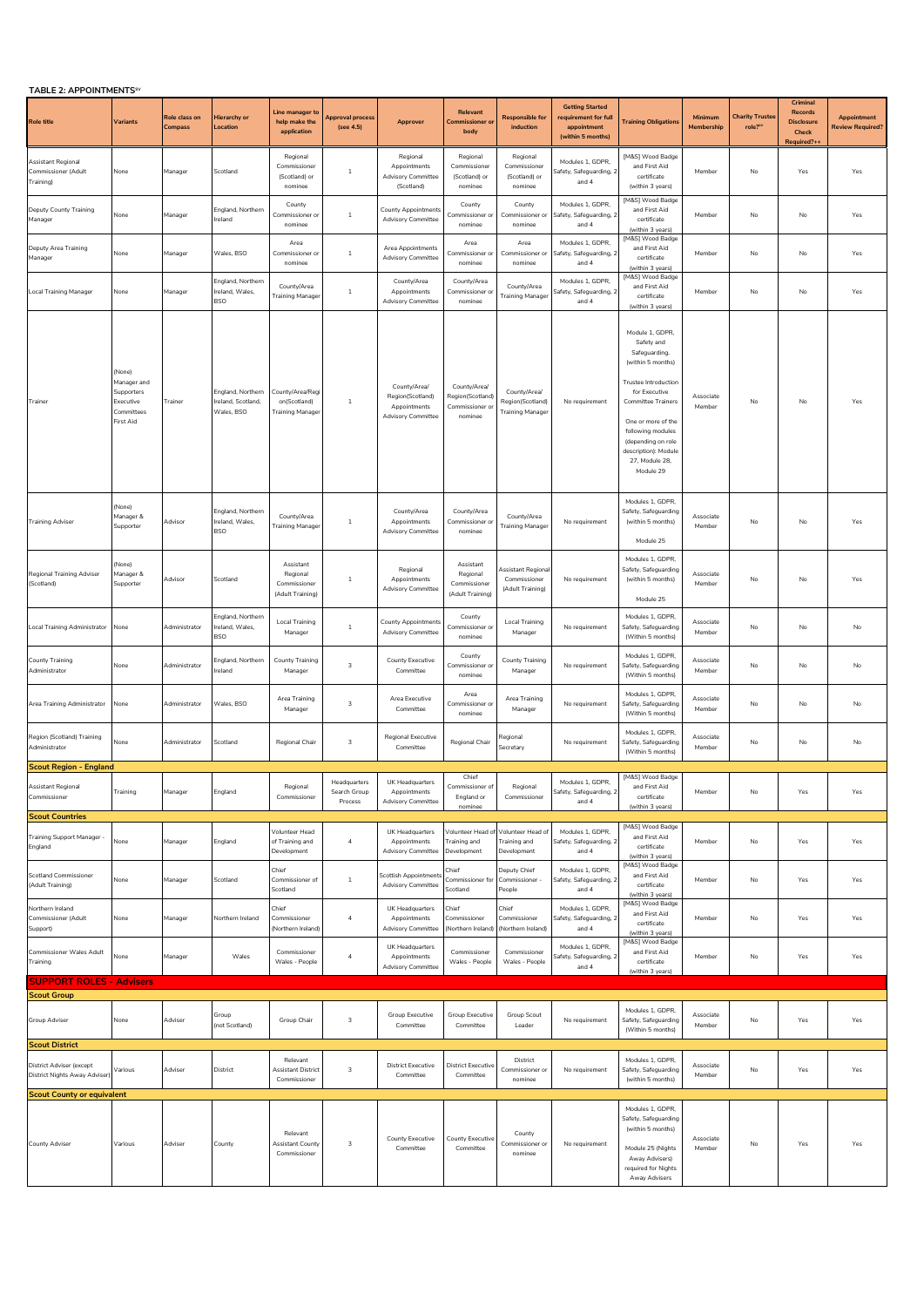| TABLE 2: APPOINTMENTS <sup>SV</sup>                                                                                     |                                                                             |                          |                                                       |                                                             |                                         |                                                                               |                                                                |                                                             |                                                                                    |                                                                                                                                                                                                                                                                   |                       |                                               |                                                                 |                                        |
|-------------------------------------------------------------------------------------------------------------------------|-----------------------------------------------------------------------------|--------------------------|-------------------------------------------------------|-------------------------------------------------------------|-----------------------------------------|-------------------------------------------------------------------------------|----------------------------------------------------------------|-------------------------------------------------------------|------------------------------------------------------------------------------------|-------------------------------------------------------------------------------------------------------------------------------------------------------------------------------------------------------------------------------------------------------------------|-----------------------|-----------------------------------------------|-----------------------------------------------------------------|----------------------------------------|
| <b>Role title</b>                                                                                                       | <b>Variants</b>                                                             | Role class on<br>Compass | Hierarchy or<br>Location                              | Line manager to<br>help make the<br>application             | Approval process<br>(see 4.5)           | Approver                                                                      | Relevant<br>Commissioner or<br>body                            | <b>Responsible for</b><br>induction                         | <b>Getting Started</b><br>requirement for full<br>appointment<br>(within 5 months) | <b>Training Obligations</b>                                                                                                                                                                                                                                       | Minimum<br>Membership | <b>Charity Trustee</b><br>role? <sup>51</sup> | Criminal<br>Records<br><b>Disclosure</b><br>Check<br>Required?+ | Appointment<br><b>Review Required?</b> |
| Assistant Regional<br>Commissioner (Adult<br>Training)                                                                  | None                                                                        | Manager                  | Scotland                                              | Regional<br>Commissioner<br>(Scotland) or<br>nominee        | $\mathbf{1}$                            | Regional<br>Appointments<br><b>Advisory Committee</b><br>(Scotland)           | Regional<br>Commissioner<br>(Scotland) or<br>nominee           | Regional<br>Commissioner<br>(Scotland) or<br>nominee        | Modules 1, GDPR,<br>Safety, Safeguarding, 2<br>and 4                               | [M&S] Wood Badge<br>and First Aid<br>certificate<br>(within 3 years)                                                                                                                                                                                              | Member                | No                                            | Yes                                                             | Yes                                    |
| Deputy County Training<br>Manager                                                                                       | None                                                                        | Manager                  | England, Northern<br>Ireland                          | County<br>Commissioner or<br>nominee                        | $1\,$                                   | County Appointment<br><b>Advisory Committee</b>                               | County<br>Commissioner or<br>nominee                           | County<br>Commissioner or<br>nominee                        | Modules 1. GDPR.<br>Safety, Safeguarding, 2<br>and 4                               | [M&S] Wood Badge<br>and First Aid<br>certificate<br>(within 3 years)                                                                                                                                                                                              | Member                | No                                            | No                                                              | Yes                                    |
| Deputy Area Training<br>Manager                                                                                         | None                                                                        | Manager                  | Wales, BSO                                            | Area<br>Commissioner or<br>nominee                          | $\overline{1}$                          | Area Appointments<br><b>Advisory Committee</b>                                | Area<br>Commissioner or<br>nominee                             | Area<br>Commissioner or<br>nominee                          | Modules 1, GDPR,<br>Safety, Safeguarding, 2<br>and 4                               | [M&S] Wood Badge<br>and First Aid<br>certificate<br>vithin 3 vears!                                                                                                                                                                                               | Member                | No                                            | No                                                              | Yes                                    |
| <b>Local Training Manager</b>                                                                                           | None                                                                        | Manager                  | England, Northern<br>Ireland, Wales,<br><b>BSO</b>    | County/Area<br>Training Manage                              | $\mathbf{1}$                            | County/Area<br>Appointments<br><b>Advisory Committee</b>                      | County/Area<br>Commissioner or<br>nominee                      | County/Area<br><b>Training Manage</b>                       | Modules 1, GDPR,<br>afety, Safeguarding, 2<br>and 4                                | [M&S] Wood Badge<br>and First Aid<br>certificate<br>(within 3 years)                                                                                                                                                                                              | Member                | No                                            | No                                                              | Yes                                    |
| Trainer                                                                                                                 | (None)<br>Manager and<br>Supporters<br>Executive<br>Committees<br>First Aid | Trainer                  | England, Northern<br>Ireland, Scotland,<br>Wales, BSO | County/Area/Regi<br>on(Scotland)<br><b>Training Manager</b> | $\mathbf{1}$                            | County/Area/<br>Region(Scotland)<br>Appointments<br><b>Advisory Committee</b> | County/Area/<br>Region(Scotland)<br>Commissioner or<br>nominee | County/Area/<br>Region(Scotland)<br><b>Training Manager</b> | No requirement                                                                     | Module 1, GDPR,<br>Safety and<br>Safeguarding.<br>(within 5 months)<br><b>Trustee Introduction</b><br>for Executive<br>Committee Trainers<br>One or more of the<br>following modules<br>(depending on role<br>description): Module<br>27, Module 28,<br>Module 29 | Associate<br>Member   | No                                            | No                                                              | Yes                                    |
| Training Adviser                                                                                                        | (None)<br>Manager &<br>Supporter                                            | Advisor                  | England, Northern<br>Ireland, Wales,<br><b>BSO</b>    | County/Area<br><b>Fraining Manager</b>                      | 1                                       | County/Area<br>Appointments<br><b>Advisory Committee</b>                      | County/Area<br>Commissioner o<br>nominee                       | County/Area<br><b>Training Manager</b>                      | No requirement                                                                     | Modules 1, GDPR,<br>Safety, Safeguarding<br>(within 5 months)<br>Module 25                                                                                                                                                                                        | Associate<br>Member   | No                                            | No                                                              | Yes                                    |
| Regional Training Adviser<br>(Scotland)                                                                                 | (None)<br>Manager &<br>Supporter                                            | Advisor                  | Scotland                                              | Assistant<br>Regional<br>Commissioner<br>(Adult Training)   | $\mathbf{1}$                            | Regional<br>Appointments<br><b>Advisory Committee</b>                         | Assistant<br>Regional<br>Commissioner<br>(Adult Training)      | Assistant Regiona<br>Commissioner<br>(Adult Training)       | No requirement                                                                     | Modules 1, GDPR,<br>Safety, Safeguarding<br>(within 5 months)<br>Module 25                                                                                                                                                                                        | Associate<br>Member   | No                                            | No                                                              | Yes                                    |
| <b>Local Training Administrator</b>                                                                                     | None                                                                        | Administrator            | England, Northern<br>reland, Wales,<br><b>BSO</b>     | Local Training<br>Manager                                   | $\,1\,$                                 | <b>County Appointments</b><br><b>Advisory Committee</b>                       | County<br>Commissioner or<br>nominee                           | <b>Local Training</b><br>Manager                            | No requirement                                                                     | Modules 1, GDPR,<br>Safety, Safeguarding<br>(Within 5 months)                                                                                                                                                                                                     | Associate<br>Member   | No                                            | $\mathsf{No}$                                                   | No                                     |
| County Training<br>Administrator                                                                                        | None                                                                        | Administrator            | England, Northern<br>Ireland                          | County Training<br>Manager                                  | 3                                       | <b>County Executive</b><br>Committee                                          | County<br>Commissioner o<br>nominee                            | County Training<br>Manager                                  | No requirement                                                                     | Modules 1, GDPR,<br>Safety, Safeguarding<br>(Within 5 months)                                                                                                                                                                                                     | Associate<br>Member   | No                                            | $\mathsf{No}$                                                   | No                                     |
| Area Training Administrator                                                                                             | None                                                                        | Administrator            | Wales, BSO                                            | Area Training<br>Manager                                    | 3                                       | Area Executive<br>Committee                                                   | Area<br>Commissioner or<br>nominee                             | Area Training<br>Manager                                    | No requirement                                                                     | Modules 1, GDPR,<br>Safety, Safeguarding<br>(Within 5 months)                                                                                                                                                                                                     | Associate<br>Member   | No                                            | No                                                              | No                                     |
| Region (Scotland) Training<br>Administrator                                                                             | None                                                                        | Administrator            | Scotland                                              | Regional Chair                                              | 3                                       | <b>Regional Executive</b><br>Committee                                        | Regional Chair                                                 | ≷egional<br>Secretary                                       | No requirement                                                                     | Modules 1, GDPR,<br>Safety, Safeguarding<br>(Within 5 months)                                                                                                                                                                                                     | Associate<br>Member   | No                                            | No                                                              | No                                     |
| <b>Scout Region - England</b><br>Assistant Regional<br>Commissioner                                                     | Training                                                                    | Manager                  | England                                               | Regional<br>Commissioner                                    | Headquarters<br>Search Group<br>Process | UK Headquarters<br>Appointments<br><b>Advisory Committee</b>                  | Chief<br>Commissioner of<br>England or<br>nominee              | Regional<br>Commissioner                                    | Modules 1, GDPR,<br>Safety, Safeguarding, 2<br>and 4                               | [M&S] Wood Badge<br>and First Aid<br>certificate<br>(within 3 years)                                                                                                                                                                                              | Member                | No                                            | Yes                                                             | Yes                                    |
| <b>Scout Countries</b><br><b>Training Support Manager</b><br>England                                                    | None                                                                        | Manager                  | England                                               | Volunteer Head<br>of Training and<br>Development            | $\overline{4}$                          | UK Headquarters<br>Appointments<br><b>Advisory Committee</b>                  | Volunteer Head of<br>Training and<br>Development               | Volunteer Head of<br>Training and<br>Development            | Modules 1, GDPR,<br>Safety, Safeguarding, 2<br>and 4                               | [M&S] Wood Badge<br>and First Aid<br>certificate                                                                                                                                                                                                                  | Member                | No                                            | Yes                                                             | Yes                                    |
| <b>Scotland Commissioner</b><br>(Adult Training)                                                                        | None                                                                        | Manager                  | Scotland                                              | Chief<br>Commissioner of<br>Scotland                        | $1\,$                                   | Scottish Appointment<br><b>Advisory Committee</b>                             | Chief<br>Commissioner for<br>Scotland                          | Deputy Chief<br>Commissioner -<br>People                    | Modules 1, GDPR,<br>Safety, Safeguarding, 2<br>and 4                               | (within 3 years)<br>[M&S] Wood Badge<br>and First Aid<br>certificate<br>(within 3 years)                                                                                                                                                                          | Member                | $\mathsf{No}$                                 | Yes                                                             | Yes                                    |
| Northern Ireland<br>Commissioner (Adult<br>Support)                                                                     | None                                                                        | Manager                  | Northern Ireland                                      | Chief<br>Commissioner<br>(Northern Ireland)                 | $\overline{4}$                          | UK Headquarters<br>Appointments<br><b>Advisory Committee</b>                  | Chief<br>Commissioner<br>(Northern Ireland)                    | Chief<br>Commissioner<br>(Northern Ireland)                 | Modules 1, GDPR,<br>Safety, Safeguarding, 2<br>and 4                               | [M&S] Wood Badge<br>and First Aid<br>certificate<br>(within 3 years)                                                                                                                                                                                              | Member                | No                                            | Yes                                                             | Yes                                    |
| <b>Commissioner Wales Adult</b><br>Training                                                                             | None                                                                        | Manager                  | Wales                                                 | Commissioner<br>Wales - People                              | $\bf{4}$                                | UK Headquarters<br>Appointments<br><b>Advisory Committee</b>                  | Commissioner<br>Wales - People                                 | Commissioner<br>Wales - People                              | Modules 1, GDPR,<br>Safety, Safeguarding, 2<br>and 4                               | [M&S] Wood Badge<br>and First Aid<br>certificate<br>(within 3 years)                                                                                                                                                                                              | Member                | No                                            | Yes                                                             | Yes                                    |
| <b>SUPPORT ROLES - Advisers</b>                                                                                         |                                                                             |                          |                                                       |                                                             |                                         |                                                                               |                                                                |                                                             |                                                                                    |                                                                                                                                                                                                                                                                   |                       |                                               |                                                                 |                                        |
| <b>Scout Group</b><br>Group Adviser                                                                                     | None                                                                        | Adviser                  | Group<br>(not Scotland)                               | Group Chair                                                 | 3                                       | Group Executive<br>Committee                                                  | Group Executive<br>Committee                                   | Group Scout<br>Leader                                       | No requirement                                                                     | Modules 1, GDPR,<br>Safety, Safeguarding<br>(Within 5 months)                                                                                                                                                                                                     | Associate<br>Member   | No                                            | Yes                                                             | Yes                                    |
| <b>Scout District</b><br>District Adviser (except<br>District Nights Away Adviser)<br><b>Scout County or equivalent</b> | Various                                                                     | Adviser                  | District                                              | Relevant<br><b>Assistant District</b><br>Commissioner       | 3                                       | <b>District Executive</b><br>Committee                                        | <b>District Executive</b><br>Committee                         | District<br>Commissioner or<br>nominee                      | No requirement                                                                     | Modules 1, GDPR,<br>Safety, Safeguarding<br>(within 5 months)                                                                                                                                                                                                     | Associate<br>Member   | No                                            | Yes                                                             | Yes                                    |
| County Adviser                                                                                                          | Various                                                                     | Adviser                  | County                                                | Relevant<br>Assistant County<br>Commissioner                | 3                                       | County Executive<br>Committee                                                 | <b>County Executive</b><br>Committee                           | County<br>Commissioner or<br>nominee                        | No requirement                                                                     | Modules 1, GDPR,<br>Safety, Safeguarding<br>(within 5 months)<br>Module 25 (Nights<br>Away Advisers)<br>required for Nights<br>Away Advisers                                                                                                                      | Associate<br>Member   | No                                            | Yes                                                             | Yes                                    |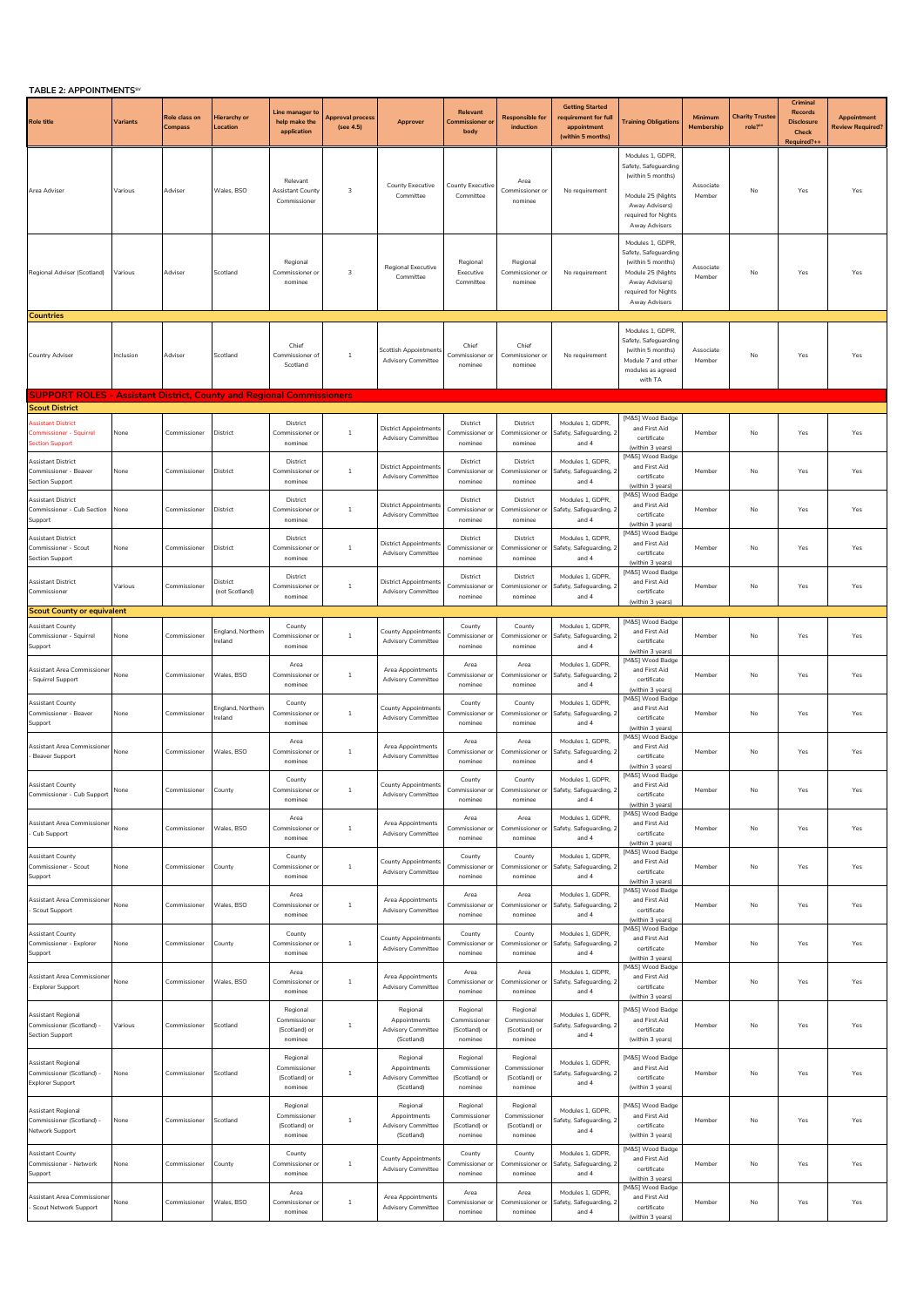| TABLE 2: APPOINTMENTS <sup>SV</sup>                                                              |          |                          |                              |                                                      |                                      |                                                                     |                                                      |                                                      |                                                                                   |                                                                                                                                              |                       |                                  |                                                                        |                                               |
|--------------------------------------------------------------------------------------------------|----------|--------------------------|------------------------------|------------------------------------------------------|--------------------------------------|---------------------------------------------------------------------|------------------------------------------------------|------------------------------------------------------|-----------------------------------------------------------------------------------|----------------------------------------------------------------------------------------------------------------------------------------------|-----------------------|----------------------------------|------------------------------------------------------------------------|-----------------------------------------------|
| <b>Role title</b>                                                                                | Variants | Role class on<br>Compass | Hierarchy or<br>Location     | Line manager t<br>help make the<br>application       | <b>Approval process</b><br>(see 4.5) | Approver                                                            | Relevant<br><b>Commissioner or</b><br>body           | <b>Responsible for</b><br>induction                  | <b>Getting Started</b><br>requirement for ful<br>appointment<br>(within 5 months) | <b>Training Obligations</b>                                                                                                                  | Minimum<br>Membership | <b>Charity Trustee</b><br>role?" | Criminal<br><b>Records</b><br><b>Disclosure</b><br>Check<br>Required?+ | <b>Appointment</b><br><b>Review Required?</b> |
| Area Adviser                                                                                     | Various  | Adviser                  | Wales, BSO                   | Relevant<br>Assistant County<br>Commissioner         | 3                                    | County Executive<br>Committee                                       | County Executive<br>Committee                        | Area<br>Commissioner or<br>nominee                   | No requirement                                                                    | Modules 1, GDPR,<br>Safety, Safeguarding<br>(within 5 months)<br>Module 25 (Nights<br>Away Advisers)<br>required for Nights<br>Away Advisers | Associate<br>Member   | No                               | Yes                                                                    | Yes                                           |
| Regional Adviser (Scotland)                                                                      | Various  | Adviser                  | Scotland                     | Regional<br>Commissioner o<br>nominee                | 3                                    | <b>Regional Executive</b><br>Committee                              | Regional<br>Executive<br>Committee                   | Regional<br>Commissioner or<br>nominee               | No requirement                                                                    | Modules 1, GDPR,<br>Safety, Safeguarding<br>(within 5 months)<br>Module 25 (Nights<br>Away Advisers)<br>required for Nights<br>Away Advisers | Associate<br>Member   | No                               | Yes                                                                    | Yes                                           |
| <b>Countries</b>                                                                                 |          |                          |                              |                                                      |                                      |                                                                     |                                                      |                                                      |                                                                                   |                                                                                                                                              |                       |                                  |                                                                        |                                               |
| Country Adviser                                                                                  | nclusion | Adviser                  | Scotland                     | Chief<br>Commissioner of<br>Scotland                 | $\mathbf{1}$                         | <b>Scottish Appointments</b><br><b>Advisory Committee</b>           | Chief<br>Commissioner or<br>nominee                  | Chief<br>Commissioner or<br>nominee                  | No requirement                                                                    | Modules 1, GDPR<br>Safety, Safeguarding<br>(within 5 months)<br>Module 7 and other<br>modules as agreed<br>with TA                           | Associate<br>Member   | No                               | Yes                                                                    | Yes                                           |
| <b>SUPPORT ROLES - Assistant District, County and Regional Commissioners</b>                     |          |                          |                              |                                                      |                                      |                                                                     |                                                      |                                                      |                                                                                   |                                                                                                                                              |                       |                                  |                                                                        |                                               |
| <b>Scout District</b><br><b>Assistant District</b><br>Commissioner - Squirrel<br>Section Support | None     | Commissioner             | District                     | District<br>Commissioner or<br>nominee               | 1                                    | <b>District Appointments</b><br><b>Advisory Committee</b>           | District<br>Commissioner or<br>nominee               | District<br>Commissioner or<br>nominee               | Modules 1, GDPR,<br>Safety, Safeguarding, 2<br>and 4                              | [M&S] Wood Badge<br>and First Aid<br>certificate<br>(within 3 years)                                                                         | Member                | No                               | Yes                                                                    | Yes                                           |
| <b>Assistant District</b><br>Commissioner - Beaver<br>Section Support                            | None     | Commissioner             | District                     | District<br>Commissioner or<br>nominee               | $1\,$                                | <b>District Appointments</b><br><b>Advisory Committee</b>           | District<br>Commissioner or<br>nominee               | District<br>Commissioner or<br>nominee               | Modules 1, GDPR,<br>Safety, Safeguarding, 2<br>and 4                              | [M&S] Wood Badge<br>and First Aid<br>certificate<br>(within 3 years)                                                                         | Member                | No                               | Yes                                                                    | Yes                                           |
| <b>Assistant District</b><br>Commissioner - Cub Section<br>Support                               | None     | Commissioner             | District                     | District<br>Commissioner o<br>nominee                | 1                                    | District Appointments<br><b>Advisory Committee</b>                  | District<br>Commissioner or<br>nominee               | District<br>Commissioner or<br>nominee               | Modules 1, GDPR.<br>Safety, Safeguarding, 2<br>and 4                              | [M&S] Wood Badge<br>and First Aid<br>certificate<br>(within 3 years)                                                                         | Member                | No                               | Yes                                                                    | Yes                                           |
| Assistant District<br>Commissioner - Scout<br><b>Section Support</b>                             | Vone     | Commissioner             | District                     | District<br>Commissioner<br>nominee                  | $1\,$                                | District Appointments<br><b>Advisory Committee</b>                  | District<br>ommissioner o<br>nominee                 | District<br>Commissioner or<br>nominee               | Modules 1, GDPR,<br>Safety, Safeguarding,<br>and 4                                | [M&S] Wood Badge<br>and First Aid<br>certificate<br>(within 3 years)                                                                         | Member                | No                               | Yes                                                                    | Yes                                           |
| Assistant District<br>Commissioner                                                               | Various  | Commissioner             | District<br>(not Scotland)   | District<br>Commissioner o<br>nominee                | 1                                    | District Appointments<br><b>Advisory Committee</b>                  | District<br>Commissioner or<br>nominee               | District<br>Commissioner or<br>nominee               | Modules 1. GDPR.<br>Safety, Safeguarding, 2<br>and 4                              | [M&S] Wood Badge<br>and First Aid<br>certificate<br>(within 3 years)                                                                         | Member                | No                               | Yes                                                                    | Yes                                           |
| <b>Scout County or equivalent</b>                                                                |          |                          |                              |                                                      |                                      |                                                                     |                                                      |                                                      |                                                                                   | [M&S] Wood Badge                                                                                                                             |                       |                                  |                                                                        |                                               |
| Assistant County<br>Commissioner - Squirrel<br>Support                                           | None     | Commissioner             | ingland, Northern<br>reland  | County<br>Commissioner o<br>nominee                  | $\mathbf{1}$                         | County Appointments<br><b>Advisory Committee</b>                    | County<br>Commissioner o<br>nominee                  | County<br>Commissioner o<br>nominee                  | Modules 1, GDPR<br>afety, Safeguarding,<br>and 4                                  | and First Aid<br>certificate<br>(within 3 years)                                                                                             | Member                | No                               | Yes                                                                    | Yes                                           |
| Assistant Area Commissioner<br>Squirrel Support                                                  | None     | Commissioner             | Wales, BSO                   | Area<br>Commissioner o<br>nominee                    | $\mathbf{1}$                         | Area Appointments<br><b>Advisory Committee</b>                      | Area<br>Commissioner or<br>nominee                   | Area<br>Commissioner o<br>nominee                    | Modules 1. GDPR.<br>Safety, Safeguarding,<br>and 4                                | [M&S] Wood Badge<br>and First Aid<br>certificate<br>(within 3 years)                                                                         | Member                | No                               | Yes                                                                    | Yes                                           |
| Assistant County<br>Commissioner - Beaver<br>Support                                             | None     | Commissioner             | England, Northern<br>Ireland | County<br>Commissioner or<br>nominee                 | $\,$ 1                               | County Appointments<br><b>Advisory Committee</b>                    | County<br>Commissioner or<br>nominee                 | County<br>Commissioner or<br>nominee                 | Modules 1, GDPR,<br>Safety, Safeguarding, 2<br>and 4                              | [M&S] Wood Badge<br>and First Aid<br>certificate<br>(within 3 years)                                                                         | Member                | No                               | Yes                                                                    | Yes                                           |
| Assistant Area Commissioner<br>Beaver Support                                                    | None     | Commissioner             | Wales, BSO                   | Area<br>Commissioner or<br>nominee                   | $\mathbf{1}$                         | Area Appointments<br><b>Advisory Committee</b>                      | Area<br>Commissioner or<br>nominee                   | Area<br>Commissioner or<br>nominee                   | Modules 1, GDPR,<br>Safety, Safeguarding, 2<br>and 4                              | [M&S] Wood Badge<br>and First Aid<br>certificate<br>(within 3 years)                                                                         | Member                | No                               | Yes                                                                    | Yes                                           |
| <b>Assistant County</b><br>Commissioner - Cub Support                                            | None     | Commissioner             | County                       | County<br>Commissioner o<br>nominee                  | $\,$ 1                               | County Appointments<br><b>Advisory Committee</b>                    | County<br>Commissioner or<br>nominee                 | County<br>Commissioner or<br>nominee                 | Modules 1 GDPR<br>Safety, Safeguarding, 2<br>and 4                                | [M&S] Wood Badge<br>and First Aid<br>certificate<br>(within 3 years)                                                                         | Member                | No                               | Yes                                                                    | Yes                                           |
| Assistant Area Commissioner<br>Cub Support                                                       | None     | Commissioner             | Wales, BSO                   | Area<br>Commissioner o<br>nominee                    | -1                                   | Area Appointments<br><b>Advisory Committee</b>                      | Area<br>Commissioner or<br>nominee                   | Area<br>Commissioner or<br>nominee                   | Modules 1, GDPR,<br>Safety, Safeguarding, 2<br>and 4                              | [M&S] Wood Badge<br>and First Aid<br>certificate<br>(within 3 years)                                                                         | Member                | No                               | Yes                                                                    | Yes                                           |
| <b>Assistant County</b><br>Commissioner - Scout<br>Support                                       | None     | Commissioner             | County                       | County<br>Commissioner of<br>nominee                 | $1\,$                                | County Appointments<br><b>Advisory Committee</b>                    | County<br>Commissioner or<br>nominee                 | County<br>Commissioner or<br>nominee                 | Modules 1. GDPR.<br>Safety, Safeguarding, 2<br>and 4                              | [M&S] Wood Badge<br>and First Aid<br>certificate<br>(within 3 years)                                                                         | Member                | No                               | Yes                                                                    | Yes                                           |
| Assistant Area Commissioner<br>Scout Support                                                     | None     | Commissioner             | Wales, BSO                   | Area<br>Commissioner or<br>nominee                   | 1                                    | Area Appointments<br><b>Advisory Committee</b>                      | Area<br>Commissioner or<br>nominee                   | Area<br>Commissioner or<br>nominee                   | Modules 1, GDPR,<br>Safety, Safeguarding, 2<br>and 4                              | [M&S] Wood Badge<br>and First Aid<br>certificate<br>(within 3 years)                                                                         | Member                | No                               | Yes                                                                    | Yes                                           |
| Assistant County<br>Commissioner - Explorer<br>Support                                           | None     | Commissioner             | County                       | County<br>Commissioner o<br>nominee                  | $\,$ 1                               | <b>County Appointments</b><br><b>Advisory Committee</b>             | County<br>Commissioner or<br>nominee                 | County<br>Commissioner o<br>nominee                  | Modules 1, GDPR<br>afety, Safeguarding,<br>and 4                                  | [M&S] Wood Badge<br>and First Aid<br>certificate<br>(within 3 years)                                                                         | Member                | No                               | Yes                                                                    | Yes                                           |
| Assistant Area Commissioner<br>Explorer Support                                                  | None     | Commissioner             | Wales, BSO                   | Area<br>Commissioner or<br>nominee                   | 1                                    | Area Appointments<br><b>Advisory Committee</b>                      | Area<br>Commissioner or<br>nominee                   | Area<br>Commissioner o<br>nominee                    | Modules 1, GDPR,<br>Safety, Safeguarding, 2<br>and 4                              | [M&S] Wood Badge<br>and First Aid<br>certificate<br>(within 3 years)                                                                         | Member                | No                               | Yes                                                                    | Yes                                           |
| Assistant Regional<br>Commissioner (Scotland) -<br><b>Section Support</b>                        | Various  | Commissioner             | Scotland                     | Regional<br>Commissioner<br>(Scotland) or<br>nominee | $\mathbf{1}$                         | Regional<br>Appointments<br><b>Advisory Committee</b><br>(Scotland) | Regional<br>Commissioner<br>(Scotland) or<br>nominee | Regional<br>Commissioner<br>(Scotland) or<br>nominee | Modules 1, GDPR,<br>Safety, Safeguarding, 2<br>and 4                              | [M&S] Wood Badge<br>and First Aid<br>certificate<br>(within 3 years)                                                                         | Member                | No                               | Yes                                                                    | Yes                                           |
| Assistant Regional<br>Commissioner (Scotland) -<br><b>Explorer Support</b>                       | None     | Commissioner             | Scotland                     | Regional<br>Commissioner<br>(Scotland) or<br>nominee | 1                                    | Regional<br>Appointments<br><b>Advisory Committee</b><br>(Scotland) | Regional<br>Commissioner<br>(Scotland) or<br>nominee | Regional<br>Commissioner<br>(Scotland) or<br>nominee | Modules 1. GDPR.<br>Safety, Safeguarding, 2<br>and 4                              | [M&S] Wood Badge<br>and First Aid<br>certificate<br>(within 3 years)                                                                         | Member                | No                               | Yes                                                                    | Yes                                           |
| Assistant Regional<br>Commissioner (Scotland) -<br>Network Support                               | None     | Commissioner             | Scotland                     | Regional<br>Commissioner<br>(Scotland) or<br>nominee | 1                                    | Regional<br>Appointments<br><b>Advisory Committee</b><br>(Scotland) | Regional<br>Commissioner<br>(Scotland) or<br>nominee | Regional<br>Commissioner<br>(Scotland) or<br>nominee | Modules 1, GDPR,<br>afety, Safeguarding,<br>and 4                                 | [M&S] Wood Badge<br>and First Aid<br>certificate<br>(within 3 years)                                                                         | Member                | No                               | Yes                                                                    | Yes                                           |
| <b>Assistant County</b><br>Commissioner - Network<br>Support                                     | None     | Commissioner             | County                       | County<br>Commissioner o<br>nominee                  | 1                                    | County Appointments<br><b>Advisory Committee</b>                    | County<br>Commissioner or<br>nominee                 | County<br>Commissioner or<br>nominee                 | Modules 1. GDPR.<br>Safety, Safeguarding, 2<br>and 4                              | [M&S] Wood Badge<br>and First Aid<br>certificate<br>(within 3 years)                                                                         | Member                | No                               | Yes                                                                    | Yes                                           |
| Assistant Area Commissioner<br>Scout Network Support                                             | None     | Commissioner             | Wales, BSO                   | Area<br>Commissioner or<br>nominee                   | $1\,$                                | Area Appointments<br><b>Advisory Committee</b>                      | Area<br>Commissioner or<br>nominee                   | Area<br>Commissioner or<br>nominee                   | Modules 1, GDPR,<br>Safety, Safeguarding, 2<br>and 4                              | [M&S] Wood Badge<br>and First Aid<br>certificate<br>(within 3 years)                                                                         | Member                | No                               | Yes                                                                    | Yes                                           |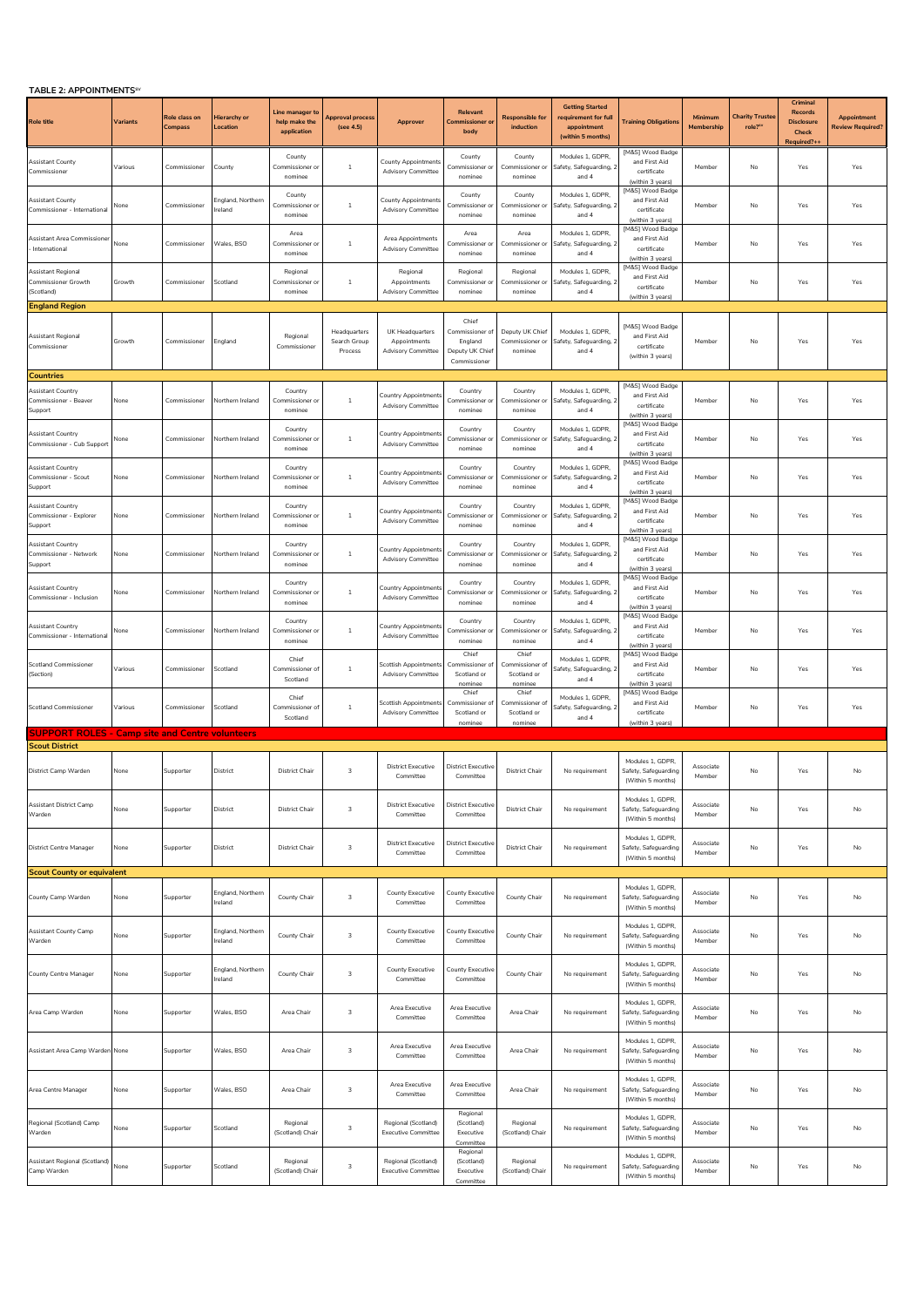## **TABLE 2: APPOINTMENTSSV**

| <b>I ADLE Z: APPUINTMENTS</b>                                  |          |                           |                                 |                                                 |                                         |                                                              |                                                                        |                                                    |                                                                                    |                                                                      |                       |                                              |                                                                        |                                               |
|----------------------------------------------------------------|----------|---------------------------|---------------------------------|-------------------------------------------------|-----------------------------------------|--------------------------------------------------------------|------------------------------------------------------------------------|----------------------------------------------------|------------------------------------------------------------------------------------|----------------------------------------------------------------------|-----------------------|----------------------------------------------|------------------------------------------------------------------------|-----------------------------------------------|
| <b>Role title</b>                                              | Variants | Role class on<br>compass. | <b>Hierarchy</b> or<br>.ocation | Line manager to<br>help make the<br>application | Approval process<br>(see 4.5)           | Approver                                                     | Relevant<br><b>nissioner</b><br>body                                   | <b>Responsible for</b><br>induction                | <b>Getting Started</b><br>requirement for full<br>appointment<br>(within 5 months) | <b>Training Obligation:</b>                                          | Minimum<br>Membership | <b>Charity Truste</b><br>role? <sup>5V</sup> | Criminal<br><b>Records</b><br><b>Disclosure</b><br>Check<br>Required?+ | Appointment<br>Review Required <mark>?</mark> |
| <b>Assistant County</b><br>Commissioner                        | Various  | Commissioner              | County                          | County<br>Commissioner or<br>nominee            | $\overline{1}$                          | County Appointments<br><b>Advisory Committee</b>             | County<br>Commissioner or<br>nominee                                   | County<br>Commissioner or<br>nominee               | Modules 1, GDPR,<br>Safety, Safeguarding, 2<br>and 4                               | [M&S] Wood Badge<br>and First Aid<br>certificate<br>(within 3 years) | Member                | No                                           | Yes                                                                    | Yes                                           |
| <b>Assistant County</b><br>Commissioner - International        | None     | Commissioner              | England, Northern<br>reland     | County<br>Commissioner o<br>nominee             | $\mathbf{1}$                            | <b>County Appointments</b><br><b>Advisory Committee</b>      | County<br>Commissioner or<br>nominee                                   | County<br>Commissioner or<br>nominee               | Modules 1, GDPR.<br>Safety, Safeguarding, 2<br>and 4                               | [M&S] Wood Badge<br>and First Aid<br>certificate<br>(within 3 years) | Member                | No                                           | Yes                                                                    | Yes                                           |
| Assistant Area Commissioner<br>International                   | None     | Commissioner              | Wales, BSO                      | Area<br>Commissioner of<br>nominee              | $\mathbf{1}$                            | Area Appointments<br><b>Advisory Committee</b>               | Area<br>Commissioner o<br>nominee                                      | Area<br>Commissioner o<br>nominee                  | Modules 1, GDPR.<br>afety, Safeguarding, 2<br>and 4                                | [M&S] Wood Badge<br>and First Aid<br>certificate<br>(within 3 years) | Member                | No                                           | Yes                                                                    | Yes                                           |
| Assistant Regional<br><b>Commissioner Growth</b><br>(Scotland) | Growth   | Commissioner              | Scotland                        | Regional<br>Commissioner of<br>nominee          | 1                                       | Regional<br>Appointments<br><b>Advisory Committee</b>        | Regional<br>Commissioner o<br>nominee                                  | Regional<br>Commissioner or<br>nominee             | Modules 1. GDPR.<br>Safety, Safeguarding, 2<br>and 4                               | [M&S] Wood Badge<br>and First Aid<br>certificate<br>(within 3 years) | Member                | No                                           | Yes                                                                    | Yes                                           |
| <b>England Region</b>                                          |          |                           |                                 |                                                 |                                         |                                                              |                                                                        |                                                    |                                                                                    |                                                                      |                       |                                              |                                                                        |                                               |
| Assistant Regional<br>Commissioner                             | Growth   | Commissioner              | England                         | Regional<br>Commissioner                        | Headquarters<br>Search Group<br>Process | UK Headquarters<br>Appointments<br><b>Advisory Committee</b> | Chief<br>Commissioner of<br>England<br>Deputy UK Chief<br>Commissioner | Deputy UK Chief<br>Commissioner or<br>nominee      | Modules 1, GDPR.<br>Safety, Safeguarding, 2<br>and 4                               | [M&S] Wood Badge<br>and First Aid<br>certificate<br>(within 3 years) | Member                | No                                           | Yes                                                                    | Yes                                           |
| <b>Countries</b>                                               |          |                           |                                 |                                                 |                                         |                                                              |                                                                        |                                                    |                                                                                    |                                                                      |                       |                                              |                                                                        |                                               |
| <b>Assistant Country</b><br>Commissioner - Beaver<br>Support   | None     | Commissioner              | Northern Ireland                | Country<br>Commissioner o<br>nominee            | $\mathbf{1}$                            | Country Appointment<br><b>Advisory Committee</b>             | Country<br>Commissioner or<br>nominee                                  | Country<br>Commissioner or<br>nominee              | Modules 1, GDPR.<br>Safety, Safeguarding, 2<br>and 4                               | [M&S] Wood Badge<br>and First Aid<br>certificate<br>(within 3 years) | Member                | No                                           | Yes                                                                    | Yes                                           |
| Assistant Country<br>Commissioner - Cub Support                | None     | Commissioner              | Northern Ireland                | Country<br>Commissioner o<br>nominee            | $1\,$                                   | Country Appointment<br><b>Advisory Committee</b>             | Country<br>Commissioner o<br>nominee                                   | Country<br>Commissioner or<br>nominee              | Modules 1, GDPR.<br>Safety, Safeguarding, 2<br>and 4                               | [M&S] Wood Badge<br>and First Aid<br>certificate<br>(within 3 years) | Member                | No                                           | Yes                                                                    | Yes                                           |
| Assistant Country<br>Commissioner - Scout<br>Support           | None     | Commissioner              | Northern Ireland                | Country<br>Commissioner or<br>nominee           | $\mathbf{1}$                            | Country Appointment<br><b>Advisory Committee</b>             | Country<br>Commissioner o<br>nominee                                   | Country<br>Commissioner or<br>nominee              | Modules 1, GDPR,<br>Safety, Safeguarding, 2<br>and 4                               | [M&S] Wood Badge<br>and First Aid<br>certificate<br>(within 3 years) | Member                | No                                           | Yes                                                                    | Yes                                           |
| Assistant Country<br>Commissioner - Explorer<br>Support        | None     | Commissioner              | Northern Ireland                | Country<br>Commissioner or<br>nominee           | $1\,$                                   | Country Appointments<br><b>Advisory Committee</b>            | Country<br>Commissioner or<br>nominee                                  | Country<br>Commissioner or<br>nominee              | Modules 1, GDPR,<br>Safety, Safeguarding, 2<br>and 4                               | [M&S] Wood Badge<br>and First Aid<br>certificate<br>(within 3 years) | Member                | No                                           | Yes                                                                    | Yes                                           |
| <b>Assistant Country</b><br>Commissioner - Network<br>Support  | None     | Commissioner              | Northern Ireland                | Country<br>Commissioner or<br>nominee           | $\mathbf{1}$                            | Country Appointment<br><b>Advisory Committee</b>             | Country<br>Commissioner or<br>nominee                                  | Country<br>Commissioner or<br>nominee              | Modules 1, GDPR,<br>Safety, Safeguarding, 2<br>and 4                               | [M&S] Wood Badge<br>and First Aid<br>certificate<br>(within 3 years) | Member                | No                                           | Yes                                                                    | Yes                                           |
| Assistant Country<br>Commissioner - Inclusion                  | None     | Commissioner              | Northern Ireland                | Country<br>Commissioner o<br>nominee            | $1\,$                                   | Country Appointment<br><b>Advisory Committee</b>             | Country<br>Commissioner o<br>nominee                                   | Country<br>Commissioner o<br>nominee               | Modules 1, GDPR,<br>Safety, Safeguarding, 2<br>and 4                               | [M&S] Wood Badge<br>and First Aid<br>certificate<br>(within 3 years) | Member                | No                                           | Yes                                                                    | Yes                                           |
| Assistant Countrv<br>Commissioner - International              | None     | Commissioner              | Northern Ireland                | Country<br>Commissioner o<br>nominee            | -1                                      | Country Appointment<br><b>Advisory Committee</b>             | Country<br>Commissioner o<br>nominee                                   | Country<br>Commissioner or<br>nominee              | Modules 1, GDPR,<br>Safety, Safeguarding, 2<br>and 4                               | [M&S] Wood Badge<br>and First Aid<br>certificate<br>(within 3 years) | Member                | No                                           | Yes                                                                    | Yes                                           |
| <b>Scotland Commissioner</b><br>(Section)                      | Various  | Commissioner              | Scotland                        | Chief<br>Commissioner o<br>Scotland             | $1\,$                                   | <b>Scottish Appointments</b><br><b>Advisory Committee</b>    | Chief<br>Commissioner of<br>Scotland or<br>nominee                     | Chief<br>Commissioner of<br>Scotland or<br>nominee | Modules 1, GDPR,<br>Safety, Safeguarding, 2<br>and 4                               | [M&S] Wood Badge<br>and First Aid<br>certificate<br>(within 3 years) | Member                | No                                           | Yes                                                                    | Yes                                           |
| <b>Scotland Commissioner</b>                                   | Various  | Commissioner              | Scotland                        | Chief<br>Commissioner of<br>Scotland            | $\mathbf{1}$                            | Scottish Appointments<br><b>Advisory Committee</b>           | Chief<br>Commissioner of<br>Scotland or<br>nominee                     | Chief<br>Commissioner of<br>Scotland or<br>nominee | Modules 1, GDPR,<br>Safety, Safeguarding, 2<br>and 4                               | [M&S] Wood Badge<br>and First Aid<br>certificate<br>(within 3 years) | Member                | No                                           | Yes                                                                    | Yes                                           |
| <b>SUPPORT ROLES - Camp site and Centre volunteers</b>         |          |                           |                                 |                                                 |                                         |                                                              |                                                                        |                                                    |                                                                                    |                                                                      |                       |                                              |                                                                        |                                               |
| <b>Scout District</b>                                          |          |                           |                                 |                                                 |                                         |                                                              |                                                                        |                                                    |                                                                                    |                                                                      |                       |                                              |                                                                        |                                               |
| District Camp Warden                                           | None     | Supporter                 | District                        | <b>District Chair</b>                           | 3                                       | <b>District Executive</b><br>Committee                       | <b>District Executive</b><br>Committee                                 | District Chair                                     | No requirement                                                                     | Modules 1. GDPR.<br>Safety, Safeguarding<br>(Within 5 months)        | Associate<br>Member   | No                                           | Yes                                                                    | No                                            |
| Assistant District Camp<br>Warden                              | None     | Supporter                 | District                        | <b>District Chair</b>                           | 3                                       | <b>District Executive</b><br>Committee                       | <b>District Executive</b><br>Committee                                 | District Chair                                     | No requirement                                                                     | Modules 1, GDPR,<br>Safety, Safeguarding<br>(Within 5 months)        | Associate<br>Member   | No                                           | Yes                                                                    | No                                            |
| District Centre Manager                                        | None     | Supporter                 | District                        | <b>District Chair</b>                           | 3                                       | <b>District Executive</b><br>Committee                       | <b>District Executive</b><br>Committee                                 | District Chair                                     | No requirement                                                                     | Modules 1, GDPR,<br>Safety, Safeguarding<br>(Within 5 months)        | Associate<br>Member   | No                                           | Yes                                                                    | No                                            |
| <b>Scout County or equivalent</b>                              |          |                           |                                 |                                                 |                                         |                                                              |                                                                        |                                                    |                                                                                    |                                                                      |                       |                                              |                                                                        |                                               |
| County Camp Warden                                             | None     | Supporter                 | England, Northern<br>Ireland    | County Chair                                    | 3                                       | <b>County Executive</b><br>Committee                         | County Executive<br>Committee                                          | County Chair                                       | No requirement                                                                     | Modules 1, GDPR,<br>Safety, Safeguarding<br>(Within 5 months)        | Associate<br>Member   | No                                           | Yes                                                                    | No                                            |
| <b>Assistant County Camp</b><br>Warden                         | None     | Supporter                 | England, Northern<br>Ireland    | County Chair                                    | $\ensuremath{\mathsf{3}}$               | County Executive<br>Committee                                | <b>County Executive</b><br>Committee                                   | County Chair                                       | No requirement                                                                     | Modules 1, GDPR,<br>Safety, Safeguarding<br>(Within 5 months)        | Associate<br>Member   | No                                           | Yes                                                                    | No                                            |
| County Centre Manager                                          | None     | Supporter                 | England, Northern<br>reland     | County Chair                                    | 3                                       | County Executive<br>Committee                                | County Executive<br>Committee                                          | County Chair                                       | No requirement                                                                     | Modules 1. GDPR.<br>Safety, Safeguarding<br>(Within 5 months)        | Associate<br>Member   | No                                           | Yes                                                                    | No                                            |
| Area Camp Warden                                               | None     | Supporter                 | Wales, BSO                      | Area Chair                                      | 3                                       | Area Executive<br>Committee                                  | Area Executive<br>Committee                                            | Area Chair                                         | No requirement                                                                     | Modules 1, GDPR,<br>Safety, Safeguarding<br>(Within 5 months)        | Associate<br>Member   | No                                           | Yes                                                                    | No                                            |
| Assistant Area Camp Warden None                                |          | Supporter                 | Wales, BSO                      | Area Chair                                      | 3                                       | Area Executive<br>Committee                                  | Area Executive<br>Committee                                            | Area Chair                                         | No requirement                                                                     | Modules 1, GDPR,<br>Safety, Safeguarding<br>(Within 5 months)        | Associate<br>Member   | No                                           | Yes                                                                    | No                                            |
| Area Centre Manager                                            | None     | Supporter                 | Wales, BSO                      | Area Chair                                      | $\ensuremath{\mathsf{3}}$               | Area Executive<br>Committee                                  | Area Executive<br>Committee                                            | Area Chair                                         | No requirement                                                                     | Modules 1, GDPR,<br>Safety, Safeguarding<br>(Within 5 months)        | Associate<br>Member   | No                                           | Yes                                                                    | No                                            |
| Regional (Scotland) Camp<br>Warden                             | None     | Supporter                 | Scotland                        | Regional<br>(Scotland) Chair                    | 3                                       | Regional (Scotland)<br><b>Executive Committee</b>            | Regional<br>(Scotland)<br>Executive<br>Committee                       | Regional<br>(Scotland) Chair                       | No requirement                                                                     | Modules 1, GDPR,<br>Safety, Safeguarding<br>(Within 5 months)        | Associate<br>Member   | No                                           | Yes                                                                    | No                                            |
| Assistant Regional (Scotland)<br>Camp Warden                   | None     | Supporter                 | Scotland                        | Regional<br>(Scotland) Chair                    | 3                                       | Regional (Scotland)<br><b>Executive Committee</b>            | Regional<br>(Scotland)<br>Executive<br>Committee                       | Regional<br>(Scotland) Chair                       | No requirement                                                                     | Modules 1, GDPR,<br>Safety, Safeguarding<br>(Within 5 months)        | Associate<br>Member   | No                                           | Yes                                                                    | No                                            |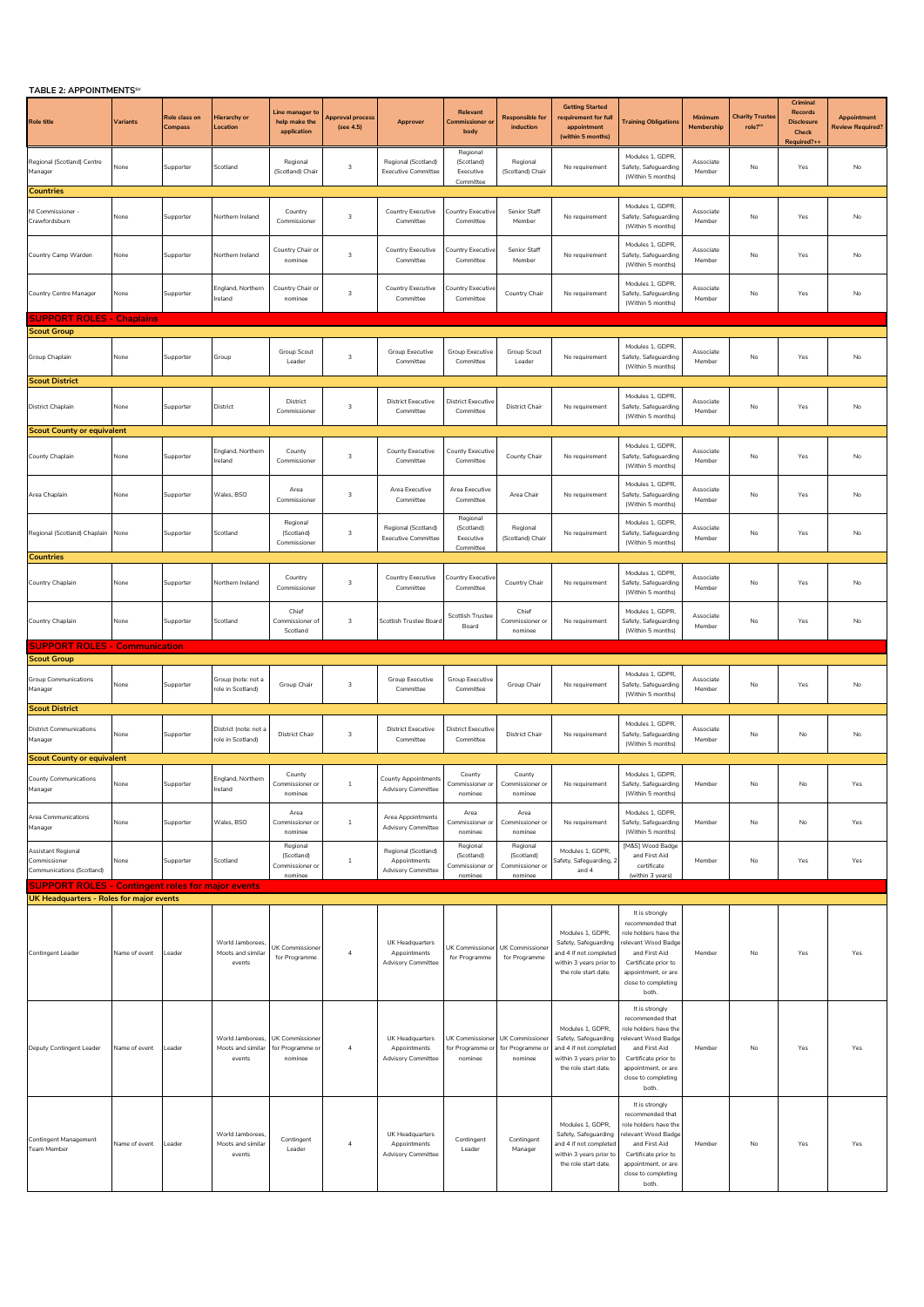| TABLE 2: APPOINTMENTS <sup>5V</sup>                             |                 |                                 |                                                 |                                                     |                               |                                                                  |                                                      |                                                      |                                                                                                                       |                                                                                                                                                                                    |                       |                                 |                                                                 |                                               |
|-----------------------------------------------------------------|-----------------|---------------------------------|-------------------------------------------------|-----------------------------------------------------|-------------------------------|------------------------------------------------------------------|------------------------------------------------------|------------------------------------------------------|-----------------------------------------------------------------------------------------------------------------------|------------------------------------------------------------------------------------------------------------------------------------------------------------------------------------|-----------------------|---------------------------------|-----------------------------------------------------------------|-----------------------------------------------|
| <b>Role title</b>                                               | <b>Variants</b> | Role class on<br><b>Compass</b> | Hierarchy or<br>Location                        | Line manager to<br>help make the<br>application     | Approval process<br>(see 4.5) | Approver                                                         | Relevant<br><b>Commissioner o</b><br>body            | <b>Responsible for</b><br>induction                  | <b>Getting Started</b><br>requirement for full<br>appointment<br>(within 5 months)                                    | <b>Training Obligations</b>                                                                                                                                                        | Minimum<br>Membership | <b>Charity Truste</b><br>role?" | Criminal<br>Records<br><b>Disclosure</b><br>Check<br>Required?+ | <b>Appointment</b><br><b>Review Required?</b> |
| Regional (Scotland) Centre<br>Manager                           | None            | Supporter                       | Scotland                                        | Regional<br>(Scotland) Chair                        | $\overline{\mathbf{3}}$       | Regional (Scotland)<br><b>Executive Committee</b>                | Regional<br>(Scotland)<br>Executive<br>Committee     | Regional<br>(Scotland) Chair                         | No requirement                                                                                                        | Modules 1, GDPR,<br>Safety, Safeguarding<br>(Within 5 months)                                                                                                                      | Associate<br>Member   | No                              | Yes                                                             | No                                            |
| <b>Countries</b>                                                |                 |                                 |                                                 |                                                     |                               |                                                                  |                                                      |                                                      |                                                                                                                       |                                                                                                                                                                                    |                       |                                 |                                                                 |                                               |
| NI Commissioner -<br>Crawfordsburn                              | None            | Supporter                       | Northern Ireland                                | Country<br>Commissioner                             | $\overline{\mathbf{3}}$       | Country Executive<br>Committee                                   | Country Executiv<br>Committee                        | <b>Senior Staff</b><br>Member                        | No requirement                                                                                                        | Modules 1, GDPR,<br>Safety, Safeguarding<br>(Within 5 months)                                                                                                                      | Associate<br>Member   | No                              | Yes                                                             | No                                            |
| Country Camp Warden                                             | None            | Supporter                       | Northern Ireland                                | Country Chair or<br>nominee                         | 3                             | Country Executive<br>Committee                                   | Country Executive<br>Committee                       | Senior Staff<br>Member                               | No requirement                                                                                                        | Modules 1, GDPR,<br>Safety, Safeguarding<br>(Within 5 months)                                                                                                                      | Associate<br>Member   | No                              | Yes                                                             | No                                            |
| Country Centre Manager                                          | None            | Supporter                       | England, Northern<br>Ireland                    | Country Chair or<br>nominee                         | $\overline{\mathbf{3}}$       | Country Executive<br>Committee                                   | Country Executiv<br>Committee                        | Country Chair                                        | No requirement                                                                                                        | Modules 1. GDPR.<br>Safety, Safeguarding<br>(Within 5 months)                                                                                                                      | Associate<br>Member   | No                              | Yes                                                             | No                                            |
| <b>SUPPORT ROLES - Chaplains</b>                                |                 |                                 |                                                 |                                                     |                               |                                                                  |                                                      |                                                      |                                                                                                                       |                                                                                                                                                                                    |                       |                                 |                                                                 |                                               |
| <b>Scout Group</b>                                              |                 |                                 |                                                 |                                                     |                               |                                                                  |                                                      |                                                      |                                                                                                                       |                                                                                                                                                                                    |                       |                                 |                                                                 |                                               |
| Group Chaplain                                                  | None            | Supporter                       | Group                                           | Group Scout<br>Leader                               | $\overline{\mathbf{3}}$       | Group Executive<br>Committee                                     | Group Executive<br>Committee                         | Group Scout<br>Leader                                | No requirement                                                                                                        | Modules 1, GDPR,<br>Safety, Safeguarding<br>(Within 5 months)                                                                                                                      | Associate<br>Member   | No                              | Yes                                                             | No                                            |
| <b>Scout District</b>                                           |                 |                                 |                                                 |                                                     |                               |                                                                  |                                                      |                                                      |                                                                                                                       |                                                                                                                                                                                    |                       |                                 |                                                                 |                                               |
| District Chaplain                                               | None            | Supporter                       | District                                        | District<br>Commissioner                            | $\overline{\mathbf{3}}$       | <b>District Executive</b><br>Committee                           | <b>District Executiv</b><br>Committee                | <b>District Chair</b>                                | No requirement                                                                                                        | Modules 1, GDPR,<br>Safety, Safeguarding<br>(Within 5 months)                                                                                                                      | Associate<br>Member   | No                              | Yes                                                             | No                                            |
| <b>Scout County or equivalent</b>                               |                 |                                 |                                                 |                                                     |                               |                                                                  |                                                      |                                                      |                                                                                                                       |                                                                                                                                                                                    |                       |                                 |                                                                 |                                               |
| County Chaplain                                                 | None            | Supporter                       | England, Northern<br>reland                     | County<br>Commissioner                              | $\overline{\mathbf{3}}$       | County Executive<br>Committee                                    | County Executiv<br>Committee                         | County Chair                                         | No requirement                                                                                                        | Modules 1. GDPR<br>Safety, Safeguarding<br>(Within 5 months)                                                                                                                       | Associate<br>Member   | No                              | Yes                                                             | No                                            |
| Area Chaplain                                                   | None            | Supporter                       | Wales, BSO                                      | Area<br>Commissioner                                | 3                             | Area Executive<br>Committee                                      | Area Executive<br>Committee                          | Area Chair                                           | No requirement                                                                                                        | Modules 1, GDPR,<br>Safety, Safeguarding<br>(Within 5 months)                                                                                                                      | Associate<br>Member   | No                              | Yes                                                             | No                                            |
| Regional (Scotland) Chaplain                                    | None            | Supporter                       | Scotland                                        | Regional<br>(Scotland)<br>Commissioner              | $\overline{\mathbf{3}}$       | Regional (Scotland)<br><b>Executive Committee</b>                | Regional<br>(Scotland)<br>Executive<br>Committee     | Regional<br>(Scotland) Chair                         | No requirement                                                                                                        | Modules 1. GDPR.<br>Safety, Safeguarding<br>(Within 5 months)                                                                                                                      | Associate<br>Member   | No                              | Yes                                                             | No                                            |
| <b>Countries</b>                                                |                 |                                 |                                                 |                                                     |                               |                                                                  |                                                      |                                                      |                                                                                                                       |                                                                                                                                                                                    |                       |                                 |                                                                 |                                               |
| Country Chaplain                                                | None            | Supporter                       | Northern Ireland                                | Country<br>Commissioner                             | $\overline{\mathbf{3}}$       | <b>Country Executive</b><br>Committee                            | Country Executiv<br>Committee                        | Country Chair                                        | No requirement                                                                                                        | Modules 1, GDPR,<br>Safety, Safeguarding<br>(Within 5 months)                                                                                                                      | Associate<br>Member   | No                              | Yes                                                             | No                                            |
| Country Chaplain                                                | None            | Supporter                       | Scotland                                        | Chief<br>Commissioner of<br>Scotland                | $\overline{\mathbf{3}}$       | Scottish Trustee Board                                           | Scottish Trustee<br>Board                            | Chief<br>Commissioner or<br>nominee                  | No requirement                                                                                                        | Modules 1, GDPR,<br>Safety, Safeguarding<br>(Within 5 months)                                                                                                                      | Associate<br>Member   | No                              | $\operatorname{\mathsf{Yes}}$                                   | No                                            |
| <b>SUPPORT ROLES - Communication</b>                            |                 |                                 |                                                 |                                                     |                               |                                                                  |                                                      |                                                      |                                                                                                                       |                                                                                                                                                                                    |                       |                                 |                                                                 |                                               |
| <b>Scout Group</b>                                              |                 |                                 |                                                 |                                                     |                               |                                                                  |                                                      |                                                      |                                                                                                                       |                                                                                                                                                                                    |                       |                                 |                                                                 |                                               |
| Group Communications<br>Manager                                 | None            | Supporter                       | Group (note: not a<br>role in Scotland)         | Group Chair                                         | $\mathsf 3$                   | Group Executive<br>Committee                                     | Group Executive<br>Committee                         | Group Chair                                          | No requirement                                                                                                        | Modules 1. GDPR<br>Safety, Safeguarding<br>(Within 5 months)                                                                                                                       | Associate<br>Member   | No                              | Yes                                                             | No                                            |
| <b>Scout District</b>                                           |                 |                                 |                                                 |                                                     |                               |                                                                  |                                                      |                                                      |                                                                                                                       |                                                                                                                                                                                    |                       |                                 |                                                                 |                                               |
| <b>District Communications</b><br>Manager                       | None            | Supporter                       | District (note: not a<br>ole in Scotland)       | District Chair                                      | $\overline{\mathbf{3}}$       | <b>District Executive</b><br>Committee                           | <b>District Executive</b><br>Committee               | <b>District Chair</b>                                | No requirement                                                                                                        | Modules 1, GDPR,<br>Safety, Safeguarding<br>(Within 5 months)                                                                                                                      | Associate<br>Member   | No                              | No                                                              | No                                            |
| <b>Scout County or equivalent</b>                               |                 |                                 |                                                 |                                                     |                               |                                                                  |                                                      |                                                      |                                                                                                                       |                                                                                                                                                                                    |                       |                                 |                                                                 |                                               |
| <b>County Communications</b><br>Manager                         | None            | Supporter                       | gland, Northern<br>Ireland                      | County<br>Commissioner or<br>nominee                | -1                            | County Appr<br><b>Advisory Committee</b>                         | County<br>Commissioner or<br>nominee                 | County<br>Commissioner or<br>nominee                 | No requirement                                                                                                        | Modules 1, GDPR,<br>Safety, Safeguarding<br>(Within 5 months)                                                                                                                      | Member                | No                              | No                                                              | Yes                                           |
| Area Communications<br>Manager                                  | None            | Supporter                       | Wales, BSO                                      | Area<br>Commissioner of<br>nominee                  | $1\,$                         | Area Appointments<br><b>Advisory Committee</b>                   | Area<br>Commissioner o<br>nominee                    | Area<br>Commissioner or<br>nominee                   | No requirement                                                                                                        | Modules 1, GDPR,<br>Safety, Safeguarding<br>(Within 5 months)                                                                                                                      | Member                | No                              | No                                                              | Yes                                           |
| Assistant Regional<br>Commissioner<br>Communications (Scotland) | None            | Supporter                       | Scotland                                        | Regional<br>(Scotland)<br>Commissioner o<br>nominee | $\mathbf{1}$                  | Regional (Scotland)<br>Appointments<br><b>Advisory Committee</b> | Regional<br>(Scotland)<br>Commissioner or<br>nominee | Regional<br>(Scotland)<br>Commissioner or<br>nominee | Modules 1, GDPR,<br>Safety, Safeguarding, 2<br>and 4                                                                  | [M&S] Wood Badge<br>and First Aid<br>certificate<br>(within 3 years)                                                                                                               | Member                | No                              | Yes                                                             | Yes                                           |
| <b>SUPPORT ROLES - Contingent roles for major events</b>        |                 |                                 |                                                 |                                                     |                               |                                                                  |                                                      |                                                      |                                                                                                                       |                                                                                                                                                                                    |                       |                                 |                                                                 |                                               |
| UK Headquarters - Roles for major events                        |                 |                                 |                                                 |                                                     |                               |                                                                  |                                                      |                                                      |                                                                                                                       |                                                                                                                                                                                    |                       |                                 |                                                                 |                                               |
| Contingent Leader                                               | Name of event   | Leader                          | World Jamborees,<br>Moots and similar<br>events | JK Commissione<br>for Programme                     | $\overline{4}$                | UK Headquarters<br>Appointments<br><b>Advisory Committee</b>     | UK Commissioner<br>for Programme                     | UK Commissioner<br>for Programme                     | Modules 1, GDPR.<br>Safety, Safeguarding<br>and 4 if not completed<br>within 3 years prior to<br>the role start date. | It is strongly<br>recommended that<br>role holders have the<br>relevant Wood Badge<br>and First Aid<br>Certificate prior to<br>appointment, or are<br>close to completing<br>both. | Member                | No                              | Yes                                                             | Yes                                           |
| Deputy Contingent Leader                                        | Name of event   | Leader                          | World Jamborees,<br>Moots and similar<br>events | UK Commissioner<br>for Programme or<br>nominee      | $\overline{4}$                | UK Headquarters<br>Appointments<br><b>Advisory Committee</b>     | UK Commissioner<br>for Programme or<br>nominee       | UK Commissioner<br>for Programme or<br>nominee       | Modules 1, GDPR,<br>Safety, Safeguarding<br>and 4 if not completed<br>within 3 years prior to<br>the role start date. | It is strongly<br>recommended that<br>role holders have the<br>relevant Wood Badge<br>and First Aid<br>Certificate prior to<br>appointment, or are<br>close to completing<br>both. | Member                | No                              | Yes                                                             | Yes                                           |
| Contingent Management<br>Team Member                            | Name of event   | Leader                          | World Jamborees,<br>Moots and similar<br>events | Contingent<br>Leader                                | $\overline{a}$                | UK Headquarters<br>Appointments<br><b>Advisory Committee</b>     | Contingent<br>Leader                                 | Contingent<br>Manager                                | Modules 1, GDPR,<br>Safety, Safeguarding<br>and 4 if not completed<br>within 3 years prior to<br>the role start date. | It is strongly<br>recommended that<br>role holders have the<br>elevant Wood Badge<br>and First Aid<br>Certificate prior to<br>appointment, or are<br>close to completing<br>both.  | Member                | No                              | Yes                                                             | Yes                                           |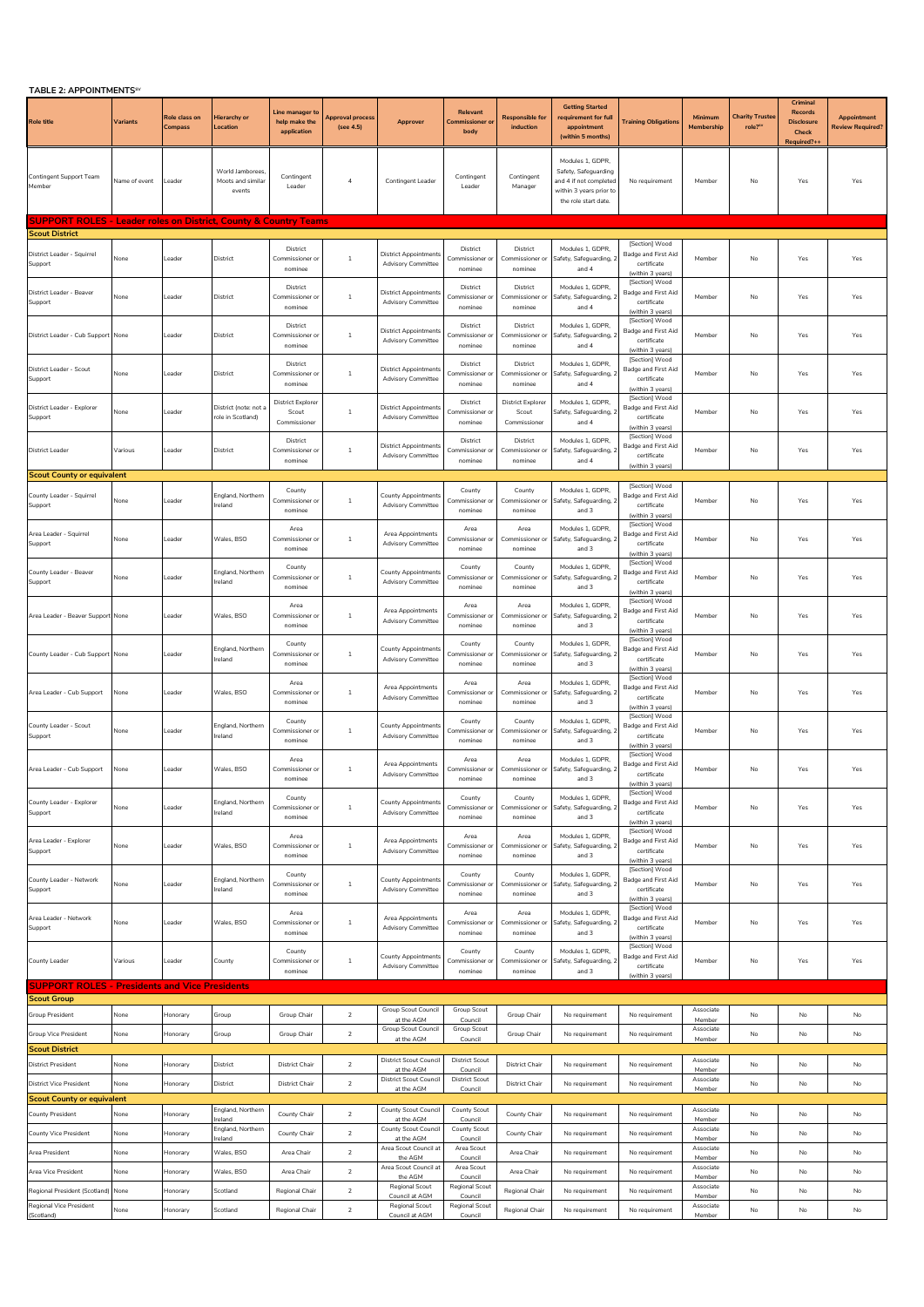| <b>TABLE 2: APPOINTMENTS<sup>5</sup></b>                                    |               |                                 |                                                  |                                                   |                               |                                                           |                                            |                                                   |                                                                                                                       |                                                                          |                       |                                 |                                                                  |                                        |
|-----------------------------------------------------------------------------|---------------|---------------------------------|--------------------------------------------------|---------------------------------------------------|-------------------------------|-----------------------------------------------------------|--------------------------------------------|---------------------------------------------------|-----------------------------------------------------------------------------------------------------------------------|--------------------------------------------------------------------------|-----------------------|---------------------------------|------------------------------------------------------------------|----------------------------------------|
| <b>Role title</b>                                                           | Variants      | Role class on<br><b>Compass</b> | Hierarchy or<br>Location                         | Line manager to<br>help make the<br>application   | Approval process<br>(see 4.5) | Approver                                                  | Relevant<br><b>Commissioner or</b><br>body | <b>Responsible for</b><br>induction               | <b>Getting Started</b><br>requirement for full<br>appointment<br>(within 5 months)                                    | <b>Training Obligations</b>                                              | Minimum<br>Membership | <b>Charity Truste</b><br>role?" | Criminal<br>Records<br><b>Disclosure</b><br>Check<br>Required?++ | Appointment<br><b>Review Required?</b> |
| <b>Contingent Support Team</b><br>Member                                    | Name of event | Leader                          | World Jamborees<br>Moots and similar<br>events   | Contingent<br>Leader                              | $\overline{4}$                | Contingent Leader                                         | Contingent<br>Leader                       | Contingent<br>Manager                             | Modules 1, GDPR,<br>Safety, Safeguarding<br>and 4 if not completed<br>within 3 years prior to<br>the role start date. | No requirement                                                           | Member                | No                              | Yes                                                              | Yes                                    |
| <b>SUPPORT ROLES - Leader roles on District, County &amp; Country Teams</b> |               |                                 |                                                  |                                                   |                               |                                                           |                                            |                                                   |                                                                                                                       |                                                                          |                       |                                 |                                                                  |                                        |
| <b>Scout District</b>                                                       |               |                                 |                                                  | District                                          |                               |                                                           | District                                   | District                                          | Modules 1, GDPR.                                                                                                      | [Section] Wood                                                           |                       |                                 |                                                                  |                                        |
| District Leader - Squirrel<br>Support                                       | None          | eader                           | District                                         | Commissioner o<br>nominee                         | $\,1\,$                       | <b>District Appointments</b><br><b>Advisory Committee</b> | Commissioner<br>nominee                    | Commissioner o<br>nominee                         | Safety, Safeguarding, 2<br>and 4                                                                                      | Badge and First Aid<br>certificate<br>(within 3 years)                   | Member                | No                              | Yes                                                              | Yes                                    |
| District Leader - Beaver<br>Support                                         | None          | Leader                          | District                                         | District<br>Commissioner o<br>nominee             | $\mathbf{1}$                  | <b>District Appointments</b><br><b>Advisory Committee</b> | District<br>Commissioner o<br>nominee      | District<br>Commissioner or<br>nominee            | Modules 1, GDPR,<br>Safety, Safeguarding, 2<br>and 4                                                                  | [Section] Wood<br>Badge and First Aid<br>certificate<br>(within 3 years) | Member                | No                              | Yes                                                              | Yes                                    |
| District Leader - Cub Support None                                          |               | Leader                          | District                                         | District<br>Commissioner of<br>nominee            | $\,1\,$                       | <b>District Appointments</b><br><b>Advisory Committee</b> | District<br>Commissioner or<br>nominee     | District<br>Commissioner or<br>nominee            | Modules 1, GDPR,<br>Safety, Safeguarding, 2<br>and 4                                                                  | [Section] Wood<br>Badge and First Aid<br>certificate<br>(within 3 years) | Member                | No                              | Yes                                                              | Yes                                    |
| District Leader - Scout<br>Support                                          | None          | Leader                          | District                                         | District<br>Commissioner o<br>nominee             | 1                             | <b>District Appointments</b><br><b>Advisory Committee</b> | District<br>Commissioner or<br>nominee     | District<br>Commissioner or<br>nominee            | Modules 1, GDPR,<br>Safety, Safeguarding, 2<br>and 4                                                                  | [Section] Wood<br>Badge and First Aid<br>certificate<br>(within 3 years) | Member                | No                              | Yes                                                              | Yes                                    |
| District Leader - Explorer<br>Support                                       | None          | Leader                          | District (note: not a<br>ole in Scotland)        | <b>District Explorer</b><br>Scout<br>Commissioner | $\,1\,$                       | <b>District Appointments</b><br><b>Advisory Committee</b> | District<br>Commissioner o<br>nominee      | <b>District Explorer</b><br>Scout<br>Commissioner | Modules 1, GDPR,<br>Safety, Safeguarding, 2<br>and 4                                                                  | [Section] Wood<br>Badge and First Aid<br>certificate<br>(within 3 years) | Member                | No                              | Yes                                                              | Yes                                    |
| <b>District Leader</b>                                                      | Various       | Leader                          | District                                         | District<br>Commissioner o<br>nominee             | 1                             | <b>District Appointment</b><br><b>Advisory Committee</b>  | District<br>Commissioner o<br>nominee      | District<br>Commissioner or<br>nominee            | Modules 1, GDPR,<br>Safety, Safeguarding, 2<br>and 4                                                                  | [Section] Wood<br>Badge and First Aid<br>certificate<br>(within 3 years) | Member                | No                              | Yes                                                              | Yes                                    |
| <b>Scout County or equivalent</b>                                           |               |                                 |                                                  |                                                   |                               |                                                           |                                            |                                                   |                                                                                                                       |                                                                          |                       |                                 |                                                                  |                                        |
| County Leader - Squirrel<br>Support                                         | None          | Leader                          | England, Northern<br>reland                      | County<br>Commissioner o<br>nominee               | 1                             | <b>County Appointments</b><br><b>Advisory Committee</b>   | County<br>Commissioner<br>nominee          | County<br>Commissioner of<br>nominee              | Modules 1, GDPR,<br>Safety, Safeguarding, 2<br>and 3                                                                  | [Section] Wood<br>Badge and First Aid<br>certificate<br>(within 3 years) | Member                | No                              | Yes                                                              | Yes                                    |
| Area Leader - Squirrel<br>Support                                           | None          | Leader                          | Wales, BSO                                       | Area<br>Commissioner o<br>nominee                 | $\,$ 1                        | Area Appointments<br><b>Advisory Committee</b>            | Area<br>Commissioner o<br>nominee          | Area<br>Commissioner or<br>nominee                | Modules 1, GDPR,<br>Safety, Safeguarding, 2<br>and 3                                                                  | [Section] Wood<br>Badge and First Aid<br>certificate<br>(within 3 years) | Member                | No                              | Yes                                                              | Yes                                    |
| County Leader - Beaver<br>Support                                           | None          | Leader                          | England, Northern<br>Ireland                     | County<br>Commissioner o<br>nominee               | 1                             | <b>County Appointments</b><br><b>Advisory Committee</b>   | County<br>Commissioner o<br>nominee        | County<br>Commissioner or<br>nominee              | Modules 1, GDPR.<br>Safety, Safeguarding, 2<br>and 3                                                                  | [Section] Wood<br>Badge and First Aid<br>certificate<br>(within 3 years) | Member                | No                              | Yes                                                              | Yes                                    |
| Area Leader - Beaver Support None                                           |               | Leader                          | Wales, BSO                                       | Area<br>Commissioner or<br>nominee                | $\overline{1}$                | Area Appointments<br><b>Advisory Committee</b>            | Area<br>Commissioner or<br>nominee         | Area<br>Commissioner or<br>nominee                | Modules 1, GDPR,<br>Safety, Safeguarding, 2<br>and 3                                                                  | [Section] Wood<br>Badge and First Aid<br>certificate<br>(within 3 years) | Member                | No                              | Yes                                                              | Yes                                    |
| County Leader - Cub Support None                                            |               | Leader                          | England, Northern<br>reland                      | County<br>Commissioner o<br>nominee               | $\,$ 1                        | <b>County Appointments</b><br><b>Advisory Committee</b>   | County<br>Commissioner o<br>nominee        | County<br>Commissioner or<br>nominee              | Modules 1. GDPR.<br>Safety, Safeguarding, 2<br>and 3                                                                  | [Section] Wood<br>Badge and First Aid<br>certificate<br>(within 3 years) | Member                | No                              | Yes                                                              | Yes                                    |
| Area Leader - Cub Support                                                   | None          | Leader                          | Wales, BSO                                       | Area<br>Commissioner o<br>nominee                 | $\overline{1}$                | Area Appointments<br><b>Advisory Committee</b>            | Area<br>Commissioner or<br>nominee         | Area<br>Commissioner or<br>nominee                | Modules 1, GDPR,<br>Safety, Safeguarding, 2<br>and 3                                                                  | [Section] Wood<br>Badge and First Aid<br>certificate<br>(within 3 years) | Member                | No                              | Yes                                                              | Yes                                    |
| County Leader - Scout<br>Support                                            | None          | Leader                          | England, Northern<br>Ireland                     | County<br>Commissioner or<br>nominee              | $\,$ 1                        | <b>County Appointments</b><br><b>Advisory Committee</b>   | County<br>Commissioner or<br>nominee       | County<br>Commissioner or<br>nominee              | Modules 1. GDPR.<br>Safety, Safeguarding, 2<br>and 3                                                                  | [Section] Wood<br>Badge and First Aid<br>certificate<br>(within 3 years) | Member                | No                              | Yes                                                              | Yes                                    |
| Area Leader - Cub Support                                                   | None          | Leader                          | Wales, BSO                                       | Area<br>Commissioner or<br>nominee                | $\overline{1}$                | Area Appointments<br><b>Advisory Committee</b>            | Area<br>Commissioner or<br>nominee         | Area<br>Commissioner or<br>nominee                | Modules 1, GDPR,<br>Safety, Safeguarding, 2<br>and 3                                                                  | [Section] Wood<br>Badge and First Aid<br>certificate<br>(within 3 years) | Member                | No                              | Yes                                                              | Yes                                    |
| County Leader - Explorer<br>Support                                         | None          | Leader                          | England, Northern<br>Ireland                     | County<br>Commissioner o<br>nominee               | 1                             | County Appointments<br><b>Advisory Committee</b>          | County<br>Commissioner or<br>nominee       | County<br>Commissioner or<br>nominee              | Modules 1, GDPR.<br>Safety, Safeguarding, 2<br>and 3                                                                  | [Section] Wood<br>Badge and First Aid<br>certificate<br>(within 3 years) | Member                | No                              | Yes                                                              | Yes                                    |
| Area Leader - Explorer<br>Support                                           | None          | Leader                          | Wales, BSO                                       | Area<br>Commissioner o<br>nominee                 | $\,1\,$                       | Area Appointments<br><b>Advisory Committee</b>            | Area<br>Commissioner o<br>nominee          | Area<br>Commissioner of<br>nominee                | Modules 1, GDPR,<br>Safety, Safeguarding, 2<br>and 3                                                                  | [Section] Wood<br>Badge and First Aid<br>certificate<br>(within 3 years) | Member                | No                              | Yes                                                              | Yes                                    |
| County Leader - Network<br>Support                                          | None          | Leader                          | England, Northern<br>Ireland                     | County<br>Commissioner o<br>nominee               | 1                             | County Appointments<br><b>Advisory Committee</b>          | County<br>Commissioner o<br>nominee        | County<br>Commissioner of<br>nominee              | Modules 1. GDPR.<br>Safety, Safeguarding, 2<br>and 3                                                                  | [Section] Wood<br>Badge and First Aid<br>certificate<br>(within 3 years) | Member                | No                              | Yes                                                              | Yes                                    |
| Area Leader - Network<br>Support                                            | None          | Leader                          | Wales, BSO                                       | Area<br>Commissioner or<br>nominee                | $\overline{1}$                | Area Appointments<br><b>Advisory Committee</b>            | Area<br>Commissioner or<br>nominee         | Area<br>Commissioner of<br>nominee                | Modules 1, GDPR,<br>Safety, Safeguarding, 2<br>and 3                                                                  | [Section] Wood<br>Badge and First Aid<br>certificate<br>(within 3 years) | Member                | No                              | Yes                                                              | Yes                                    |
| County Leader                                                               | Various       | Leader                          | County                                           | County<br>Commissioner of<br>nominee              | $\overline{1}$                | <b>County Appointment</b><br><b>Advisory Committee</b>    | County<br>Commissioner o<br>nominee        | County<br>Commissioner or<br>nominee              | Modules 1. GDPR.<br>Safety, Safeguarding, 2<br>and 3                                                                  | [Section] Wood<br>Badge and First Aid<br>certificate<br>(within 3 years) | Member                | No                              | Yes                                                              | Yes                                    |
| <b>SUPPORT ROLES - Presidents and Vice Presidents</b>                       |               |                                 |                                                  |                                                   |                               |                                                           |                                            |                                                   |                                                                                                                       |                                                                          |                       |                                 |                                                                  |                                        |
| Scout Group                                                                 | None          | Honorary                        |                                                  | Group Chair                                       | $\sqrt{2}$                    | Group Scout Council                                       | Group Scout                                | Group Chair                                       |                                                                                                                       |                                                                          | Associate             | No                              | No                                                               | No                                     |
| Group President                                                             |               |                                 | Group                                            |                                                   |                               | at the AGM<br>Group Scout Council                         | Council<br>Group Scout                     |                                                   | No requirement                                                                                                        | No requirement                                                           | Member<br>Associate   |                                 |                                                                  |                                        |
| <b>Group Vice President</b><br><b>Scout District</b>                        | None          | Honorary                        | Group                                            | Group Chair                                       | $\overline{2}$                | at the AGM                                                | Council                                    | Group Chair                                       | No requirement                                                                                                        | No requirement                                                           | Member                | No                              | No                                                               | No                                     |
| <b>District President</b>                                                   | None          | <b>Honorary</b>                 | District                                         | <b>District Chair</b>                             | $\overline{2}$                | District Scout Council<br>at the AGM                      | <b>District Scout</b><br>Council           | <b>District Chair</b>                             | No requirement                                                                                                        | No requirement                                                           | Associate<br>Membe    | No                              | No                                                               | No                                     |
| <b>District Vice President</b>                                              | None          | Honorary                        | District                                         | <b>District Chair</b>                             | $\overline{2}$                | District Scout Council<br>at the AGM                      | <b>District Scout</b><br>Council           | <b>District Chair</b>                             | No requirement                                                                                                        | No requirement                                                           | Associate<br>Member   | No                              | No                                                               | No                                     |
| <b>Scout County or equivalent</b>                                           |               |                                 |                                                  |                                                   |                               | <b>County Scout Council</b>                               | County Scout                               |                                                   |                                                                                                                       |                                                                          | Associate             |                                 |                                                                  |                                        |
| <b>County President</b>                                                     | None          | Honorary                        | England, Northern<br>reland<br>England, Northern | County Chair                                      | $\overline{2}$                | at the AGM<br>County Scout Council                        | Council<br>County Scout                    | County Chair                                      | No requirement                                                                                                        | No requirement                                                           | Member<br>Associate   | No                              | No                                                               | No                                     |
| <b>County Vice President</b>                                                | None          | Honorary                        | reland                                           | County Chair                                      | $\sqrt{2}$                    | at the AGM<br>Area Scout Council at                       | Council<br>Area Scout                      | County Chair                                      | No requirement                                                                                                        | No requirement                                                           | Member<br>Associate   | No                              | No                                                               | No                                     |
| Area President                                                              | None          | <b>Honorary</b>                 | Wales, BSO                                       | Area Chair                                        | $\overline{2}$                | the AGM<br>Area Scout Council at                          | Council<br>Area Scout                      | Area Chair                                        | No requirement                                                                                                        | No requirement                                                           | Member<br>Associate   | No                              | No                                                               | No                                     |
| Area Vice President                                                         | None          | <b>Honorary</b>                 | Wales, BSO                                       | Area Chair                                        | $\overline{2}$                | the AGM<br><b>Regional Scout</b>                          | Council<br>Regional Scout                  | Area Chair                                        | No requirement                                                                                                        | No requirement                                                           | Member<br>Associate   | No                              | No                                                               | No                                     |
| Regional President (Scotland)                                               | None          | Honorary                        | Scotland                                         | Regional Chair                                    | $\overline{2}$                | Council at AGM                                            | Council                                    | Regional Chair                                    | No requirement                                                                                                        | No requirement                                                           | Member<br>Associate   | No                              | No                                                               | No                                     |
| Regional Vice President<br>(Scotland)                                       | None          | Honorary                        | Scotland                                         | Regional Chair                                    | $\overline{2}$                | Regional Scout<br>Council at AGM                          | Regional Scout<br>Council                  | Regional Chair                                    | No requirement                                                                                                        | No requirement                                                           | Member                | No                              | No                                                               | No                                     |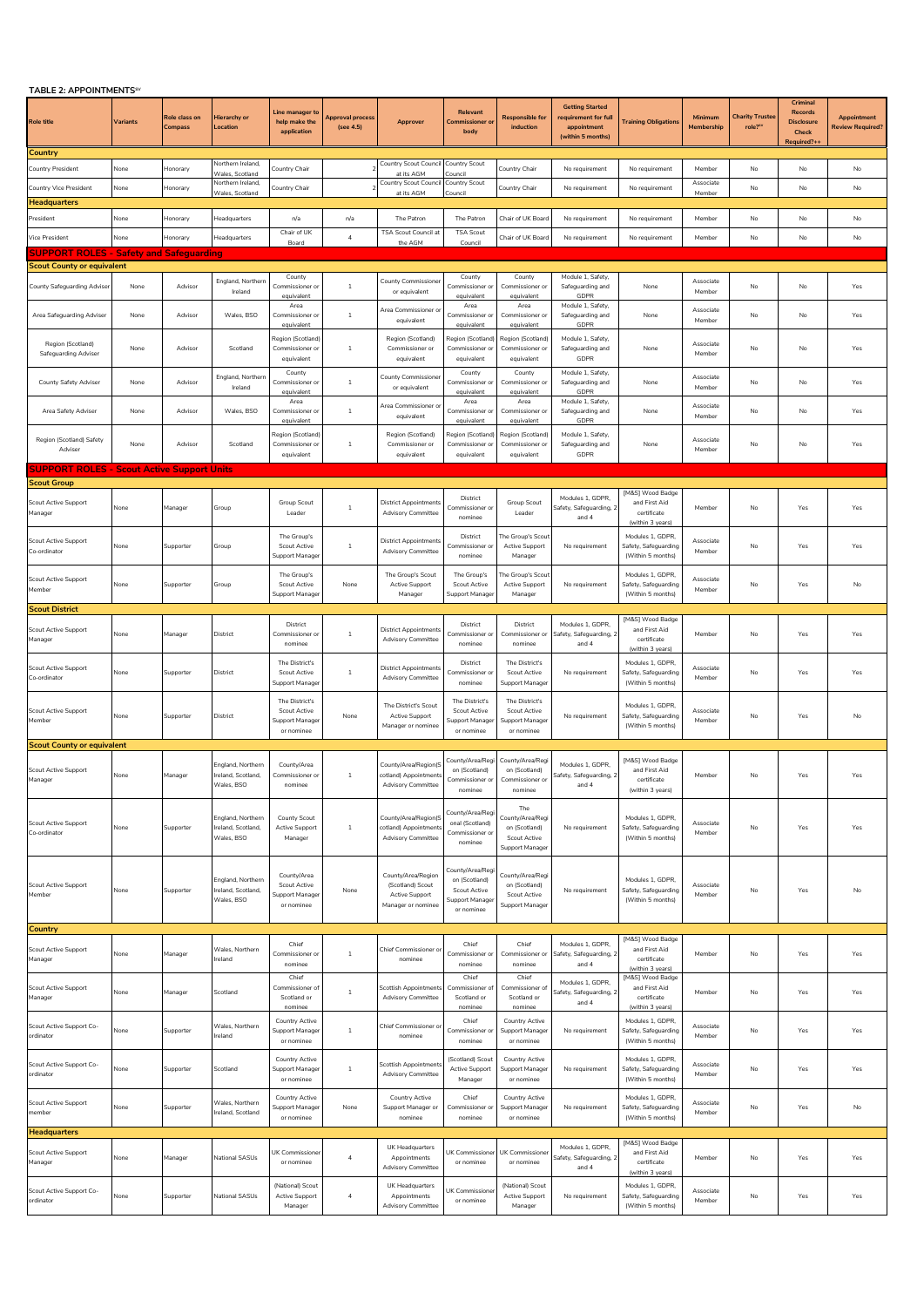| TABLE 2: APPOINTMENTS <sup>SV</sup>                   |          |                          |                                                       |                                                                    |                              |                                                                                |                                                                                   |                                                                             |                                                                                    |                                                                                   |                       |                                  |                                                                        |                                       |
|-------------------------------------------------------|----------|--------------------------|-------------------------------------------------------|--------------------------------------------------------------------|------------------------------|--------------------------------------------------------------------------------|-----------------------------------------------------------------------------------|-----------------------------------------------------------------------------|------------------------------------------------------------------------------------|-----------------------------------------------------------------------------------|-----------------------|----------------------------------|------------------------------------------------------------------------|---------------------------------------|
| Role title                                            | Variants | Role class on<br>Compass | Hierarchy or<br>Location                              | Line manager to<br>help make the<br>application                    | pproval process<br>(see 4.5) | Approver                                                                       | Relevant<br>Commissioner or<br>body                                               | Responsible for<br>induction                                                | <b>Getting Started</b><br>requirement for full<br>appointment<br>(within 5 months) | <b>Training Obligations</b>                                                       | Minimum<br>Membership | <b>Charity Trustee</b><br>role?" | Criminal<br><b>Records</b><br><b>Disclosure</b><br>Check<br>Required?+ | Appointment<br><b>Review Required</b> |
| Country                                               |          |                          |                                                       |                                                                    |                              |                                                                                |                                                                                   |                                                                             |                                                                                    |                                                                                   |                       |                                  |                                                                        |                                       |
| Country President                                     | None     | Honorary                 | Northern Ireland,<br>Vales, Scotland                  | Country Chair                                                      |                              | Country Scout Counci<br>at its AGM                                             | ountry Scout<br>ouncil                                                            | Country Chair                                                               | No requirement                                                                     | No requirement                                                                    | Member                | No                               | No                                                                     | No                                    |
| Country Vice President                                | None     | Honorary                 | Northern Ireland.<br>Wales, Scotland                  | Country Chair                                                      |                              | Country Scout Counci<br>at its AGM                                             | Country Scout<br>Council                                                          | Country Chair                                                               | No requirement                                                                     | No requirement                                                                    | Associate<br>Member   | No                               | No                                                                     | No                                    |
| Headquarters                                          |          |                          |                                                       |                                                                    |                              |                                                                                |                                                                                   |                                                                             |                                                                                    |                                                                                   |                       |                                  |                                                                        |                                       |
| President                                             | None     | Honorary                 | leadquarters                                          | n/a                                                                | n/a                          | The Patron                                                                     | The Patron                                                                        | Chair of UK Boar                                                            | No requirement                                                                     | No requirement                                                                    | Member                | No.                              | No                                                                     | No                                    |
| Vice President                                        | None     | Honorary                 | leadquarters                                          | Chair of UK<br>Board                                               | $\boldsymbol{4}$             | TSA Scout Council at<br>the AGM                                                | <b>TSA Scout</b><br>Council                                                       | Chair of UK Board                                                           | No requirement                                                                     | No requirement                                                                    | Member                | No                               | No                                                                     | No                                    |
| <b>SUPPORT ROLES - Safety and Safeguarding</b>        |          |                          |                                                       |                                                                    |                              |                                                                                |                                                                                   |                                                                             |                                                                                    |                                                                                   |                       |                                  |                                                                        |                                       |
| <b>Scout County or equivalent</b>                     |          |                          |                                                       |                                                                    |                              |                                                                                |                                                                                   |                                                                             |                                                                                    |                                                                                   |                       |                                  |                                                                        |                                       |
| County Safeguarding Adviser                           | None     | Advisor                  | England, Northern<br>Ireland                          | County<br>Commissioner or<br>eauivalen <sup>.</sup>                | $\mathbf{1}$                 | <b>County Commissioner</b><br>or equivalent                                    | County<br>Commissioner or                                                         | County<br>Commissioner or<br>equivalent                                     | Module 1, Safety,<br>Safeguarding and<br>GDPR<br>Module 1, Safety,                 | None                                                                              | Associate<br>Member   | No                               | No                                                                     | Yes                                   |
| Area Safeguarding Adviser                             | None     | Advisor                  | Wales, BSO                                            | Area<br>Commissioner o<br>equivalent                               | $\mathbf{1}$                 | Area Commissioner o<br>equivalent                                              | Area<br>Commissioner or<br>equivalent                                             | Area<br>Commissioner o<br>equivalent                                        | Safeguarding and<br>GDPR                                                           | None                                                                              | Associate<br>Member   | No                               | No                                                                     | Yes                                   |
| Region (Scotland)<br>Safeguarding Adviser             | None     | Advisor                  | Scotland                                              | Region (Scotland<br>Commissioner o<br>equivalent                   | 1                            | Region (Scotland)<br>Commissioner or<br>equivalent                             | Region (Scotland<br>Commissioner or<br>equivalent                                 | Region (Scotland)<br>Commissioner o<br>equivalent                           | Module 1, Safety,<br>Safeguarding and<br>GDPR                                      | None                                                                              | Associate<br>Member   | No                               | No                                                                     | Yes                                   |
| County Safety Adviser                                 | None     | Advisor                  | England, Northern<br>Ireland                          | County<br>Commissioner o<br>equivalent                             | $\mathbf{1}$                 | County Commissioner<br>or equivalent                                           | County<br>Commissioner or<br>equivalent                                           | County<br>Commissioner o<br>equivalent                                      | Module 1, Safety,<br>Safeguarding and<br>GDPR                                      | None                                                                              | Associate<br>Member   | No                               | No                                                                     | Yes                                   |
| Area Safety Adviser                                   | None     | Advisor                  | Wales, BSO                                            | Area<br>Commissioner or<br>equivalent                              | $\mathbf{1}$                 | Area Commissioner or<br>equivalent                                             | Area<br>Commissioner or<br>equivalent                                             | Area<br>Commissioner or<br>equivalent                                       | Module 1, Safety,<br>Safeguarding and<br>GDPR                                      | None                                                                              | Associate<br>Member   | No                               | No                                                                     | Yes                                   |
| Region (Scotland) Safety<br>Adviser                   | None     | Advisor                  | Scotland                                              | Region (Scotland<br>Commissioner o<br>equivalent                   | $\mathbf{1}$                 | Region (Scotland)<br>Commissioner or<br>equivalent                             | Region (Scotland<br>Commissioner or<br>equivalent                                 | Region (Scotland)<br>Commissioner or<br>equivalent                          | Module 1, Safety,<br>Safeguarding and<br>GDPR                                      | None                                                                              | Associate<br>Member   | No                               | No                                                                     | Yes                                   |
| <b>SUPPORT ROLES - Scout Active Support Units</b>     |          |                          |                                                       |                                                                    |                              |                                                                                |                                                                                   |                                                                             |                                                                                    |                                                                                   |                       |                                  |                                                                        |                                       |
| <b>Scout Group</b><br>Scout Active Support<br>Manager | None     | Manager                  | Group                                                 | Group Scout<br>Leader                                              | $\mathbf{1}$                 | <b>District Appointments</b><br><b>Advisory Committee</b>                      | District<br>Commissioner or<br>nominee                                            | Group Scout<br>Leader                                                       | Modules 1, GDPR,<br>Safety, Safeguarding, 2<br>and 4                               | [M&S] Wood Badge<br>and First Aid<br>certificate                                  | Member                | No                               | Yes                                                                    | Yes                                   |
| <b>Scout Active Support</b><br>Co-ordinator           | None     | Supporter                | Group                                                 | The Group's<br><b>Scout Active</b><br>Support Manage               | $\mathbf{1}$                 | <b>District Appointments</b><br><b>Advisory Committee</b>                      | District<br>Commissioner or<br>nominee                                            | The Group's Scou<br>Active Support<br>Manager                               | No requirement                                                                     | (within 3 years)<br>Modules 1, GDPR,<br>Safety, Safeguarding<br>(Within 5 months) | Associate<br>Member   | No                               | Yes                                                                    | Yes                                   |
| Scout Active Support<br>Member                        | None     | Supporter                | Group                                                 | The Group's<br><b>Scout Active</b><br>upport Manage                | None                         | The Group's Scout<br>Active Support<br>Manager                                 | The Group's<br><b>Scout Active</b><br>Support Manage                              | The Group's Scou<br><b>Active Support</b><br>Manager                        | No requirement                                                                     | Modules 1, GDPR,<br>Safety, Safeguarding<br>(Within 5 months)                     | Associate<br>Member   | No                               | Yes                                                                    | No                                    |
| <b>Scout District</b>                                 |          |                          |                                                       |                                                                    |                              |                                                                                |                                                                                   |                                                                             |                                                                                    |                                                                                   |                       |                                  |                                                                        |                                       |
| <b>Scout Active Support</b><br><b>Manager</b>         | None     | Manager                  | District                                              | District<br>Commissioner or<br>nominee                             | $\mathbf{1}$                 | <b>District Appointments</b><br><b>Advisory Committee</b>                      | District<br>Commissioner or<br>nominee                                            | District<br>Commissioner or<br>nominee                                      | Modules 1, GDPR,<br>Safety, Safeguarding, 2<br>and 4                               | [M&S] Wood Badge<br>and First Aid<br>certificate<br>(within 3 years)              | Member                | No                               | Yes                                                                    | Yes                                   |
| Scout Active Support<br>Co-ordinator                  | None     | Supporter                | District                                              | The District's<br><b>Scout Active</b><br>Support Manage            | $\mathbf{1}$                 | <b>District Appointments</b><br><b>Advisory Committee</b>                      | District<br>Commissioner or<br>nominee                                            | The District's<br><b>Scout Active</b><br>Support Manager                    | No requirement                                                                     | Modules 1, GDPR,<br>Safety, Safeguarding<br>(Within 5 months)                     | Associate<br>Member   | No                               | Yes                                                                    | Yes                                   |
| <b>Scout Active Support</b><br>Member                 | None     | Supporter                | District                                              | The District's<br>Scout Active<br>Support Manage<br>or nominee     | None                         | The District's Scout<br>Active Support<br>Manager or nominee                   | The District's<br>Scout Active<br>Support Manage<br>or nominee                    | The District's<br>Scout Active<br>Support Manager<br>or nominee             | No requirement                                                                     | Modules 1, GDPR,<br>Safety, Safeguarding<br>(Within 5 months)                     | Associate<br>Member   | No                               | Yes                                                                    | No                                    |
| <b>Scout County or equivalent</b>                     |          |                          |                                                       |                                                                    |                              |                                                                                |                                                                                   |                                                                             |                                                                                    |                                                                                   |                       |                                  |                                                                        |                                       |
|                                                       |          |                          | England, Northern                                     | County/Area                                                        |                              | County/Area/Region(S                                                           | County/Area/Regi                                                                  | County/Area/Regi                                                            | Modules 1, GDPR,                                                                   | [M&S] Wood Badge                                                                  |                       |                                  |                                                                        |                                       |
| <b>Scout Active Support</b><br>iriaye                 | None     | Manager                  | reland, Scotland,<br>Wales, BSO                       | Commissioner or<br>nominee                                         | 1                            | cotland) Appointments<br><b>Advisory Committee</b>                             | on (Scotland)<br>nominee                                                          | on (Scotland)<br>nominee                                                    | Safety, Safeguarding, 2<br>and 4                                                   | and First Aid<br>rtificat<br>(within 3 years)                                     | Member                | No                               | Yes                                                                    | Yes                                   |
| <b>Scout Active Support</b><br>Co-ordinator           | None     | Supporter                | England, Northern<br>reland, Scotland,<br>Wales, BSO  | County Scout<br>Active Support<br>Manager                          | $\mathbf{1}$                 | County/Area/Region(S<br>cotland) Appointments<br><b>Advisory Committee</b>     | County/Area/Reg<br>onal (Scotland)<br>Commissioner or<br>nominee                  | The<br>County/Area/Regi<br>on (Scotland)<br>Scout Active<br>Support Manager | No requirement                                                                     | Modules 1, GDPR,<br>Safety, Safeguarding<br>(Within 5 months)                     | Associate<br>Member   | No                               | Yes                                                                    | Yes                                   |
| <b>Scout Active Support</b><br>Member                 | None     | Supporter                | England, Northern<br>Ireland, Scotland,<br>Wales, BSO | County/Area<br><b>Scout Active</b><br>Support Manage<br>or nominee | None                         | County/Area/Region<br>(Scotland) Scout<br>Active Support<br>Manager or nominee | County/Area/Reg<br>on (Scotland)<br>Scout Active<br>Support Manager<br>or nominee | County/Area/Regi<br>on (Scotland)<br>Scout Active<br>Support Manager        | No requirement                                                                     | Modules 1, GDPR,<br>Safety, Safeguarding<br>(Within 5 months)                     | Associate<br>Member   | No                               | Yes                                                                    | No                                    |
| Country                                               |          |                          |                                                       |                                                                    |                              |                                                                                |                                                                                   |                                                                             |                                                                                    | [M&S] Wood Badge                                                                  |                       |                                  |                                                                        |                                       |
| <b>Scout Active Support</b><br>Manager                | None     | Manager                  | Wales, Northern<br>Ireland                            | Chief<br>Commissioner o<br>nominee                                 | $\mathbf{1}$                 | Chief Commissioner o<br>nominee                                                | Chief<br>Commissioner or<br>nominee                                               | Chief<br>Commissioner or<br>nominee                                         | Modules 1, GDPR,<br>Safety, Safeguarding, 2<br>and 4                               | and First Aid<br>certificate<br>(within 3 years)                                  | Member                | No                               | Yes                                                                    | Yes                                   |
| <b>Scout Active Support</b><br>Manager                | None     | Manager                  | Scotland                                              | Chief<br>Commissioner of<br>Scotland or<br>nominee                 | $\mathbf{1}$                 | <b>Scottish Appointments</b><br><b>Advisory Committee</b>                      | Chief<br>Commissioner o<br>Scotland or<br>nominee                                 | Chief<br>Commissioner of<br>Scotland or<br>nominee                          | Modules 1, GDPR,<br>Safety, Safeguarding, 2<br>and 4                               | [M&S] Wood Badge<br>and First Aid<br>certificate<br>(within 3 years)              | Member                | No                               | Yes                                                                    | Yes                                   |
| Scout Active Support Co-<br>ordinator                 | None     | Supporter                | Wales, Northern<br>reland                             | Country Active<br>Support Manage<br>or nominee                     | $\mathbf{1}$                 | Chief Commissioner or<br>nominee                                               | Chief<br>Commissioner or<br>nominee                                               | Country Active<br>Support Manager<br>or nominee                             | No requirement                                                                     | Modules 1. GDPR.<br>Safety, Safeguarding<br>(Within 5 months)                     | Associate<br>Member   | No                               | Yes                                                                    | Yes                                   |
| Scout Active Support Co-<br>ordinator                 | None     | Supporter                | Scotland                                              | Country Active<br>Support Manage<br>or nominee                     | $\mathbf{1}$                 | Scottish Appointments<br><b>Advisory Committee</b>                             | (Scotland) Scout<br>Active Support<br>Manager                                     | Country Active<br>Support Manager<br>or nominee                             | No requirement                                                                     | Modules 1, GDPR,<br>Safety, Safeguarding<br>(Within 5 months)                     | Associate<br>Member   | No                               | Yes                                                                    | Yes                                   |
| <b>Scout Active Support</b><br>member                 | None     | Supporter                | <b>Nales, Northern</b><br>reland, Scotland            | Country Active<br>Support Manage<br>or nominee                     | None                         | Country Active<br>Support Manager or<br>nominee                                | Chief<br>Commissioner or<br>nominee                                               | Country Active<br>Support Manager<br>or nominee                             | No requirement                                                                     | Modules 1, GDPR,<br>Safety, Safeguarding<br>(Within 5 months)                     | Associate<br>Member   | No                               | Yes                                                                    | No                                    |
| <b>Headquarters</b>                                   |          |                          |                                                       |                                                                    |                              |                                                                                |                                                                                   |                                                                             |                                                                                    | [M&S] Wood Badge                                                                  |                       |                                  |                                                                        |                                       |
| <b>Scout Active Support</b><br>Manager                | None     | Manager                  | <b>Vational SASUs</b>                                 | JK Commissione<br>or nominee                                       | $\overline{a}$               | UK Headquarters<br>Appointments<br><b>Advisory Committee</b>                   | JK Commissione<br>or nominee                                                      | UK Commissioner<br>or nominee                                               | Modules 1, GDPR,<br>Safety, Safeguarding, 2<br>and 4                               | and First Aid<br>certificate<br>(within 3 years)                                  | Member                | $\mathsf{No}$                    | Yes                                                                    | Yes                                   |

Scout Active Support Co-ordinator

None Supporter National SASUs

(National) Scout Active Support Manager

4

UK Headquarters Appointments Advisory Committee

UK Commissioner or nominee

(National) Scout Active Support Manager

No requirement

Modules 1, GDPR, Safety, Safeguarding (Within 5 months)

Associate Member

No Yes Yes